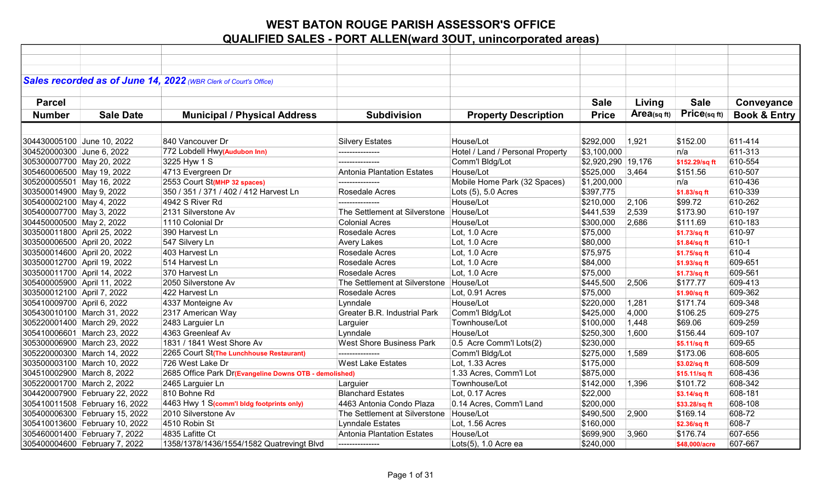|                             |                                | Sales recorded as of June 14, 2022 (WBR Clerk of Court's Office) |                                           |                                  |                    |            |                |                         |
|-----------------------------|--------------------------------|------------------------------------------------------------------|-------------------------------------------|----------------------------------|--------------------|------------|----------------|-------------------------|
|                             |                                |                                                                  |                                           |                                  |                    |            |                |                         |
| <b>Parcel</b>               |                                |                                                                  |                                           |                                  | <b>Sale</b>        | Living     | <b>Sale</b>    | Conveyance              |
| <b>Number</b>               | <b>Sale Date</b>               | <b>Municipal / Physical Address</b>                              | <b>Subdivision</b>                        | <b>Property Description</b>      | <b>Price</b>       | Area(sqft) | Price(sq ft)   | <b>Book &amp; Entry</b> |
|                             |                                |                                                                  |                                           |                                  |                    |            |                |                         |
|                             |                                |                                                                  |                                           |                                  |                    |            |                |                         |
| 304430005100 June 10, 2022  |                                | 840 Vancouver Dr                                                 | <b>Silvery Estates</b>                    | House/Lot                        | \$292,000          | 1,921      | \$152.00       | 611-414                 |
| 304520000300 June 6, 2022   |                                | 772 Lobdell Hwy(Audubon Inn)                                     |                                           | Hotel / Land / Personal Property | \$3,100,000        |            | n/a            | 611-313                 |
| 305300007700 May 20, 2022   |                                | 3225 Hyw 1 S                                                     | ---------------                           | Comm'l Bldg/Lot                  | \$2,920,290 19,176 |            | \$152.29/sq ft | 610-554                 |
| 305460006500 May 19, 2022   |                                | 4713 Evergreen Dr                                                | Antonia Plantation Estates                | House/Lot                        | \$525,000          | 3,464      | \$151.56       | 610-507                 |
| 305200005501 May 16, 2022   |                                | 2553 Court St(MHP 32 spaces)                                     | ---------------                           | Mobile Home Park (32 Spaces)     | \$1,200,000        |            | n/a            | 610-436                 |
| 303500014900 May 9, 2022    |                                | 350 / 351 / 371 / 402 / 412 Harvest Ln                           | Rosedale Acres                            | Lots $(5)$ , 5.0 Acres           | \$397,775          |            | \$1.83/sq ft   | 610-339                 |
| 305400002100 May 4, 2022    |                                | 4942 S River Rd                                                  | ---------------                           | House/Lot                        | \$210,000          | 2,106      | \$99.72        | 610-262                 |
| 305400007700 May 3, 2022    |                                | 2131 Silverstone Av                                              | The Settlement at Silverstone House/Lot   |                                  | \$441,539          | 2,539      | \$173.90       | 610-197                 |
| 304450000500 May 2, 2022    |                                | 1110 Colonial Dr                                                 | <b>Colonial Acres</b>                     | House/Lot                        | \$300,000          | 2,686      | \$111.69       | 610-183                 |
| 303500011800 April 25, 2022 |                                | 390 Harvest Ln                                                   | Rosedale Acres                            | Lot, 1.0 Acre                    | \$75,000           |            | \$1.73/sq ft   | 610-97                  |
| 303500006500 April 20, 2022 |                                | 547 Silvery Ln                                                   | <b>Avery Lakes</b>                        | Lot, 1.0 Acre                    | \$80,000           |            | \$1.84/sq ft   | 610-1                   |
| 303500014600 April 20, 2022 |                                | 403 Harvest Ln                                                   | Rosedale Acres                            | Lot, 1.0 Acre                    | \$75,975           |            | \$1.75/sq ft   | 610-4                   |
| 303500012700 April 19, 2022 |                                | 514 Harvest Ln                                                   | Rosedale Acres                            | Lot, 1.0 Acre                    | \$84,000           |            | \$1.93/sq ft   | 609-651                 |
| 303500011700 April 14, 2022 |                                | 370 Harvest Ln                                                   | Rosedale Acres                            | Lot, 1.0 Acre                    | \$75,000           |            | \$1.73/sq ft   | 609-561                 |
| 305400005900 April 11, 2022 |                                | 2050 Silverstone Av                                              | The Settlement at Silverstone House/Lot   |                                  | \$445,500          | 2,506      | \$177.77       | 609-413                 |
| 303500012100 April 7, 2022  |                                | 422 Harvest Ln                                                   | Rosedale Acres                            | Lot, 0.91 Acres                  | \$75,000           |            | \$1.90/sq ft   | 609-362                 |
| 305410009700 April 6, 2022  |                                | 4337 Monteigne Av                                                | Lynndale                                  | House/Lot                        | \$220,000          | 1,281      | \$171.74       | 609-348                 |
|                             | 305430010100 March 31, 2022    | 2317 American Way                                                | Greater B.R. Industrial Park              | Comm'l Bldg/Lot                  | \$425,000          | 4,000      | \$106.25       | 609-275                 |
|                             | 305220001400 March 29, 2022    | 2483 Larguier Ln                                                 | Larguier                                  | Townhouse/Lot                    | \$100,000          | 1,448      | \$69.06        | 609-259                 |
|                             | 305410006601 March 23, 2022    | 4363 Greenleaf Av                                                | Lynndale                                  | House/Lot                        | \$250,300          | 1,600      | \$156.44       | 609-107                 |
|                             | 305300006900 March 23, 2022    | 1831 / 1841 West Shore Av                                        | <b>West Shore Business Park</b>           | 0.5 Acre Comm'l Lots(2)          | \$230,000          |            | \$5.11/sq ft   | 609-65                  |
|                             | 305220000300 March 14, 2022    | 2265 Court St(The Lunchhouse Restaurant)                         | ---------------                           | Comm'l Bldg/Lot                  | \$275,000          | 1,589      | \$173.06       | 608-605                 |
|                             | 303500003100 March 10, 2022    | 726 West Lake Dr                                                 | <b>West Lake Estates</b>                  | Lot, 1.33 Acres                  | \$175,000          |            | \$3.02/sq ft   | 608-509                 |
| 304510002900 March 8, 2022  |                                | 2685 Office Park Dr(Evangeline Downs OTB - demolished)           |                                           | 1.33 Acres, Comm'l Lot           | \$875,000          |            | \$15.11/sq ft  | 608-436                 |
| 305220001700 March 2, 2022  |                                | 2465 Larguier Ln                                                 | Larguier                                  | Townhouse/Lot                    | \$142,000          | 1,396      | \$101.72       | 608-342                 |
|                             | 304420007900 February 22, 2022 | 810 Bohne Rd                                                     | <b>Blanchard Estates</b>                  | Lot, 0.17 Acres                  | \$22,000           |            | \$3.14/sq ft   | 608-181                 |
|                             | 305410011508 February 16, 2022 | 4463 Hwy 1 S(comm'l bldg footprints only)                        | 4463 Antonia Condo Plaza                  | 0.14 Acres, Comm'l Land          | \$200,000          |            | \$33.28/sq ft  | 608-108                 |
|                             | 305400006300 February 15, 2022 | 2010 Silverstone Av                                              | The Settlement at Silverstone   House/Lot |                                  | \$490,500          | 2,900      | \$169.14       | 608-72                  |
|                             | 305410013600 February 10, 2022 | 4510 Robin St                                                    | <b>Lynndale Estates</b>                   | Lot, 1.56 Acres                  | \$160,000          |            | \$2.36/sq ft   | 608-7                   |
|                             | 305460001400 February 7, 2022  | 4835 Lafitte Ct                                                  | Antonia Plantation Estates                | House/Lot                        | \$699,900          | 3,960      | \$176.74       | 607-656                 |
|                             | 305400004600 February 7, 2022  | 1358/1378/1436/1554/1582 Quatrevingt Blvd                        | ---------------                           | Lots(5), 1.0 Acre ea             | \$240,000          |            | \$48,000/acre  | 607-667                 |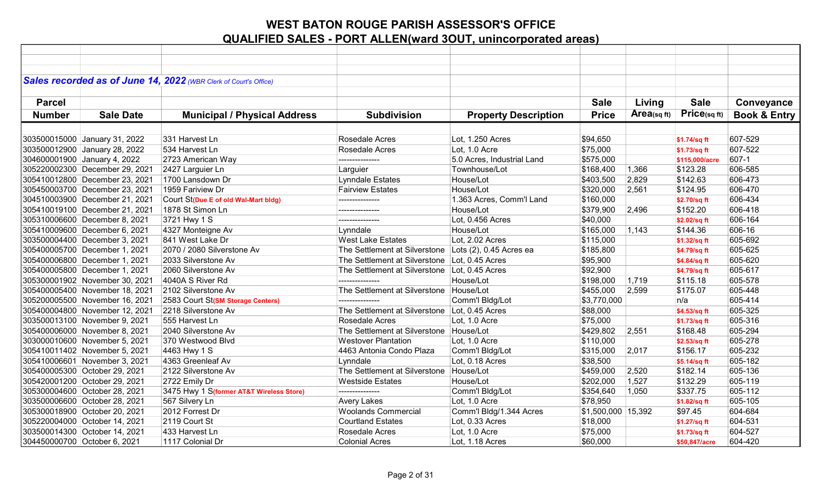|               |                                | Sales recorded as of June 14, 2022 (WBR Clerk of Court's Office) |                                                       |                             |                    |                |                |                         |
|---------------|--------------------------------|------------------------------------------------------------------|-------------------------------------------------------|-----------------------------|--------------------|----------------|----------------|-------------------------|
|               |                                |                                                                  |                                                       |                             |                    |                |                |                         |
| <b>Parcel</b> |                                |                                                                  |                                                       |                             | <b>Sale</b>        | Living         | <b>Sale</b>    | Conveyance              |
| <b>Number</b> | <b>Sale Date</b>               | <b>Municipal / Physical Address</b>                              | <b>Subdivision</b>                                    | <b>Property Description</b> | <b>Price</b>       | Area(sq $ft$ ) | Price(sq ft)   | <b>Book &amp; Entry</b> |
|               |                                |                                                                  |                                                       |                             |                    |                |                |                         |
|               | 303500015000 January 31, 2022  | 331 Harvest Ln                                                   | Rosedale Acres                                        | Lot, 1.250 Acres            | \$94,650           |                | \$1.74/sq ft   | 607-529                 |
|               | 303500012900 January 28, 2022  | 534 Harvest Ln                                                   | <b>Rosedale Acres</b>                                 | Lot, 1.0 Acre               | \$75,000           |                | \$1.73/sq ft   | 607-522                 |
|               | 304600001900 January 4, 2022   | 2723 American Way                                                | ---------------                                       | 5.0 Acres, Industrial Land  | \$575,000          |                | \$115,000/acre | 607-1                   |
|               | 305220002300 December 29, 2021 | 2427 Larguier Ln                                                 | Larguier                                              | Townhouse/Lot               | \$168,400          | 1,366          | \$123.28       | 606-585                 |
|               | 305410012800 December 23, 2021 | 1700 Lansdown Dr                                                 | <b>Lynndale Estates</b>                               | House/Lot                   | \$403,500          | 2,829          | \$142.63       | 606-473                 |
|               | 305450003700 December 23, 2021 | 1959 Fariview Dr                                                 | <b>Fairview Estates</b>                               | House/Lot                   | \$320,000          | 2,561          | \$124.95       | 606-470                 |
|               | 304510003900 December 21, 2021 | Court St(Due E of old Wal-Mart bldg)                             | ---------------                                       | 1.363 Acres, Comm'l Land    | \$160,000          |                | \$2.70/sq ft   | 606-434                 |
|               | 305410019100 December 21, 2021 | 1878 St Simon Ln                                                 | ---------------                                       | House/Lot                   | \$379,900          | 2,496          | \$152.20       | 606-418                 |
|               | 305310006600 December 8, 2021  | 3721 Hwy 1 S                                                     | ---------------                                       | Lot, 0.456 Acres            | \$40,000           |                | \$2.02/sq ft   | 606-164                 |
|               | 305410009600 December 6, 2021  | 4327 Monteigne Av                                                | Lynndale                                              | House/Lot                   | \$165,000          | 1,143          | \$144.36       | 606-16                  |
|               | 303500004400 December 3, 2021  | 841 West Lake Dr                                                 | <b>West Lake Estates</b>                              | Lot, 2.02 Acres             | \$115,000          |                | \$1.32/sq ft   | 605-692                 |
|               | 305400005700 December 1, 2021  | 2070 / 2080 Silverstone Av                                       | The Settlement at Silverstone Lots (2), 0.45 Acres ea |                             | \$185,800          |                | \$4.79/sq ft   | 605-625                 |
|               | 305400006800 December 1, 2021  | 2033 Silverstone Av                                              | The Settlement at Silverstone Lot, 0.45 Acres         |                             | \$95,900           |                | \$4.84/sq ft   | 605-620                 |
|               | 305400005800 December 1, 2021  | 2060 Silverstone Av                                              | The Settlement at Silverstone Lot, 0.45 Acres         |                             | \$92,900           |                | \$4.79/sq ft   | 605-617                 |
|               | 305300001902 November 30, 2021 | 4040A S River Rd                                                 | ---------------                                       | House/Lot                   | \$198,000          | 1,719          | \$115.18       | 605-578                 |
|               | 305400005400 November 18, 2021 | 2102 Silverstone Av                                              | The Settlement at Silverstone   House/Lot             |                             | \$455,000          | 2,599          | \$175.07       | 605-448                 |
|               | 305200005500 November 16, 2021 | 2583 Court St(SM Storage Centers)                                |                                                       | Comm'l Bldg/Lot             | \$3,770,000        |                | n/a            | 605-414                 |
|               | 305400004800 November 12, 2021 | 2218 Silverstone Av                                              | The Settlement at Silverstone Lot, 0.45 Acres         |                             | \$88,000           |                | \$4.53/sq ft   | 605-325                 |
|               | 303500013100 November 9, 2021  | 555 Harvest Ln                                                   | Rosedale Acres                                        | Lot, 1.0 Acre               | \$75,000           |                | \$1.73/sq ft   | 605-316                 |
|               | 305400006000 November 8, 2021  | 2040 Silverstone Av                                              | The Settlement at Silverstone House/Lot               |                             | \$429,802          | 2,551          | \$168.48       | 605-294                 |
|               | 303000010600 November 5, 2021  | 370 Westwood Blvd                                                | <b>Westover Plantation</b>                            | Lot, 1.0 Acre               | \$110,000          |                | \$2.53/sq ft   | 605-278                 |
|               | 305410011402 November 5, 2021  | 4463 Hwy 1 S                                                     | 4463 Antonia Condo Plaza                              | Comm'l Bldg/Lot             | \$315,000          | 2,017          | \$156.17       | 605-232                 |
|               | 305410006601 November 3, 2021  | 4363 Greenleaf Av                                                | Lynndale                                              | Lot, 0.18 Acres             | \$38,500           |                | \$5.14/sq ft   | 605-182                 |
|               | 305400005300 October 29, 2021  | 2122 Silverstone Av                                              | The Settlement at Silverstone                         | House/Lot                   | \$459,000          | 2,520          | \$182.14       | 605-136                 |
|               | 305420001200 October 29, 2021  | 2722 Emily Dr                                                    | <b>Westside Estates</b>                               | House/Lot                   | \$202,000          | 1,527          | \$132.29       | 605-119                 |
|               | 305300004600 October 28, 2021  | 3475 Hwy 1 S(former AT&T Wireless Store)                         | ---------------                                       | Comm'l Bldg/Lot             | \$354,640          | 1,050          | \$337.75       | 605-112                 |
|               | 303500006600 October 28, 2021  | 567 Silvery Ln                                                   | <b>Avery Lakes</b>                                    | Lot, 1.0 Acre               | \$78,950           |                | \$1.82/sq ft   | 605-105                 |
|               | 305300018900 October 20, 2021  | 2012 Forrest Dr                                                  | <b>Woolands Commercial</b>                            | Comm'l Bldg/1.344 Acres     | \$1,500,000 15,392 |                | \$97.45        | 604-684                 |
|               | 305220004000 October 14, 2021  | 2119 Court St                                                    | <b>Courtland Estates</b>                              | Lot, 0.33 Acres             | \$18,000           |                | \$1.27/sq ft   | 604-531                 |
|               | 303500014300 October 14, 2021  | 433 Harvest Ln                                                   | Rosedale Acres                                        | Lot, 1.0 Acre               | \$75,000           |                | \$1.73/sq ft   | 604-527                 |
|               | 304450000700 October 6, 2021   | 1117 Colonial Dr                                                 | <b>Colonial Acres</b>                                 | Lot, 1.18 Acres             | \$60,000           |                | \$50.847/acre  | 604-420                 |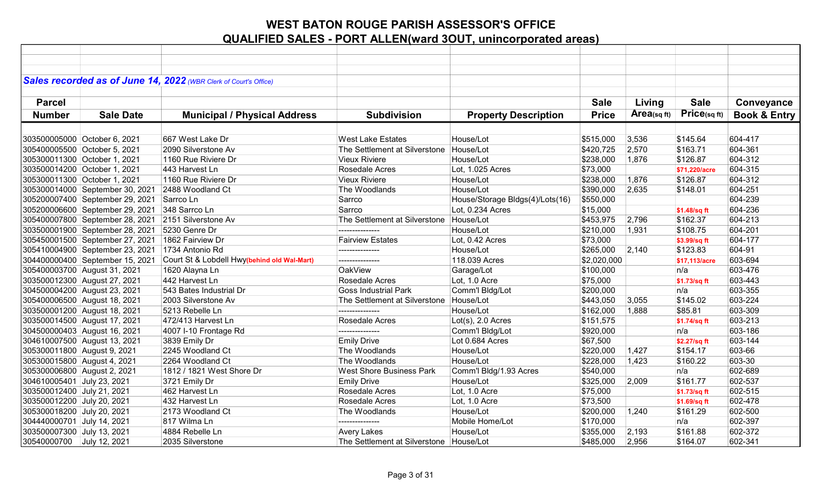|                             |                                 | Sales recorded as of June 14, 2022 (WBR Clerk of Court's Office) |                                           |                                 |              |             |               |                         |
|-----------------------------|---------------------------------|------------------------------------------------------------------|-------------------------------------------|---------------------------------|--------------|-------------|---------------|-------------------------|
|                             |                                 |                                                                  |                                           |                                 |              |             |               |                         |
| <b>Parcel</b>               |                                 |                                                                  |                                           |                                 | <b>Sale</b>  | Living      | <b>Sale</b>   | Conveyance              |
| <b>Number</b>               | <b>Sale Date</b>                |                                                                  |                                           |                                 | <b>Price</b> | Area(sq ft) | Price(sq ft)  | <b>Book &amp; Entry</b> |
|                             |                                 | <b>Municipal / Physical Address</b>                              | <b>Subdivision</b>                        | <b>Property Description</b>     |              |             |               |                         |
|                             |                                 |                                                                  |                                           |                                 |              |             |               |                         |
|                             | 303500005000 October 6, 2021    | 667 West Lake Dr                                                 | <b>West Lake Estates</b>                  | House/Lot                       | \$515,000    | 3,536       | \$145.64      | 604-417                 |
|                             | 305400005500 October 5, 2021    | 2090 Silverstone Av                                              | The Settlement at Silverstone   House/Lot |                                 | \$420,725    | 2,570       | \$163.71      | 604-361                 |
|                             | 305300011300 October 1, 2021    | 1160 Rue Riviere Dr                                              | <b>Vieux Riviere</b>                      | House/Lot                       | \$238,000    | 1,876       | \$126.87      | 604-312                 |
|                             | 303500014200 October 1, 2021    | 443 Harvest Ln                                                   | Rosedale Acres                            | Lot, 1.025 Acres                | \$73,000     |             | \$71,220/acre | 604-315                 |
|                             | 305300011300 October 1, 2021    | 1160 Rue Riviere Dr                                              | <b>Vieux Riviere</b>                      | House/Lot                       | \$238,000    | 1,876       | \$126.87      | 604-312                 |
|                             | 305300014000 September 30, 2021 | 2488 Woodland Ct                                                 | The Woodlands                             | House/Lot                       | \$390,000    | 2,635       | \$148.01      | 604-251                 |
|                             | 305200007400 September 29, 2021 | Sarrco Ln                                                        | Sarrco                                    | House/Storage Bldgs(4)/Lots(16) | \$550,000    |             |               | 604-239                 |
|                             | 305200006600 September 29, 2021 | 348 Sarrco Ln                                                    | Sarrco                                    | Lot, 0.234 Acres                | \$15,000     |             | \$1.48/sq ft  | 604-236                 |
|                             | 305400007800 September 28, 2021 | 2151 Silverstone Av                                              | The Settlement at Silverstone   House/Lot |                                 | \$453,975    | 2,796       | \$162.37      | 604-213                 |
|                             | 303500001900 September 28, 2021 | 5230 Genre Dr                                                    | ---------------                           | House/Lot                       | \$210,000    | 1,931       | \$108.75      | 604-201                 |
|                             | 305450001500 September 27, 2021 | 1862 Fairview Dr                                                 | <b>Fairview Estates</b>                   | Lot, 0.42 Acres                 | \$73,000     |             | \$3.99/sq ft  | 604-177                 |
|                             | 305410004900 September 23, 2021 | 1734 Antonio Rd                                                  | ---------------                           | House/Lot                       | \$265,000    | 2,140       | \$123.83      | 604-91                  |
|                             | 304400000400 September 15, 2021 | Court St & Lobdell Hwy(behind old Wal-Mart)                      | ---------------                           | 118.039 Acres                   | \$2,020,000  |             | \$17.113/acre | 603-694                 |
|                             | 305400003700 August 31, 2021    | 1620 Alayna Ln                                                   | <b>OakView</b>                            | Garage/Lot                      | \$100,000    |             | n/a           | 603-476                 |
|                             | 303500012300 August 27, 2021    | 442 Harvest Ln                                                   | Rosedale Acres                            | Lot, 1.0 Acre                   | \$75,000     |             | \$1.73/sq ft  | 603-443                 |
|                             | 304500004200 August 23, 2021    | 543 Bates Industrial Dr                                          | <b>Goss Industrial Park</b>               | Comm'l Bldg/Lot                 | \$200,000    |             | n/a           | 603-355                 |
|                             | 305400006500 August 18, 2021    | 2003 Silverstone Av                                              | The Settlement at Silverstone House/Lot   |                                 | \$443,050    | 3,055       | \$145.02      | 603-224                 |
|                             | 303500001200 August 18, 2021    | 5213 Rebelle Ln                                                  | ---------------                           | House/Lot                       | \$162,000    | 1,888       | \$85.81       | 603-309                 |
|                             | 303500014500 August 17, 2021    | 472/413 Harvest Ln                                               | Rosedale Acres                            | $Lot(s)$ , 2.0 Acres            | \$151,575    |             | \$1.74/sq ft  | 603-213                 |
|                             | 304500000403 August 16, 2021    | 4007 I-10 Frontage Rd                                            |                                           | Comm'l Bldg/Lot                 | \$920,000    |             | n/a           | 603-186                 |
|                             | 304610007500 August 13, 2021    | 3839 Emily Dr                                                    | <b>Emily Drive</b>                        | Lot 0.684 Acres                 | \$67,500     |             | \$2.27/sq ft  | 603-144                 |
| 305300011800 August 9, 2021 |                                 | 2245 Woodland Ct                                                 | The Woodlands                             | House/Lot                       | \$220,000    | 1,427       | \$154.17      | 603-66                  |
| 305300015800 August 4, 2021 |                                 | 2264 Woodland Ct                                                 | The Woodlands                             | House/Lot                       | \$228,000    | 1,423       | \$160.22      | 603-30                  |
| 305300006800 August 2, 2021 |                                 | 1812 / 1821 West Shore Dr                                        | <b>West Shore Business Park</b>           | Comm'l Bldg/1.93 Acres          | \$540,000    |             | n/a           | 602-689                 |
| 304610005401 July 23, 2021  |                                 | 3721 Emily Dr                                                    | <b>Emily Drive</b>                        | House/Lot                       | \$325,000    | 2,009       | \$161.77      | 602-537                 |
| 303500012400 July 21, 2021  |                                 | 462 Harvest Ln                                                   | Rosedale Acres                            | Lot, 1.0 Acre                   | \$75,000     |             | \$1.73/sq ft  | 602-515                 |
| 303500012200 July 20, 2021  |                                 | 432 Harvest Ln                                                   | Rosedale Acres                            | Lot, 1.0 Acre                   | \$73,500     |             | \$1.69/sq ft  | 602-478                 |
| 305300018200 July 20, 2021  |                                 | 2173 Woodland Ct                                                 | The Woodlands                             | House/Lot                       | \$200,000    | 1,240       | \$161.29      | 602-500                 |
| 304440000701 July 14, 2021  |                                 | 817 Wilma Ln                                                     | ---------------                           | Mobile Home/Lot                 | \$170,000    |             | n/a           | 602-397                 |
| 303500007300 July 13, 2021  |                                 | 4884 Rebelle Ln                                                  | <b>Avery Lakes</b>                        | House/Lot                       | \$355,000    | 2,193       | \$161.88      | 602-372                 |
| 30540000700 July 12, 2021   |                                 | 2035 Silverstone                                                 | The Settlement at Silverstone   House/Lot |                                 | \$485,000    | 2,956       | \$164.07      | 602-341                 |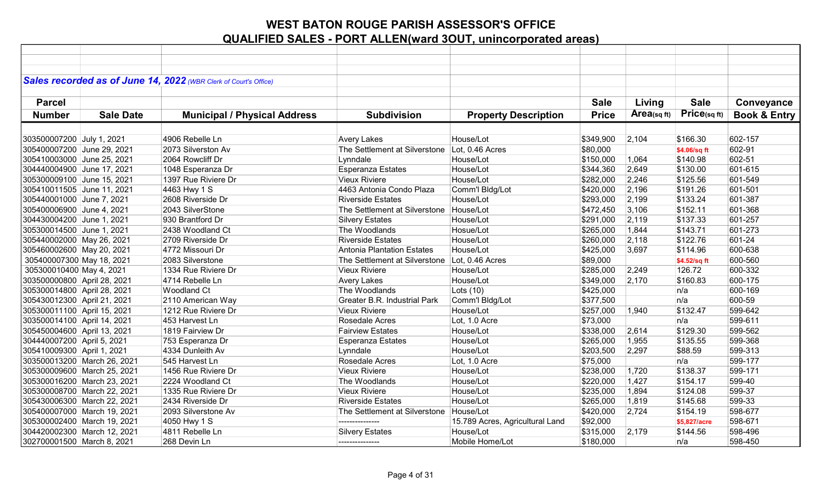| Sales recorded as of June 14, 2022 (WBR Clerk of Court's Office)<br><b>Sale</b><br><b>Sale</b><br>Living<br>Conveyance<br><b>Parcel</b><br>$Price_{(sq ft)}$<br>Area(sq ft)<br><b>Price</b><br><b>Book &amp; Entry</b><br><b>Number</b><br><b>Sale Date</b><br><b>Municipal / Physical Address</b><br><b>Subdivision</b><br><b>Property Description</b><br>303500007200 July 1, 2021<br>4906 Rebelle Ln<br>House/Lot<br>2,104<br>602-157<br><b>Avery Lakes</b><br>\$349,900<br>\$166.30<br>2073 Silverston Av<br>The Settlement at Silverstone<br>305400007200 June 29, 2021<br>Lot, 0.46 Acres<br>\$80,000<br>602-91<br>\$4.06/sq ft<br>305410003000 June 25, 2021<br>2064 Rowcliff Dr<br>Lynndale<br>House/Lot<br>1,064<br>\$140.98<br>602-51<br>\$150,000<br><b>Esperanza Estates</b><br>2,649<br>\$130.00<br>601-615<br>304440004900 June 17, 2021<br>1048 Esperanza Dr<br>House/Lot<br>\$344,360<br>305300009100 June 15, 2021<br>1397 Rue Riviere Dr<br><b>Vieux Riviere</b><br>House/Lot<br>2,246<br>\$125.56<br>601-549<br>\$282,000<br>305410011505 June 11, 2021<br>4463 Hwy 1 S<br>4463 Antonia Condo Plaza<br>Comm'l Bldg/Lot<br>\$420,000<br>2,196<br>\$191.26<br>601-501<br>2608 Riverside Dr<br>2,199<br>\$133.24<br>305440001000 June 7, 2021<br><b>Riverside Estates</b><br>House/Lot<br>\$293,000<br>601-387<br>2043 SilverStone<br>3,106<br>\$152.11<br>601-368<br>305400006900 June 4, 2021<br>The Settlement at Silverstone   House/Lot<br>\$472,450<br>2,119<br>304430004200 June 1, 2021<br>930 Brantford Dr<br>House/Lot<br>\$291,000<br>\$137.33<br>601-257<br><b>Silvery Estates</b><br>601-273<br>305300014500 June 1, 2021<br>2438 Woodland Ct<br>The Woodlands<br>1,844<br>\$143.71<br>Hosue/Lot<br>\$265,000<br>305440002000 May 26, 2021<br>2709 Riverside Dr<br>2,118<br>601-24<br><b>Riverside Estates</b><br>House/Lot<br>\$260,000<br>\$122.76<br>600-638<br>305460002600 May 20, 2021<br>4772 Missouri Dr<br>Antonia Plantation Estates<br>House/Lot<br>\$425,000<br>3,697<br>\$114.96<br>305400007300 May 18, 2021<br>2083 Silverstone<br>The Settlement at Silverstone<br>Lot, 0.46 Acres<br>\$89,000<br>600-560<br>\$4.52/sq ft<br>2,249<br>600-332<br>305300010400 May 4, 2021<br>1334 Rue Riviere Dr<br><b>Vieux Riviere</b><br>House/Lot<br>\$285,000<br>126.72<br>303500000800 April 28, 2021<br>4714 Rebelle Ln<br>House/Lot<br>2,170<br>\$160.83<br>600-175<br><b>Avery Lakes</b><br>\$349,000<br>305300014800 April 28, 2021<br><b>Woodland Ct</b><br>The Woodlands<br>Lots $(10)$<br>\$425,000<br>600-169<br>n/a<br><b>Greater B.R. Industrial Park</b><br>n/a<br>600-59<br>305430012300 April 21, 2021<br>2110 American Way<br>Comm'l Bldg/Lot<br>\$377,500<br><b>Vieux Riviere</b><br>\$132.47<br>599-642<br>305300011100 April 15, 2021<br>1212 Rue Riviere Dr<br>House/Lot<br>\$257,000<br>1,940<br>599-611<br>303500014100 April 14, 2021<br>453 Harvest Ln<br>Rosedale Acres<br>Lot, 1.0 Acre<br>\$73,000<br>n/a<br>1819 Fairview Dr<br>599-562<br>305450004600 April 13, 2021<br><b>Fairview Estates</b><br>House/Lot<br>\$338,000<br>2,614<br>\$129.30<br>599-368<br>304440007200 April 5, 2021<br>753 Esperanza Dr<br>House/Lot<br>\$265,000<br>1,955<br>\$135.55<br><b>Esperanza Estates</b><br>599-313<br>305410009300 April 1, 2021<br>4334 Dunleith Av<br>House/Lot<br>2,297<br>\$88.59<br>Lynndale<br>\$203,500<br>545 Harvest Ln<br>Rosedale Acres<br>\$75,000<br>599-177<br>303500013200 March 26, 2021<br>Lot, 1.0 Acre<br>n/a<br><b>Vieux Riviere</b><br>599-171<br>305300009600 March 25, 2021<br>1456 Rue Riviere Dr<br>House/Lot<br>\$238,000<br>1,720<br>\$138.37<br>599-40<br>305300016200 March 23, 2021<br>2224 Woodland Ct<br>The Woodlands<br>House/Lot<br>\$220,000<br>1,427<br>\$154.17<br>599-37<br>305300008700 March 22, 2021<br><b>Vieux Riviere</b><br>\$235,000<br>1,894<br>\$124.08<br>1335 Rue Riviere Dr<br>House/Lot<br><b>Riverside Estates</b><br>\$145.68<br>599-33<br>305430006300 March 22, 2021<br>2434 Riverside Dr<br>House/Lot<br>\$265,000<br>1,819<br>305400007000 March 19, 2021 |  |                     |                               |           |           |       |          |         |
|------------------------------------------------------------------------------------------------------------------------------------------------------------------------------------------------------------------------------------------------------------------------------------------------------------------------------------------------------------------------------------------------------------------------------------------------------------------------------------------------------------------------------------------------------------------------------------------------------------------------------------------------------------------------------------------------------------------------------------------------------------------------------------------------------------------------------------------------------------------------------------------------------------------------------------------------------------------------------------------------------------------------------------------------------------------------------------------------------------------------------------------------------------------------------------------------------------------------------------------------------------------------------------------------------------------------------------------------------------------------------------------------------------------------------------------------------------------------------------------------------------------------------------------------------------------------------------------------------------------------------------------------------------------------------------------------------------------------------------------------------------------------------------------------------------------------------------------------------------------------------------------------------------------------------------------------------------------------------------------------------------------------------------------------------------------------------------------------------------------------------------------------------------------------------------------------------------------------------------------------------------------------------------------------------------------------------------------------------------------------------------------------------------------------------------------------------------------------------------------------------------------------------------------------------------------------------------------------------------------------------------------------------------------------------------------------------------------------------------------------------------------------------------------------------------------------------------------------------------------------------------------------------------------------------------------------------------------------------------------------------------------------------------------------------------------------------------------------------------------------------------------------------------------------------------------------------------------------------------------------------------------------------------------------------------------------------------------------------------------------------------------------------------------------------------------------------------------------------------------------------------------------------------------------------------------------------------------------------------------------------------------------------------------------------------------------------------------------------------------------------------------------------------------------------------------------------------------------------------------------------------------------------------------------------------------------------------------------------------------------------------------------------------------------------------------------------------|--|---------------------|-------------------------------|-----------|-----------|-------|----------|---------|
|                                                                                                                                                                                                                                                                                                                                                                                                                                                                                                                                                                                                                                                                                                                                                                                                                                                                                                                                                                                                                                                                                                                                                                                                                                                                                                                                                                                                                                                                                                                                                                                                                                                                                                                                                                                                                                                                                                                                                                                                                                                                                                                                                                                                                                                                                                                                                                                                                                                                                                                                                                                                                                                                                                                                                                                                                                                                                                                                                                                                                                                                                                                                                                                                                                                                                                                                                                                                                                                                                                                                                                                                                                                                                                                                                                                                                                                                                                                                                                                                                                                                                    |  |                     |                               |           |           |       |          |         |
|                                                                                                                                                                                                                                                                                                                                                                                                                                                                                                                                                                                                                                                                                                                                                                                                                                                                                                                                                                                                                                                                                                                                                                                                                                                                                                                                                                                                                                                                                                                                                                                                                                                                                                                                                                                                                                                                                                                                                                                                                                                                                                                                                                                                                                                                                                                                                                                                                                                                                                                                                                                                                                                                                                                                                                                                                                                                                                                                                                                                                                                                                                                                                                                                                                                                                                                                                                                                                                                                                                                                                                                                                                                                                                                                                                                                                                                                                                                                                                                                                                                                                    |  |                     |                               |           |           |       |          |         |
|                                                                                                                                                                                                                                                                                                                                                                                                                                                                                                                                                                                                                                                                                                                                                                                                                                                                                                                                                                                                                                                                                                                                                                                                                                                                                                                                                                                                                                                                                                                                                                                                                                                                                                                                                                                                                                                                                                                                                                                                                                                                                                                                                                                                                                                                                                                                                                                                                                                                                                                                                                                                                                                                                                                                                                                                                                                                                                                                                                                                                                                                                                                                                                                                                                                                                                                                                                                                                                                                                                                                                                                                                                                                                                                                                                                                                                                                                                                                                                                                                                                                                    |  |                     |                               |           |           |       |          |         |
|                                                                                                                                                                                                                                                                                                                                                                                                                                                                                                                                                                                                                                                                                                                                                                                                                                                                                                                                                                                                                                                                                                                                                                                                                                                                                                                                                                                                                                                                                                                                                                                                                                                                                                                                                                                                                                                                                                                                                                                                                                                                                                                                                                                                                                                                                                                                                                                                                                                                                                                                                                                                                                                                                                                                                                                                                                                                                                                                                                                                                                                                                                                                                                                                                                                                                                                                                                                                                                                                                                                                                                                                                                                                                                                                                                                                                                                                                                                                                                                                                                                                                    |  |                     |                               |           |           |       |          |         |
|                                                                                                                                                                                                                                                                                                                                                                                                                                                                                                                                                                                                                                                                                                                                                                                                                                                                                                                                                                                                                                                                                                                                                                                                                                                                                                                                                                                                                                                                                                                                                                                                                                                                                                                                                                                                                                                                                                                                                                                                                                                                                                                                                                                                                                                                                                                                                                                                                                                                                                                                                                                                                                                                                                                                                                                                                                                                                                                                                                                                                                                                                                                                                                                                                                                                                                                                                                                                                                                                                                                                                                                                                                                                                                                                                                                                                                                                                                                                                                                                                                                                                    |  |                     |                               |           |           |       |          |         |
|                                                                                                                                                                                                                                                                                                                                                                                                                                                                                                                                                                                                                                                                                                                                                                                                                                                                                                                                                                                                                                                                                                                                                                                                                                                                                                                                                                                                                                                                                                                                                                                                                                                                                                                                                                                                                                                                                                                                                                                                                                                                                                                                                                                                                                                                                                                                                                                                                                                                                                                                                                                                                                                                                                                                                                                                                                                                                                                                                                                                                                                                                                                                                                                                                                                                                                                                                                                                                                                                                                                                                                                                                                                                                                                                                                                                                                                                                                                                                                                                                                                                                    |  |                     |                               |           |           |       |          |         |
|                                                                                                                                                                                                                                                                                                                                                                                                                                                                                                                                                                                                                                                                                                                                                                                                                                                                                                                                                                                                                                                                                                                                                                                                                                                                                                                                                                                                                                                                                                                                                                                                                                                                                                                                                                                                                                                                                                                                                                                                                                                                                                                                                                                                                                                                                                                                                                                                                                                                                                                                                                                                                                                                                                                                                                                                                                                                                                                                                                                                                                                                                                                                                                                                                                                                                                                                                                                                                                                                                                                                                                                                                                                                                                                                                                                                                                                                                                                                                                                                                                                                                    |  |                     |                               |           |           |       |          |         |
|                                                                                                                                                                                                                                                                                                                                                                                                                                                                                                                                                                                                                                                                                                                                                                                                                                                                                                                                                                                                                                                                                                                                                                                                                                                                                                                                                                                                                                                                                                                                                                                                                                                                                                                                                                                                                                                                                                                                                                                                                                                                                                                                                                                                                                                                                                                                                                                                                                                                                                                                                                                                                                                                                                                                                                                                                                                                                                                                                                                                                                                                                                                                                                                                                                                                                                                                                                                                                                                                                                                                                                                                                                                                                                                                                                                                                                                                                                                                                                                                                                                                                    |  |                     |                               |           |           |       |          |         |
|                                                                                                                                                                                                                                                                                                                                                                                                                                                                                                                                                                                                                                                                                                                                                                                                                                                                                                                                                                                                                                                                                                                                                                                                                                                                                                                                                                                                                                                                                                                                                                                                                                                                                                                                                                                                                                                                                                                                                                                                                                                                                                                                                                                                                                                                                                                                                                                                                                                                                                                                                                                                                                                                                                                                                                                                                                                                                                                                                                                                                                                                                                                                                                                                                                                                                                                                                                                                                                                                                                                                                                                                                                                                                                                                                                                                                                                                                                                                                                                                                                                                                    |  |                     |                               |           |           |       |          |         |
|                                                                                                                                                                                                                                                                                                                                                                                                                                                                                                                                                                                                                                                                                                                                                                                                                                                                                                                                                                                                                                                                                                                                                                                                                                                                                                                                                                                                                                                                                                                                                                                                                                                                                                                                                                                                                                                                                                                                                                                                                                                                                                                                                                                                                                                                                                                                                                                                                                                                                                                                                                                                                                                                                                                                                                                                                                                                                                                                                                                                                                                                                                                                                                                                                                                                                                                                                                                                                                                                                                                                                                                                                                                                                                                                                                                                                                                                                                                                                                                                                                                                                    |  |                     |                               |           |           |       |          |         |
|                                                                                                                                                                                                                                                                                                                                                                                                                                                                                                                                                                                                                                                                                                                                                                                                                                                                                                                                                                                                                                                                                                                                                                                                                                                                                                                                                                                                                                                                                                                                                                                                                                                                                                                                                                                                                                                                                                                                                                                                                                                                                                                                                                                                                                                                                                                                                                                                                                                                                                                                                                                                                                                                                                                                                                                                                                                                                                                                                                                                                                                                                                                                                                                                                                                                                                                                                                                                                                                                                                                                                                                                                                                                                                                                                                                                                                                                                                                                                                                                                                                                                    |  |                     |                               |           |           |       |          |         |
|                                                                                                                                                                                                                                                                                                                                                                                                                                                                                                                                                                                                                                                                                                                                                                                                                                                                                                                                                                                                                                                                                                                                                                                                                                                                                                                                                                                                                                                                                                                                                                                                                                                                                                                                                                                                                                                                                                                                                                                                                                                                                                                                                                                                                                                                                                                                                                                                                                                                                                                                                                                                                                                                                                                                                                                                                                                                                                                                                                                                                                                                                                                                                                                                                                                                                                                                                                                                                                                                                                                                                                                                                                                                                                                                                                                                                                                                                                                                                                                                                                                                                    |  |                     |                               |           |           |       |          |         |
|                                                                                                                                                                                                                                                                                                                                                                                                                                                                                                                                                                                                                                                                                                                                                                                                                                                                                                                                                                                                                                                                                                                                                                                                                                                                                                                                                                                                                                                                                                                                                                                                                                                                                                                                                                                                                                                                                                                                                                                                                                                                                                                                                                                                                                                                                                                                                                                                                                                                                                                                                                                                                                                                                                                                                                                                                                                                                                                                                                                                                                                                                                                                                                                                                                                                                                                                                                                                                                                                                                                                                                                                                                                                                                                                                                                                                                                                                                                                                                                                                                                                                    |  |                     |                               |           |           |       |          |         |
|                                                                                                                                                                                                                                                                                                                                                                                                                                                                                                                                                                                                                                                                                                                                                                                                                                                                                                                                                                                                                                                                                                                                                                                                                                                                                                                                                                                                                                                                                                                                                                                                                                                                                                                                                                                                                                                                                                                                                                                                                                                                                                                                                                                                                                                                                                                                                                                                                                                                                                                                                                                                                                                                                                                                                                                                                                                                                                                                                                                                                                                                                                                                                                                                                                                                                                                                                                                                                                                                                                                                                                                                                                                                                                                                                                                                                                                                                                                                                                                                                                                                                    |  |                     |                               |           |           |       |          |         |
|                                                                                                                                                                                                                                                                                                                                                                                                                                                                                                                                                                                                                                                                                                                                                                                                                                                                                                                                                                                                                                                                                                                                                                                                                                                                                                                                                                                                                                                                                                                                                                                                                                                                                                                                                                                                                                                                                                                                                                                                                                                                                                                                                                                                                                                                                                                                                                                                                                                                                                                                                                                                                                                                                                                                                                                                                                                                                                                                                                                                                                                                                                                                                                                                                                                                                                                                                                                                                                                                                                                                                                                                                                                                                                                                                                                                                                                                                                                                                                                                                                                                                    |  |                     |                               |           |           |       |          |         |
|                                                                                                                                                                                                                                                                                                                                                                                                                                                                                                                                                                                                                                                                                                                                                                                                                                                                                                                                                                                                                                                                                                                                                                                                                                                                                                                                                                                                                                                                                                                                                                                                                                                                                                                                                                                                                                                                                                                                                                                                                                                                                                                                                                                                                                                                                                                                                                                                                                                                                                                                                                                                                                                                                                                                                                                                                                                                                                                                                                                                                                                                                                                                                                                                                                                                                                                                                                                                                                                                                                                                                                                                                                                                                                                                                                                                                                                                                                                                                                                                                                                                                    |  |                     |                               |           |           |       |          |         |
|                                                                                                                                                                                                                                                                                                                                                                                                                                                                                                                                                                                                                                                                                                                                                                                                                                                                                                                                                                                                                                                                                                                                                                                                                                                                                                                                                                                                                                                                                                                                                                                                                                                                                                                                                                                                                                                                                                                                                                                                                                                                                                                                                                                                                                                                                                                                                                                                                                                                                                                                                                                                                                                                                                                                                                                                                                                                                                                                                                                                                                                                                                                                                                                                                                                                                                                                                                                                                                                                                                                                                                                                                                                                                                                                                                                                                                                                                                                                                                                                                                                                                    |  |                     |                               |           |           |       |          |         |
|                                                                                                                                                                                                                                                                                                                                                                                                                                                                                                                                                                                                                                                                                                                                                                                                                                                                                                                                                                                                                                                                                                                                                                                                                                                                                                                                                                                                                                                                                                                                                                                                                                                                                                                                                                                                                                                                                                                                                                                                                                                                                                                                                                                                                                                                                                                                                                                                                                                                                                                                                                                                                                                                                                                                                                                                                                                                                                                                                                                                                                                                                                                                                                                                                                                                                                                                                                                                                                                                                                                                                                                                                                                                                                                                                                                                                                                                                                                                                                                                                                                                                    |  |                     |                               |           |           |       |          |         |
|                                                                                                                                                                                                                                                                                                                                                                                                                                                                                                                                                                                                                                                                                                                                                                                                                                                                                                                                                                                                                                                                                                                                                                                                                                                                                                                                                                                                                                                                                                                                                                                                                                                                                                                                                                                                                                                                                                                                                                                                                                                                                                                                                                                                                                                                                                                                                                                                                                                                                                                                                                                                                                                                                                                                                                                                                                                                                                                                                                                                                                                                                                                                                                                                                                                                                                                                                                                                                                                                                                                                                                                                                                                                                                                                                                                                                                                                                                                                                                                                                                                                                    |  |                     |                               |           |           |       |          |         |
|                                                                                                                                                                                                                                                                                                                                                                                                                                                                                                                                                                                                                                                                                                                                                                                                                                                                                                                                                                                                                                                                                                                                                                                                                                                                                                                                                                                                                                                                                                                                                                                                                                                                                                                                                                                                                                                                                                                                                                                                                                                                                                                                                                                                                                                                                                                                                                                                                                                                                                                                                                                                                                                                                                                                                                                                                                                                                                                                                                                                                                                                                                                                                                                                                                                                                                                                                                                                                                                                                                                                                                                                                                                                                                                                                                                                                                                                                                                                                                                                                                                                                    |  |                     |                               |           |           |       |          |         |
|                                                                                                                                                                                                                                                                                                                                                                                                                                                                                                                                                                                                                                                                                                                                                                                                                                                                                                                                                                                                                                                                                                                                                                                                                                                                                                                                                                                                                                                                                                                                                                                                                                                                                                                                                                                                                                                                                                                                                                                                                                                                                                                                                                                                                                                                                                                                                                                                                                                                                                                                                                                                                                                                                                                                                                                                                                                                                                                                                                                                                                                                                                                                                                                                                                                                                                                                                                                                                                                                                                                                                                                                                                                                                                                                                                                                                                                                                                                                                                                                                                                                                    |  |                     |                               |           |           |       |          |         |
|                                                                                                                                                                                                                                                                                                                                                                                                                                                                                                                                                                                                                                                                                                                                                                                                                                                                                                                                                                                                                                                                                                                                                                                                                                                                                                                                                                                                                                                                                                                                                                                                                                                                                                                                                                                                                                                                                                                                                                                                                                                                                                                                                                                                                                                                                                                                                                                                                                                                                                                                                                                                                                                                                                                                                                                                                                                                                                                                                                                                                                                                                                                                                                                                                                                                                                                                                                                                                                                                                                                                                                                                                                                                                                                                                                                                                                                                                                                                                                                                                                                                                    |  |                     |                               |           |           |       |          |         |
|                                                                                                                                                                                                                                                                                                                                                                                                                                                                                                                                                                                                                                                                                                                                                                                                                                                                                                                                                                                                                                                                                                                                                                                                                                                                                                                                                                                                                                                                                                                                                                                                                                                                                                                                                                                                                                                                                                                                                                                                                                                                                                                                                                                                                                                                                                                                                                                                                                                                                                                                                                                                                                                                                                                                                                                                                                                                                                                                                                                                                                                                                                                                                                                                                                                                                                                                                                                                                                                                                                                                                                                                                                                                                                                                                                                                                                                                                                                                                                                                                                                                                    |  |                     |                               |           |           |       |          |         |
|                                                                                                                                                                                                                                                                                                                                                                                                                                                                                                                                                                                                                                                                                                                                                                                                                                                                                                                                                                                                                                                                                                                                                                                                                                                                                                                                                                                                                                                                                                                                                                                                                                                                                                                                                                                                                                                                                                                                                                                                                                                                                                                                                                                                                                                                                                                                                                                                                                                                                                                                                                                                                                                                                                                                                                                                                                                                                                                                                                                                                                                                                                                                                                                                                                                                                                                                                                                                                                                                                                                                                                                                                                                                                                                                                                                                                                                                                                                                                                                                                                                                                    |  |                     |                               |           |           |       |          |         |
|                                                                                                                                                                                                                                                                                                                                                                                                                                                                                                                                                                                                                                                                                                                                                                                                                                                                                                                                                                                                                                                                                                                                                                                                                                                                                                                                                                                                                                                                                                                                                                                                                                                                                                                                                                                                                                                                                                                                                                                                                                                                                                                                                                                                                                                                                                                                                                                                                                                                                                                                                                                                                                                                                                                                                                                                                                                                                                                                                                                                                                                                                                                                                                                                                                                                                                                                                                                                                                                                                                                                                                                                                                                                                                                                                                                                                                                                                                                                                                                                                                                                                    |  |                     |                               |           |           |       |          |         |
|                                                                                                                                                                                                                                                                                                                                                                                                                                                                                                                                                                                                                                                                                                                                                                                                                                                                                                                                                                                                                                                                                                                                                                                                                                                                                                                                                                                                                                                                                                                                                                                                                                                                                                                                                                                                                                                                                                                                                                                                                                                                                                                                                                                                                                                                                                                                                                                                                                                                                                                                                                                                                                                                                                                                                                                                                                                                                                                                                                                                                                                                                                                                                                                                                                                                                                                                                                                                                                                                                                                                                                                                                                                                                                                                                                                                                                                                                                                                                                                                                                                                                    |  |                     |                               |           |           |       |          |         |
|                                                                                                                                                                                                                                                                                                                                                                                                                                                                                                                                                                                                                                                                                                                                                                                                                                                                                                                                                                                                                                                                                                                                                                                                                                                                                                                                                                                                                                                                                                                                                                                                                                                                                                                                                                                                                                                                                                                                                                                                                                                                                                                                                                                                                                                                                                                                                                                                                                                                                                                                                                                                                                                                                                                                                                                                                                                                                                                                                                                                                                                                                                                                                                                                                                                                                                                                                                                                                                                                                                                                                                                                                                                                                                                                                                                                                                                                                                                                                                                                                                                                                    |  |                     |                               |           |           |       |          |         |
|                                                                                                                                                                                                                                                                                                                                                                                                                                                                                                                                                                                                                                                                                                                                                                                                                                                                                                                                                                                                                                                                                                                                                                                                                                                                                                                                                                                                                                                                                                                                                                                                                                                                                                                                                                                                                                                                                                                                                                                                                                                                                                                                                                                                                                                                                                                                                                                                                                                                                                                                                                                                                                                                                                                                                                                                                                                                                                                                                                                                                                                                                                                                                                                                                                                                                                                                                                                                                                                                                                                                                                                                                                                                                                                                                                                                                                                                                                                                                                                                                                                                                    |  |                     |                               |           |           |       |          |         |
|                                                                                                                                                                                                                                                                                                                                                                                                                                                                                                                                                                                                                                                                                                                                                                                                                                                                                                                                                                                                                                                                                                                                                                                                                                                                                                                                                                                                                                                                                                                                                                                                                                                                                                                                                                                                                                                                                                                                                                                                                                                                                                                                                                                                                                                                                                                                                                                                                                                                                                                                                                                                                                                                                                                                                                                                                                                                                                                                                                                                                                                                                                                                                                                                                                                                                                                                                                                                                                                                                                                                                                                                                                                                                                                                                                                                                                                                                                                                                                                                                                                                                    |  |                     |                               |           |           |       |          |         |
|                                                                                                                                                                                                                                                                                                                                                                                                                                                                                                                                                                                                                                                                                                                                                                                                                                                                                                                                                                                                                                                                                                                                                                                                                                                                                                                                                                                                                                                                                                                                                                                                                                                                                                                                                                                                                                                                                                                                                                                                                                                                                                                                                                                                                                                                                                                                                                                                                                                                                                                                                                                                                                                                                                                                                                                                                                                                                                                                                                                                                                                                                                                                                                                                                                                                                                                                                                                                                                                                                                                                                                                                                                                                                                                                                                                                                                                                                                                                                                                                                                                                                    |  |                     |                               |           |           |       |          |         |
|                                                                                                                                                                                                                                                                                                                                                                                                                                                                                                                                                                                                                                                                                                                                                                                                                                                                                                                                                                                                                                                                                                                                                                                                                                                                                                                                                                                                                                                                                                                                                                                                                                                                                                                                                                                                                                                                                                                                                                                                                                                                                                                                                                                                                                                                                                                                                                                                                                                                                                                                                                                                                                                                                                                                                                                                                                                                                                                                                                                                                                                                                                                                                                                                                                                                                                                                                                                                                                                                                                                                                                                                                                                                                                                                                                                                                                                                                                                                                                                                                                                                                    |  |                     |                               |           |           |       |          |         |
|                                                                                                                                                                                                                                                                                                                                                                                                                                                                                                                                                                                                                                                                                                                                                                                                                                                                                                                                                                                                                                                                                                                                                                                                                                                                                                                                                                                                                                                                                                                                                                                                                                                                                                                                                                                                                                                                                                                                                                                                                                                                                                                                                                                                                                                                                                                                                                                                                                                                                                                                                                                                                                                                                                                                                                                                                                                                                                                                                                                                                                                                                                                                                                                                                                                                                                                                                                                                                                                                                                                                                                                                                                                                                                                                                                                                                                                                                                                                                                                                                                                                                    |  |                     |                               |           |           |       |          |         |
|                                                                                                                                                                                                                                                                                                                                                                                                                                                                                                                                                                                                                                                                                                                                                                                                                                                                                                                                                                                                                                                                                                                                                                                                                                                                                                                                                                                                                                                                                                                                                                                                                                                                                                                                                                                                                                                                                                                                                                                                                                                                                                                                                                                                                                                                                                                                                                                                                                                                                                                                                                                                                                                                                                                                                                                                                                                                                                                                                                                                                                                                                                                                                                                                                                                                                                                                                                                                                                                                                                                                                                                                                                                                                                                                                                                                                                                                                                                                                                                                                                                                                    |  |                     |                               |           |           |       |          |         |
|                                                                                                                                                                                                                                                                                                                                                                                                                                                                                                                                                                                                                                                                                                                                                                                                                                                                                                                                                                                                                                                                                                                                                                                                                                                                                                                                                                                                                                                                                                                                                                                                                                                                                                                                                                                                                                                                                                                                                                                                                                                                                                                                                                                                                                                                                                                                                                                                                                                                                                                                                                                                                                                                                                                                                                                                                                                                                                                                                                                                                                                                                                                                                                                                                                                                                                                                                                                                                                                                                                                                                                                                                                                                                                                                                                                                                                                                                                                                                                                                                                                                                    |  |                     |                               |           |           |       |          |         |
|                                                                                                                                                                                                                                                                                                                                                                                                                                                                                                                                                                                                                                                                                                                                                                                                                                                                                                                                                                                                                                                                                                                                                                                                                                                                                                                                                                                                                                                                                                                                                                                                                                                                                                                                                                                                                                                                                                                                                                                                                                                                                                                                                                                                                                                                                                                                                                                                                                                                                                                                                                                                                                                                                                                                                                                                                                                                                                                                                                                                                                                                                                                                                                                                                                                                                                                                                                                                                                                                                                                                                                                                                                                                                                                                                                                                                                                                                                                                                                                                                                                                                    |  | 2093 Silverstone Av | The Settlement at Silverstone | House/Lot | \$420,000 | 2,724 | \$154.19 | 598-677 |
| 305300002400 March 19, 2021<br>4050 Hwy 1 S<br>15.789 Acres, Agricultural Land<br>\$92,000<br>598-671<br>---------------<br>\$5,827/acre                                                                                                                                                                                                                                                                                                                                                                                                                                                                                                                                                                                                                                                                                                                                                                                                                                                                                                                                                                                                                                                                                                                                                                                                                                                                                                                                                                                                                                                                                                                                                                                                                                                                                                                                                                                                                                                                                                                                                                                                                                                                                                                                                                                                                                                                                                                                                                                                                                                                                                                                                                                                                                                                                                                                                                                                                                                                                                                                                                                                                                                                                                                                                                                                                                                                                                                                                                                                                                                                                                                                                                                                                                                                                                                                                                                                                                                                                                                                           |  |                     |                               |           |           |       |          |         |
| 4811 Rebelle Ln<br><b>Silvery Estates</b><br>\$315,000<br>2,179<br>598-496<br>304420002300 March 12, 2021<br>House/Lot<br>\$144.56                                                                                                                                                                                                                                                                                                                                                                                                                                                                                                                                                                                                                                                                                                                                                                                                                                                                                                                                                                                                                                                                                                                                                                                                                                                                                                                                                                                                                                                                                                                                                                                                                                                                                                                                                                                                                                                                                                                                                                                                                                                                                                                                                                                                                                                                                                                                                                                                                                                                                                                                                                                                                                                                                                                                                                                                                                                                                                                                                                                                                                                                                                                                                                                                                                                                                                                                                                                                                                                                                                                                                                                                                                                                                                                                                                                                                                                                                                                                                 |  |                     |                               |           |           |       |          |         |
| 302700001500 March 8, 2021<br>268 Devin Ln<br>Mobile Home/Lot<br>\$180,000<br>598-450<br>n/a<br>---------------                                                                                                                                                                                                                                                                                                                                                                                                                                                                                                                                                                                                                                                                                                                                                                                                                                                                                                                                                                                                                                                                                                                                                                                                                                                                                                                                                                                                                                                                                                                                                                                                                                                                                                                                                                                                                                                                                                                                                                                                                                                                                                                                                                                                                                                                                                                                                                                                                                                                                                                                                                                                                                                                                                                                                                                                                                                                                                                                                                                                                                                                                                                                                                                                                                                                                                                                                                                                                                                                                                                                                                                                                                                                                                                                                                                                                                                                                                                                                                    |  |                     |                               |           |           |       |          |         |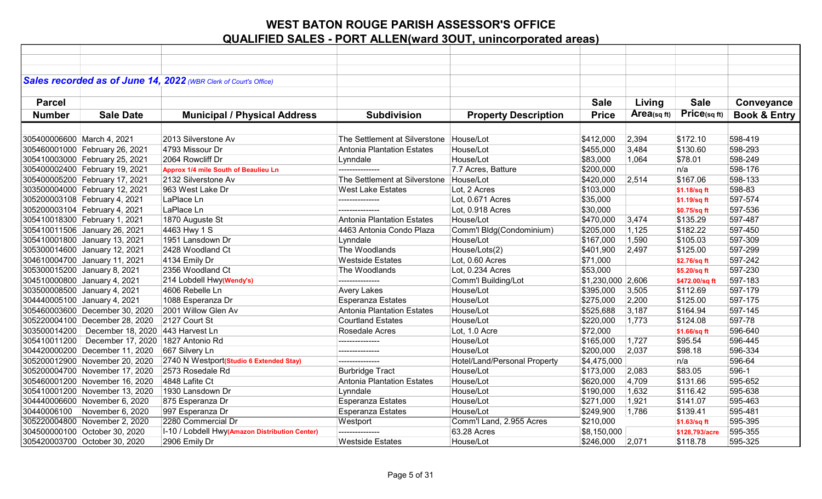|                            |                                | Sales recorded as of June 14, 2022 (WBR Clerk of Court's Office) |                                   |                              |                   |            |                |                         |
|----------------------------|--------------------------------|------------------------------------------------------------------|-----------------------------------|------------------------------|-------------------|------------|----------------|-------------------------|
|                            |                                |                                                                  |                                   |                              |                   |            |                |                         |
| <b>Parcel</b>              |                                |                                                                  |                                   |                              | <b>Sale</b>       | Living     | <b>Sale</b>    | Conveyance              |
| <b>Number</b>              | <b>Sale Date</b>               | <b>Municipal / Physical Address</b>                              | <b>Subdivision</b>                | <b>Property Description</b>  | <b>Price</b>      | Area(sqft) | Price(sq ft)   | <b>Book &amp; Entry</b> |
|                            |                                |                                                                  |                                   |                              |                   |            |                |                         |
| 305400006600 March 4, 2021 |                                | 2013 Silverstone Av                                              | The Settlement at Silverstone     | House/Lot                    | \$412,000         | 2,394      | \$172.10       | 598-419                 |
|                            | 305460001000 February 26, 2021 | 4793 Missour Dr                                                  | Antonia Plantation Estates        | House/Lot                    | \$455,000         | 3,484      | \$130.60       | 598-293                 |
|                            | 305410003000 February 25, 2021 | 2064 Rowcliff Dr                                                 | Lynndale                          | House/Lot                    | \$83,000          | 1,064      | \$78.01        | 598-249                 |
|                            | 305400002400 February 19, 2021 | Approx 1/4 mile South of Beaulieu Ln                             | ---------------                   | 7.7 Acres, Batture           | \$200,000         |            | n/a            | 598-176                 |
|                            | 305400005200 February 17, 2021 | 2132 Silverstone Av                                              | The Settlement at Silverstone     | House/Lot                    | \$420,000         | 2,514      | \$167.06       | 598-133                 |
|                            | 303500004000 February 12, 2021 | 963 West Lake Dr                                                 | <b>West Lake Estates</b>          | Lot, 2 Acres                 | \$103,000         |            | \$1.18/sq ft   | 598-83                  |
|                            | 305200003108 February 4, 2021  | LaPlace Ln                                                       | ---------------                   | Lot, 0.671 Acres             | \$35,000          |            | \$1.19/sq ft   | 597-574                 |
|                            | 305200003104 February 4, 2021  | LaPlace Ln                                                       | ---------------                   | Lot, 0.918 Acres             | \$30,000          |            | \$0.75/sq ft   | 597-536                 |
|                            | 305410018300 February 1, 2021  | 1870 Auguste St                                                  | Antonia Plantation Estates        | House/Lot                    | \$470,000         | 3,474      | \$135.29       | 597-487                 |
|                            | 305410011506 January 26, 2021  | 4463 Hwy 1 S                                                     | 4463 Antonia Condo Plaza          | Comm'l Bldg(Condominium)     | \$205,000         | 1,125      | \$182.22       | 597-450                 |
|                            | 305410001800 January 13, 2021  | 1951 Lansdown Dr                                                 | Lynndale                          | House/Lot                    | \$167,000         | 1,590      | \$105.03       | 597-309                 |
|                            | 305300014600 January 12, 2021  | 2428 Woodland Ct                                                 | The Woodlands                     | House/Lots(2)                | \$401,900         | 2,497      | \$125.00       | 597-299                 |
|                            | 304610004700 January 11, 2021  | 4134 Emily Dr                                                    | <b>Westside Estates</b>           | Lot, 0.60 Acres              | \$71,000          |            | \$2.76/sq ft   | 597-242                 |
|                            | 305300015200 January 8, 2021   | 2356 Woodland Ct                                                 | The Woodlands                     | Lot, 0.234 Acres             | \$53,000          |            | \$5.20/sq ft   | 597-230                 |
|                            | 304510000800 January 4, 2021   | 214 Lobdell Hwy(Wendy's)                                         | ---------------                   | Comm'l Building/Lot          | \$1,230,000 2,606 |            | \$472.00/sq ft | 597-183                 |
|                            | 303500008500 January 4, 2021   | 4606 Rebelle Ln                                                  | <b>Avery Lakes</b>                | House/Lot                    | \$395,000         | 3,505      | \$112.69       | 597-179                 |
|                            | 304440005100 January 4, 2021   | 1088 Esperanza Dr                                                | <b>Esperanza Estates</b>          | House/Lot                    | \$275,000         | 2,200      | \$125.00       | 597-175                 |
|                            | 305460003600 December 30, 2020 | 2001 Willow Glen Av                                              | <b>Antonia Plantation Estates</b> | House/Lot                    | \$525,688         | 3,187      | \$164.94       | 597-145                 |
|                            | 305220004100 December 28, 2020 | 2127 Court St                                                    | <b>Courtland Estates</b>          | House/Lot                    | \$220,000         | 1,773      | \$124.08       | 597-78                  |
|                            | 303500014200 December 18, 2020 | 443 Harvest Ln                                                   | Rosedale Acres                    | Lot, 1.0 Acre                | \$72,000          |            | \$1.66/sq ft   | 596-640                 |
|                            | 305410011200 December 17, 2020 | 1827 Antonio Rd                                                  | ---------------                   | House/Lot                    | \$165,000         | 1,727      | \$95.54        | 596-445                 |
|                            | 304420000200 December 11, 2020 | 667 Silvery Ln                                                   | ---------------                   | House/Lot                    | \$200,000         | 2,037      | \$98.18        | 596-334                 |
|                            | 305200012900 November 20, 2020 | 2740 N Westport(Studio 6 Extended Stay)                          | ---------------                   | Hotel/Land/Personal Property | \$4,475,000       |            | n/a            | 596-64                  |
|                            | 305200004700 November 17, 2020 | 2573 Rosedale Rd                                                 | <b>Burbridge Tract</b>            | House/Lot                    | \$173,000         | 2,083      | \$83.05        | 596-1                   |
|                            | 305460001200 November 16, 2020 | 4848 Lafite Ct                                                   | <b>Antonia Plantation Estates</b> | House/Lot                    | \$620,000         | 4,709      | \$131.66       | 595-652                 |
|                            | 305410001200 November 13, 2020 | 1930 Lansdown Dr                                                 | Lynndale                          | House/Lot                    | \$190,000         | 1,632      | \$116.42       | 595-638                 |
|                            | 304440006600 November 6, 2020  | 875 Esperanza Dr                                                 | <b>Esperanza Estates</b>          | House/Lot                    | \$271,000         | 1,921      | \$141.07       | 595-463                 |
| 30440006100                | November 6, 2020               | 997 Esperanza Dr                                                 | Esperanza Estates                 | House/Lot                    | \$249,900         | 1,786      | \$139.41       | 595-481                 |
|                            | 305220004800 November 2, 2020  | 2280 Commercial Dr                                               | Westport                          | Comm'l Land, 2.955 Acres     | \$210,000         |            | \$1.63/sq ft   | 595-395                 |
|                            | 304500000100 October 30, 2020  | I-10 / Lobdell Hwy(Amazon Distribution Center)                   | ---------------                   | 63.28 Acres                  | \$8,150,000       |            | \$128,793/acre | 595-355                 |
|                            | 305420003700 October 30, 2020  | 2906 Emily Dr                                                    | <b>Westside Estates</b>           | House/Lot                    | \$246,000         | 2,071      | \$118.78       | 595-325                 |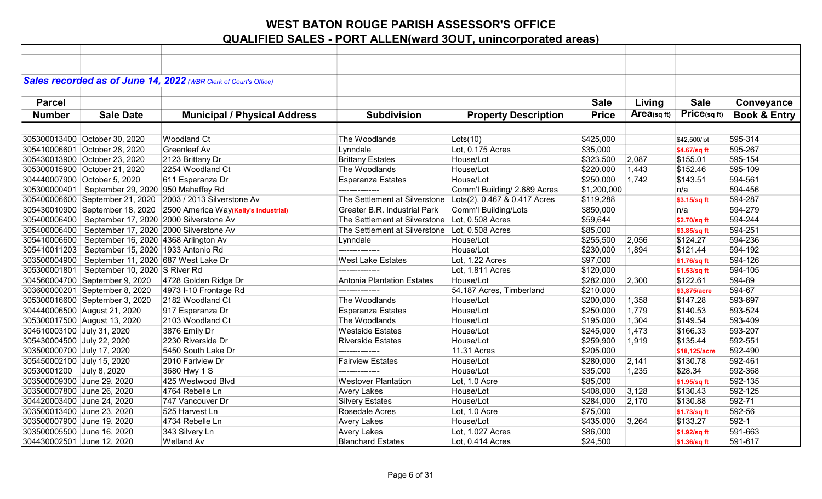| Sales recorded as of June 14, 2022 (WBR Clerk of Court's Office)                                                                                            |               |                         |
|-------------------------------------------------------------------------------------------------------------------------------------------------------------|---------------|-------------------------|
|                                                                                                                                                             |               |                         |
| <b>Sale</b><br><b>Parcel</b><br>Living                                                                                                                      | <b>Sale</b>   | Conveyance              |
| Area(sqft)<br><b>Number</b><br><b>Sale Date</b><br><b>Municipal / Physical Address</b><br><b>Subdivision</b><br><b>Property Description</b><br><b>Price</b> | Price(sq ft)  | <b>Book &amp; Entry</b> |
|                                                                                                                                                             |               |                         |
|                                                                                                                                                             |               |                         |
| 305300013400 October 30, 2020<br><b>Woodland Ct</b><br>The Woodlands<br>Lots(10)<br>\$425,000                                                               | \$42,500/lot  | 595-314                 |
| 305410006601 October 28, 2020<br><b>Greenleaf Av</b><br>Lynndale<br>Lot, 0.175 Acres<br>\$35,000                                                            | \$4.67/sq ft  | 595-267                 |
| 305430013900 October 23, 2020<br>2123 Brittany Dr<br><b>Brittany Estates</b><br>House/Lot<br>\$323,500<br>2,087                                             | \$155.01      | 595-154                 |
| The Woodlands<br>305300015900 October 21, 2020<br>2254 Woodland Ct<br>House/Lot<br>\$220,000<br>1,443                                                       | \$152.46      | 595-109                 |
| 304440007900 October 5, 2020<br>611 Esperanza Dr<br><b>Esperanza Estates</b><br>1,742<br>House/Lot<br>\$250,000                                             | \$143.51      | 594-561                 |
| 305300000401   September 29, 2020 950 Mahaffey Rd<br>Comm'l Building/ 2.689 Acres<br>\$1,200,000<br>---------------                                         | n/a           | 594-456                 |
| 305400006600 September 21, 2020 2003 / 2013 Silverstone Av<br>The Settlement at Silverstone Lots(2), 0.467 & 0.417 Acres<br>\$119,288                       | \$3.15/sq ft  | 594-287                 |
| 305430010900 September 18, 2020 2500 America Way(Kelly's Industrial)<br>Comm'l Building/Lots<br>Greater B.R. Industrial Park<br>\$850,000                   | n/a           | 594-279                 |
| 305400006400   September 17, 2020   2000 Silverstone Av<br>The Settlement at Silverstone Lot, 0.508 Acres<br>\$59,644                                       | \$2.70/sq ft  | 594-244                 |
| 305400006400   September 17, 2020   2000 Silverstone Av<br>The Settlement at Silverstone Lot, 0.508 Acres<br>\$85,000                                       | \$3.85/sq ft  | 594-251                 |
| 305410006600 September 16, 2020 4368 Arlington Av<br>\$255,500<br>Lynndale<br>House/Lot<br>2,056                                                            | \$124.27      | 594-236                 |
| 305410011203   September 15, 2020   1933 Antonio Rd<br>House/Lot<br>\$230,000<br>1,894<br>---------------                                                   | \$121.44      | 594-192                 |
| <b>West Lake Estates</b><br>303500004900   September 11, 2020 687 West Lake Dr<br>Lot, 1.22 Acres<br>\$97,000                                               | \$1.76/sq ft  | 594-126                 |
| 305300001801   September 10, 2020 S River Rd<br>Lot, 1.811 Acres<br>\$120,000<br>---------------                                                            | \$1.53/sq ft  | 594-105                 |
| 304560004700 September 9, 2020<br>4728 Golden Ridge Dr<br><b>Antonia Plantation Estates</b><br>House/Lot<br>\$282,000<br>2,300                              | \$122.61      | 594-89                  |
| 303600000201 September 8, 2020<br>54.187 Acres, Timberland<br>\$210,000<br>4973 I-10 Frontage Rd<br>---------------                                         | \$3,875/acre  | 594-67                  |
| 305300016600 September 3, 2020<br>2182 Woodland Ct<br>The Woodlands<br>\$200,000<br>1,358<br>House/Lot                                                      | \$147.28      | 593-697                 |
| 304440006500 August 21, 2020<br>917 Esperanza Dr<br><b>Esperanza Estates</b><br>House/Lot<br>\$250,000<br>1,779                                             | \$140.53      | 593-524                 |
| 305300017500 August 13, 2020<br>2103 Woodland Ct<br>The Woodlands<br>1,304<br>House/Lot<br>\$195,000                                                        | \$149.54      | 593-409                 |
| 304610003100 July 31, 2020<br>3876 Emily Dr<br>\$245,000<br>1,473<br><b>Westside Estates</b><br>House/Lot                                                   | \$166.33      | 593-207                 |
| 305430004500 July 22, 2020<br>2230 Riverside Dr<br>House/Lot<br>1,919<br><b>Riverside Estates</b><br>\$259,900                                              | \$135.44      | 592-551                 |
| 303500000700 July 17, 2020<br>5450 South Lake Dr<br>11.31 Acres<br>\$205,000<br>---------------                                                             | \$18,125/acre | 592-490                 |
| 2010 Fariview Dr<br><b>Fairview Estates</b><br>House/Lot<br>2,141<br>305450002100 July 15, 2020<br>\$280,000                                                | \$130.78      | 592-461                 |
| \$35,000<br>30530001200 July 8, 2020<br>3680 Hwy 1 S<br>House/Lot<br>1,235                                                                                  | \$28.34       | 592-368                 |
| 303500009300 June 29, 2020<br>425 Westwood Blvd<br><b>Westover Plantation</b><br>Lot, 1.0 Acre<br>\$85,000                                                  | \$1.95/sq ft  | 592-135                 |
| 303500007800 June 26, 2020<br>4764 Rebelle Ln<br><b>Avery Lakes</b><br>House/Lot<br>\$408,000<br>3,128                                                      | \$130.43      | 592-125                 |
| 304420003400 June 24, 2020<br>747 Vancouver Dr<br><b>Silvery Estates</b><br>House/Lot<br>2,170<br>\$284,000                                                 | \$130.88      | 592-71                  |
| 303500013400 June 23, 2020<br>525 Harvest Ln<br>Rosedale Acres<br>\$75,000<br>Lot, 1.0 Acre                                                                 | \$1.73/sq ft  | 592-56                  |
| 303500007900 June 19, 2020<br>4734 Rebelle Ln<br><b>Avery Lakes</b><br>House/Lot<br>\$435,000<br>3,264                                                      | \$133.27      | 592-1                   |
| 303500005500 June 16, 2020<br>343 Silvery Ln<br><b>Avery Lakes</b><br>Lot, 1.027 Acres<br>\$86,000                                                          | \$1.92/sq ft  | 591-663                 |
| 304430002501 June 12, 2020<br><b>Blanchard Estates</b><br><b>Welland Av</b><br>Lot, 0.414 Acres<br>\$24,500                                                 | \$1.36/sq ft  | 591-617                 |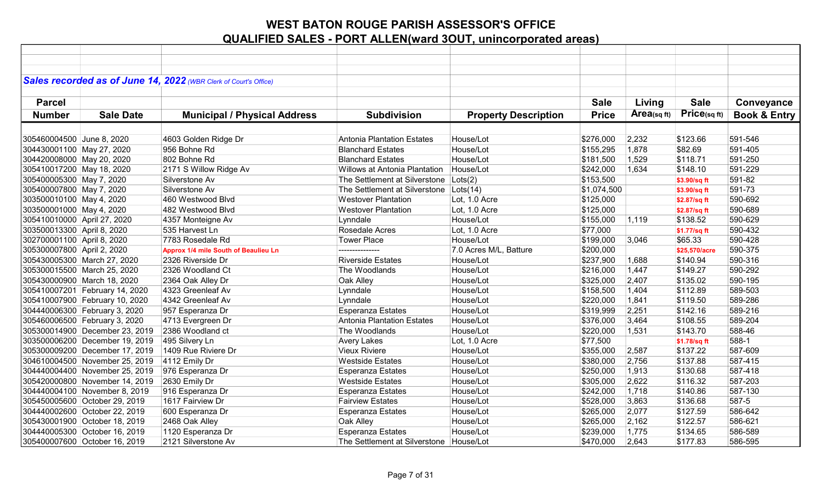| Sales recorded as of June 14, 2022 (WBR Clerk of Court's Office)<br><b>Sale</b><br><b>Sale</b><br><b>Parcel</b><br>Living<br>Conveyance<br>Price(sq ft)<br>Area(sq ft)<br><b>Book &amp; Entry</b><br><b>Number</b><br><b>Sale Date</b><br><b>Municipal / Physical Address</b><br><b>Subdivision</b><br><b>Property Description</b><br><b>Price</b><br>305460004500 June 8, 2020<br>4603 Golden Ridge Dr<br>Antonia Plantation Estates<br>\$276,000<br>2,232<br>\$123.66<br>591-546<br>House/Lot<br>956 Bohne Rd<br>House/Lot<br>\$155,295<br>1,878<br>\$82.69<br>591-405<br><b>Blanchard Estates</b><br>House/Lot<br>591-250<br>304420008000 May 20, 2020<br>802 Bohne Rd<br><b>Blanchard Estates</b><br>1,529<br>\$118.71<br>\$181,500<br>591-229<br>2171 S Willow Ridge Av<br>Willows at Antonia Plantation<br>House/Lot<br>\$242,000<br>1,634<br>\$148.10<br>Silverstone Av<br>The Settlement at Silverstone<br>591-82<br>305400005300 May 7, 2020<br>Lots(2)<br>\$153,500<br>\$3.90/sq ft<br>Silverstone Av<br>591-73<br>305400007800 May 7, 2020<br>The Settlement at Silverstone   Lots(14)<br>\$1,074,500<br>\$3.90/sq ft<br>460 Westwood Blvd<br>Lot, 1.0 Acre<br>590-692<br>303500010100 May 4, 2020<br><b>Westover Plantation</b><br>\$125,000<br>\$2.87/sq ft<br>590-689<br><b>Westover Plantation</b><br>Lot, 1.0 Acre<br>\$125,000<br>303500001000 May 4, 2020<br>482 Westwood Blvd<br>\$2.87/sq ft |  |  |  |  |  |
|------------------------------------------------------------------------------------------------------------------------------------------------------------------------------------------------------------------------------------------------------------------------------------------------------------------------------------------------------------------------------------------------------------------------------------------------------------------------------------------------------------------------------------------------------------------------------------------------------------------------------------------------------------------------------------------------------------------------------------------------------------------------------------------------------------------------------------------------------------------------------------------------------------------------------------------------------------------------------------------------------------------------------------------------------------------------------------------------------------------------------------------------------------------------------------------------------------------------------------------------------------------------------------------------------------------------------------------------------------------------------------------------------------------|--|--|--|--|--|
| 304430001100 May 27, 2020<br>305410017200 May 18, 2020                                                                                                                                                                                                                                                                                                                                                                                                                                                                                                                                                                                                                                                                                                                                                                                                                                                                                                                                                                                                                                                                                                                                                                                                                                                                                                                                                           |  |  |  |  |  |
|                                                                                                                                                                                                                                                                                                                                                                                                                                                                                                                                                                                                                                                                                                                                                                                                                                                                                                                                                                                                                                                                                                                                                                                                                                                                                                                                                                                                                  |  |  |  |  |  |
|                                                                                                                                                                                                                                                                                                                                                                                                                                                                                                                                                                                                                                                                                                                                                                                                                                                                                                                                                                                                                                                                                                                                                                                                                                                                                                                                                                                                                  |  |  |  |  |  |
|                                                                                                                                                                                                                                                                                                                                                                                                                                                                                                                                                                                                                                                                                                                                                                                                                                                                                                                                                                                                                                                                                                                                                                                                                                                                                                                                                                                                                  |  |  |  |  |  |
|                                                                                                                                                                                                                                                                                                                                                                                                                                                                                                                                                                                                                                                                                                                                                                                                                                                                                                                                                                                                                                                                                                                                                                                                                                                                                                                                                                                                                  |  |  |  |  |  |
|                                                                                                                                                                                                                                                                                                                                                                                                                                                                                                                                                                                                                                                                                                                                                                                                                                                                                                                                                                                                                                                                                                                                                                                                                                                                                                                                                                                                                  |  |  |  |  |  |
|                                                                                                                                                                                                                                                                                                                                                                                                                                                                                                                                                                                                                                                                                                                                                                                                                                                                                                                                                                                                                                                                                                                                                                                                                                                                                                                                                                                                                  |  |  |  |  |  |
|                                                                                                                                                                                                                                                                                                                                                                                                                                                                                                                                                                                                                                                                                                                                                                                                                                                                                                                                                                                                                                                                                                                                                                                                                                                                                                                                                                                                                  |  |  |  |  |  |
|                                                                                                                                                                                                                                                                                                                                                                                                                                                                                                                                                                                                                                                                                                                                                                                                                                                                                                                                                                                                                                                                                                                                                                                                                                                                                                                                                                                                                  |  |  |  |  |  |
|                                                                                                                                                                                                                                                                                                                                                                                                                                                                                                                                                                                                                                                                                                                                                                                                                                                                                                                                                                                                                                                                                                                                                                                                                                                                                                                                                                                                                  |  |  |  |  |  |
|                                                                                                                                                                                                                                                                                                                                                                                                                                                                                                                                                                                                                                                                                                                                                                                                                                                                                                                                                                                                                                                                                                                                                                                                                                                                                                                                                                                                                  |  |  |  |  |  |
|                                                                                                                                                                                                                                                                                                                                                                                                                                                                                                                                                                                                                                                                                                                                                                                                                                                                                                                                                                                                                                                                                                                                                                                                                                                                                                                                                                                                                  |  |  |  |  |  |
|                                                                                                                                                                                                                                                                                                                                                                                                                                                                                                                                                                                                                                                                                                                                                                                                                                                                                                                                                                                                                                                                                                                                                                                                                                                                                                                                                                                                                  |  |  |  |  |  |
|                                                                                                                                                                                                                                                                                                                                                                                                                                                                                                                                                                                                                                                                                                                                                                                                                                                                                                                                                                                                                                                                                                                                                                                                                                                                                                                                                                                                                  |  |  |  |  |  |
|                                                                                                                                                                                                                                                                                                                                                                                                                                                                                                                                                                                                                                                                                                                                                                                                                                                                                                                                                                                                                                                                                                                                                                                                                                                                                                                                                                                                                  |  |  |  |  |  |
| 590-629<br>305410010000 April 27, 2020<br>4357 Monteigne Av<br>House/Lot<br>\$155,000<br>1,119<br>\$138.52<br>Lynndale                                                                                                                                                                                                                                                                                                                                                                                                                                                                                                                                                                                                                                                                                                                                                                                                                                                                                                                                                                                                                                                                                                                                                                                                                                                                                           |  |  |  |  |  |
| 303500013300 April 8, 2020<br>Rosedale Acres<br>590-432<br>535 Harvest Ln<br>Lot, 1.0 Acre<br>\$77,000<br>\$1.77/sq ft                                                                                                                                                                                                                                                                                                                                                                                                                                                                                                                                                                                                                                                                                                                                                                                                                                                                                                                                                                                                                                                                                                                                                                                                                                                                                           |  |  |  |  |  |
| 302700001100 April 8, 2020<br>7783 Rosedale Rd<br><b>Tower Place</b><br>\$199,000<br>590-428<br>House/Lot<br>3,046<br>\$65.33                                                                                                                                                                                                                                                                                                                                                                                                                                                                                                                                                                                                                                                                                                                                                                                                                                                                                                                                                                                                                                                                                                                                                                                                                                                                                    |  |  |  |  |  |
| 305300007800 April 2, 2020<br>7.0 Acres M/L, Batture<br>590-375<br>Approx 1/4 mile South of Beaulieu Ln<br>\$200,000<br>\$25.570/acre<br>---------------                                                                                                                                                                                                                                                                                                                                                                                                                                                                                                                                                                                                                                                                                                                                                                                                                                                                                                                                                                                                                                                                                                                                                                                                                                                         |  |  |  |  |  |
| 590-316<br>2326 Riverside Dr<br><b>Riverside Estates</b><br>\$237,900<br>1,688<br>305430005300 March 27, 2020<br>House/Lot<br>\$140.94                                                                                                                                                                                                                                                                                                                                                                                                                                                                                                                                                                                                                                                                                                                                                                                                                                                                                                                                                                                                                                                                                                                                                                                                                                                                           |  |  |  |  |  |
| 590-292<br>305300015500 March 25, 2020<br>2326 Woodland Ct<br>The Woodlands<br>House/Lot<br>\$216,000<br>1,447<br>\$149.27                                                                                                                                                                                                                                                                                                                                                                                                                                                                                                                                                                                                                                                                                                                                                                                                                                                                                                                                                                                                                                                                                                                                                                                                                                                                                       |  |  |  |  |  |
| 305430000900 March 18, 2020<br>2364 Oak Alley Dr<br>Oak Alley<br>House/Lot<br>\$325,000<br>2,407<br>\$135.02<br>590-195                                                                                                                                                                                                                                                                                                                                                                                                                                                                                                                                                                                                                                                                                                                                                                                                                                                                                                                                                                                                                                                                                                                                                                                                                                                                                          |  |  |  |  |  |
| 305410007201 February 14, 2020<br>4323 Greenleaf Av<br>House/Lot<br>\$158,500<br>1,404<br>\$112.89<br>589-503<br>Lynndale                                                                                                                                                                                                                                                                                                                                                                                                                                                                                                                                                                                                                                                                                                                                                                                                                                                                                                                                                                                                                                                                                                                                                                                                                                                                                        |  |  |  |  |  |
| 589-286<br>305410007900 February 10, 2020<br>4342 Greenleaf Av<br>Lynndale<br>1,841<br>\$119.50<br>House/Lot<br>\$220,000                                                                                                                                                                                                                                                                                                                                                                                                                                                                                                                                                                                                                                                                                                                                                                                                                                                                                                                                                                                                                                                                                                                                                                                                                                                                                        |  |  |  |  |  |
| 589-216<br>304440006300 February 3, 2020<br><b>Esperanza Estates</b><br>2,251<br>\$142.16<br>957 Esperanza Dr<br>House/Lot<br>\$319,999                                                                                                                                                                                                                                                                                                                                                                                                                                                                                                                                                                                                                                                                                                                                                                                                                                                                                                                                                                                                                                                                                                                                                                                                                                                                          |  |  |  |  |  |
| 305460006500 February 3, 2020<br>4713 Evergreen Dr<br><b>Antonia Plantation Estates</b><br>589-204<br>House/Lot<br>\$376,000<br>3,464<br>\$108.55                                                                                                                                                                                                                                                                                                                                                                                                                                                                                                                                                                                                                                                                                                                                                                                                                                                                                                                                                                                                                                                                                                                                                                                                                                                                |  |  |  |  |  |
| 305300014900 December 23, 2019<br>588-46<br>2386 Woodland ct<br>The Woodlands<br>House/Lot<br>\$220,000<br>1,531<br>\$143.70                                                                                                                                                                                                                                                                                                                                                                                                                                                                                                                                                                                                                                                                                                                                                                                                                                                                                                                                                                                                                                                                                                                                                                                                                                                                                     |  |  |  |  |  |
| 303500006200 December 19, 2019<br>495 Silvery Ln<br>588-1<br><b>Avery Lakes</b><br>Lot, 1.0 Acre<br>\$77,500<br>\$1.78/sq ft                                                                                                                                                                                                                                                                                                                                                                                                                                                                                                                                                                                                                                                                                                                                                                                                                                                                                                                                                                                                                                                                                                                                                                                                                                                                                     |  |  |  |  |  |
| <b>Vieux Riviere</b><br>\$137.22<br>587-609<br>305300009200 December 17, 2019<br>1409 Rue Riviere Dr<br>House/Lot<br>\$355,000<br>2,587                                                                                                                                                                                                                                                                                                                                                                                                                                                                                                                                                                                                                                                                                                                                                                                                                                                                                                                                                                                                                                                                                                                                                                                                                                                                          |  |  |  |  |  |
| 304610004500 November 25, 2019<br>4112 Emily Dr<br><b>Westside Estates</b><br>House/Lot<br>2,756<br>\$137.88<br>587-415<br>\$380,000                                                                                                                                                                                                                                                                                                                                                                                                                                                                                                                                                                                                                                                                                                                                                                                                                                                                                                                                                                                                                                                                                                                                                                                                                                                                             |  |  |  |  |  |
| 304440004400 November 25, 2019<br>976 Esperanza Dr<br>1,913<br>\$130.68<br>587-418<br><b>Esperanza Estates</b><br>House/Lot<br>\$250,000                                                                                                                                                                                                                                                                                                                                                                                                                                                                                                                                                                                                                                                                                                                                                                                                                                                                                                                                                                                                                                                                                                                                                                                                                                                                         |  |  |  |  |  |
| 2630 Emily Dr<br><b>Westside Estates</b><br>\$116.32<br>587-203<br>305420000800 November 14, 2019<br>House/Lot<br>\$305,000<br>2,622                                                                                                                                                                                                                                                                                                                                                                                                                                                                                                                                                                                                                                                                                                                                                                                                                                                                                                                                                                                                                                                                                                                                                                                                                                                                             |  |  |  |  |  |
| 1,718<br>587-130<br>304440004100 November 8, 2019<br>916 Esperanza Dr<br>Esperanza Estates<br>House/Lot<br>\$242,000<br>\$140.86                                                                                                                                                                                                                                                                                                                                                                                                                                                                                                                                                                                                                                                                                                                                                                                                                                                                                                                                                                                                                                                                                                                                                                                                                                                                                 |  |  |  |  |  |
| 587-5<br>305450005600 October 29, 2019<br>1617 Fairview Dr<br><b>Fairview Estates</b><br>House/Lot<br>\$528,000<br>3,863<br>\$136.68                                                                                                                                                                                                                                                                                                                                                                                                                                                                                                                                                                                                                                                                                                                                                                                                                                                                                                                                                                                                                                                                                                                                                                                                                                                                             |  |  |  |  |  |
| 586-642<br>304440002600 October 22, 2019<br>600 Esperanza Dr<br><b>Esperanza Estates</b><br>House/Lot<br>\$265,000<br>2,077<br>\$127.59                                                                                                                                                                                                                                                                                                                                                                                                                                                                                                                                                                                                                                                                                                                                                                                                                                                                                                                                                                                                                                                                                                                                                                                                                                                                          |  |  |  |  |  |
| 305430001900 October 18, 2019<br>2468 Oak Alley<br>Oak Alley<br>\$265,000<br>2,162<br>\$122.57<br>586-621<br>House/Lot                                                                                                                                                                                                                                                                                                                                                                                                                                                                                                                                                                                                                                                                                                                                                                                                                                                                                                                                                                                                                                                                                                                                                                                                                                                                                           |  |  |  |  |  |
| 304440005300 October 16, 2019<br>1120 Esperanza Dr<br><b>Esperanza Estates</b><br>House/Lot<br>1,775<br>\$134.65<br>586-589<br>\$239,000                                                                                                                                                                                                                                                                                                                                                                                                                                                                                                                                                                                                                                                                                                                                                                                                                                                                                                                                                                                                                                                                                                                                                                                                                                                                         |  |  |  |  |  |
| 305400007600 October 16, 2019<br>2121 Silverstone Av<br>The Settlement at Silverstone   House/Lot<br>\$470,000<br>2,643<br>\$177.83<br>586-595                                                                                                                                                                                                                                                                                                                                                                                                                                                                                                                                                                                                                                                                                                                                                                                                                                                                                                                                                                                                                                                                                                                                                                                                                                                                   |  |  |  |  |  |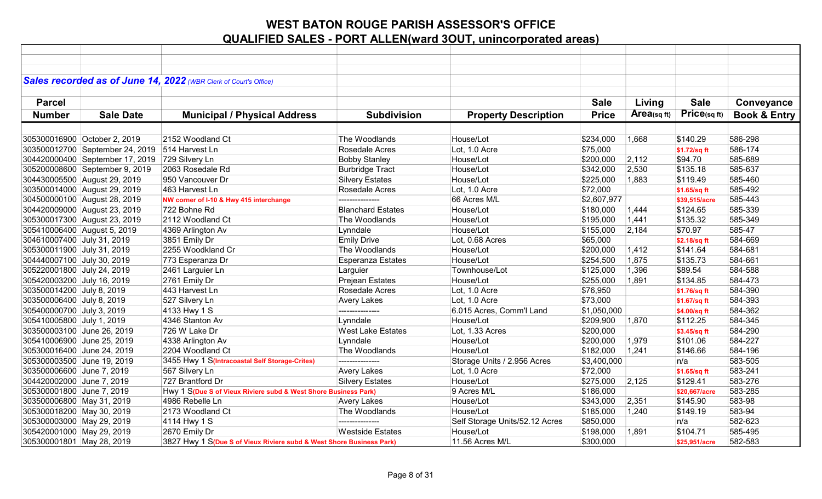|                            |                                                | Sales recorded as of June 14, 2022 (WBR Clerk of Court's Office)     |                          |                                |              |                |               |                         |
|----------------------------|------------------------------------------------|----------------------------------------------------------------------|--------------------------|--------------------------------|--------------|----------------|---------------|-------------------------|
|                            |                                                |                                                                      |                          |                                |              |                |               |                         |
| <b>Parcel</b>              |                                                |                                                                      |                          |                                | <b>Sale</b>  | Living         | <b>Sale</b>   | Conveyance              |
|                            |                                                |                                                                      |                          |                                |              |                | Price(sqft)   |                         |
| <b>Number</b>              | <b>Sale Date</b>                               | <b>Municipal / Physical Address</b>                                  | <b>Subdivision</b>       | <b>Property Description</b>    | <b>Price</b> | Area(sq $ft$ ) |               | <b>Book &amp; Entry</b> |
|                            |                                                |                                                                      |                          |                                |              |                |               |                         |
|                            | 305300016900 October 2, 2019                   | 2152 Woodland Ct                                                     | The Woodlands            | House/Lot                      | \$234,000    | 1,668          | \$140.29      | 586-298                 |
|                            | 303500012700 September 24, 2019 514 Harvest Ln |                                                                      | Rosedale Acres           | Lot, 1.0 Acre                  | \$75,000     |                | \$1.72/sq ft  | 586-174                 |
|                            | 304420000400 September 17, 2019                | 729 Silvery Ln                                                       | <b>Bobby Stanley</b>     | House/Lot                      | \$200,000    | 2,112          | \$94.70       | 585-689                 |
|                            | 305200008600 September 9, 2019                 | 2063 Rosedale Rd                                                     | <b>Burbridge Tract</b>   | House/Lot                      | \$342,000    | 2,530          | \$135.18      | 585-637                 |
|                            | 304430005500 August 29, 2019                   | 950 Vancouver Dr                                                     | <b>Silvery Estates</b>   | House/Lot                      | \$225,000    | 1,883          | \$119.49      | 585-460                 |
|                            | 303500014000 August 29, 2019                   | 463 Harvest Ln                                                       | Rosedale Acres           | Lot, 1.0 Acre                  | \$72,000     |                | \$1.65/sq ft  | 585-492                 |
|                            | 304500000100 August 28, 2019                   | NW corner of I-10 & Hwy 415 interchange                              | .                        | 66 Acres M/L                   | \$2,607,977  |                | \$39,515/acre | 585-443                 |
|                            | 304420009000 August 23, 2019                   | 722 Bohne Rd                                                         | <b>Blanchard Estates</b> | House/Lot                      | \$180,000    | 1,444          | \$124.65      | 585-339                 |
|                            | 305300017300 August 23, 2019                   | 2112 Woodland Ct                                                     | The Woodlands            | House/Lot                      | \$195,000    | 1,441          | \$135.32      | 585-349                 |
|                            | 305410006400 August 5, 2019                    | 4369 Arlington Av                                                    | Lynndale                 | House/Lot                      | \$155,000    | 2,184          | \$70.97       | 585-47                  |
| 304610007400 July 31, 2019 |                                                | 3851 Emily Dr                                                        | <b>Emily Drive</b>       | Lot, 0.68 Acres                | \$65,000     |                | \$2.18/sq ft  | 584-669                 |
| 305300011900 July 31, 2019 |                                                | 2255 Woodkland Cr                                                    | The Woodlands            | House/Lot                      | \$200,000    | 1,412          | \$141.64      | 584-681                 |
| 304440007100 July 30, 2019 |                                                | 773 Esperanza Dr                                                     | Esperanza Estates        | House/Lot                      | \$254,500    | 1,875          | \$135.73      | 584-661                 |
| 305220001800 July 24, 2019 |                                                | 2461 Larguier Ln                                                     | Larguier                 | Townhouse/Lot                  | \$125,000    | 1,396          | \$89.54       | 584-588                 |
| 305420003200 July 16, 2019 |                                                | 2761 Emily Dr                                                        | Prejean Estates          | House/Lot                      | \$255,000    | 1,891          | \$134.85      | 584-473                 |
| 303500014200 July 8, 2019  |                                                | 443 Harvest Ln                                                       | Rosedale Acres           | Lot, 1.0 Acre                  | \$76,950     |                | \$1.76/sq ft  | 584-390                 |
| 303500006400 July 8, 2019  |                                                | 527 Silvery Ln                                                       | <b>Avery Lakes</b>       | Lot, 1.0 Acre                  | \$73,000     |                | \$1.67/sq ft  | 584-393                 |
| 305400000700 July 3, 2019  |                                                | 4133 Hwy 1 S                                                         | ---------------          | 6.015 Acres, Comm'l Land       | \$1,050,000  |                | \$4.00/sq ft  | 584-362                 |
| 305410005800 July 1, 2019  |                                                | 4346 Stanton Av                                                      | Lynndale                 | House/Lot                      | \$209,900    | 1,870          | \$112.25      | 584-345                 |
| 303500003100 June 26, 2019 |                                                | 726 W Lake Dr                                                        | <b>West Lake Estates</b> | Lot, 1.33 Acres                | \$200,000    |                | \$3.45/sq ft  | 584-290                 |
| 305410006900 June 25, 2019 |                                                | 4338 Arlington Av                                                    | Lynndale                 | House/Lot                      | \$200,000    | 1,979          | \$101.06      | 584-227                 |
| 305300016400 June 24, 2019 |                                                | 2204 Woodland Ct                                                     | The Woodlands            | House/Lot                      | \$182,000    | 1,241          | \$146.66      | 584-196                 |
| 305300003500 June 19, 2019 |                                                | 3455 Hwy 1 S(Intracoastal Self Storage-Crites)                       | ---------------          | Storage Units / 2.956 Acres    | \$3,400,000  |                | n/a           | 583-505                 |
| 303500006600 June 7, 2019  |                                                | 567 Silvery Ln                                                       | <b>Avery Lakes</b>       | Lot, 1.0 Acre                  | \$72,000     |                | \$1.65/sq ft  | 583-241                 |
| 304420002000 June 7, 2019  |                                                | 727 Brantford Dr                                                     | <b>Silvery Estates</b>   | House/Lot                      | \$275,000    | 2,125          | \$129.41      | 583-276                 |
| 305300001800 June 7, 2019  |                                                | Hwy 1 S(Due S of Vieux Riviere subd & West Shore Business Park)      |                          | 9 Acres M/L                    | \$186,000    |                | \$20,667/acre | 583-285                 |
| 303500006800 May 31, 2019  |                                                | 4986 Rebelle Ln                                                      | <b>Avery Lakes</b>       | House/Lot                      | \$343,000    | 2,351          | \$145.90      | 583-98                  |
| 305300018200 May 30, 2019  |                                                | 2173 Woodland Ct                                                     | The Woodlands            | House/Lot                      | \$185,000    | 1,240          | \$149.19      | 583-94                  |
| 305300003000 May 29, 2019  |                                                | 4114 Hwy 1 S                                                         | ---------------          | Self Storage Units/52.12 Acres | \$850,000    |                | n/a           | 582-623                 |
| 305420001000 May 29, 2019  |                                                | 2670 Emily Dr                                                        | <b>Westside Estates</b>  | House/Lot                      | \$198,000    | 1,891          | \$104.71      | 585-495                 |
| 305300001801 May 28, 2019  |                                                | 3827 Hwy 1 S(Due S of Vieux Riviere subd & West Shore Business Park) |                          | 11.56 Acres M/L                | \$300,000    |                | \$25.951/acre | 582-583                 |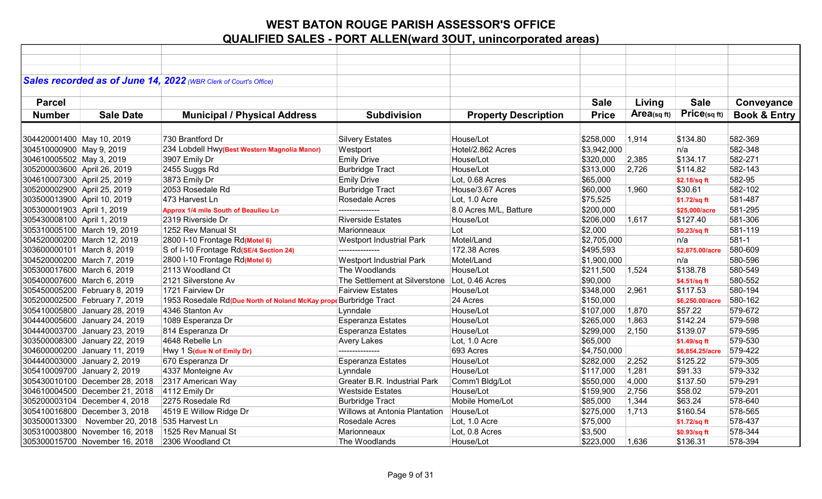|                             |                                | Sales recorded as of June 14, 2022 (WBR Clerk of Court's Office) |                                               |                             |              |            |                 |                         |
|-----------------------------|--------------------------------|------------------------------------------------------------------|-----------------------------------------------|-----------------------------|--------------|------------|-----------------|-------------------------|
|                             |                                |                                                                  |                                               |                             |              |            |                 |                         |
| <b>Parcel</b>               |                                |                                                                  |                                               |                             | <b>Sale</b>  | Living     | <b>Sale</b>     | Conveyance              |
| <b>Number</b>               | <b>Sale Date</b>               | <b>Municipal / Physical Address</b>                              | <b>Subdivision</b>                            | <b>Property Description</b> | <b>Price</b> | Area(sqft) | Price(sq ft)    | <b>Book &amp; Entry</b> |
|                             |                                |                                                                  |                                               |                             |              |            |                 |                         |
| 304420001400 May 10, 2019   |                                | 730 Brantford Dr                                                 | <b>Silvery Estates</b>                        | House/Lot                   | \$258,000    | 1,914      | \$134.80        | 582-369                 |
| 304510000900 May 9, 2019    |                                | 234 Lobdell Hwy(Best Western Magnolia Manor)                     | Westport                                      | Hotel/2.862 Acres           | \$3,942,000  |            | n/a             | 582-348                 |
| 304610005502 May 3, 2019    |                                | 3907 Emily Dr                                                    | <b>Emily Drive</b>                            | House/Lot                   | \$320,000    | 2,385      | \$134.17        | 582-271                 |
| 305200003600 April 26, 2019 |                                | 2455 Suggs Rd                                                    | <b>Burbridge Tract</b>                        | House/Lot                   | \$313,000    | 2,726      | \$114.82        | 582-143                 |
| 304610007300 April 25, 2019 |                                | 3873 Emily Dr                                                    | <b>Emily Drive</b>                            | Lot, 0.68 Acres             | \$65,000     |            | \$2.18/sq ft    | 582-95                  |
| 305200002900 April 25, 2019 |                                | 2053 Rosedale Rd                                                 | <b>Burbridge Tract</b>                        | House/3.67 Acres            | \$60,000     | 1,960      | \$30.61         | 582-102                 |
| 303500013900 April 10, 2019 |                                | 473 Harvest Ln                                                   | Rosedale Acres                                | Lot, 1.0 Acre               | \$75,525     |            | \$1.72/sq ft    | 581-487                 |
| 305300001903 April 1, 2019  |                                | Approx 1/4 mile South of Beaulieu Ln                             | ---------------                               | 8.0 Acres M/L, Batture      | \$200,000    |            | \$25,000/acre   | 581-295                 |
| 305430008100 April 1, 2019  |                                | 2319 Riverside Dr                                                | <b>Riverside Estates</b>                      | House/Lot                   | \$206,000    | 1,617      | \$127.40        | 581-306                 |
|                             | 305310005100 March 19, 2019    | 1252 Rev Manual St                                               | Marionneaux                                   | Lot                         | \$2,000      |            | \$0.23/sq ft    | 581-119                 |
|                             | 304520000200 March 12, 2019    | 2800 I-10 Frontage Rd(Motel 6)                                   | <b>Westport Industrial Park</b>               | Motel/Land                  | \$2,705,000  |            | n/a             | 581-1                   |
| 303600000101 March 8, 2019  |                                | S of I-10 Frontage Rd(SE/4 Section 24)                           | ---------------                               | 172.38 Acres                | \$495,593    |            | \$2,875.00/acre | 580-609                 |
| 304520000200 March 7, 2019  |                                | 2800 I-10 Frontage Rd(Motel 6)                                   | <b>Westport Industrial Park</b>               | Motel/Land                  | \$1,900,000  |            | n/a             | 580-596                 |
| 305300017600 March 6, 2019  |                                | 2113 Woodland Ct                                                 | The Woodlands                                 | House/Lot                   | \$211,500    | 1,524      | \$138.78        | 580-549                 |
| 305400007600 March 6, 2019  |                                | 2121 Silverstone Av                                              | The Settlement at Silverstone Lot, 0.46 Acres |                             | \$90,000     |            | \$4.51/sq ft    | 580-552                 |
|                             | 305450005200 February 8, 2019  | 1721 Fairview Dr                                                 | <b>Fairview Estates</b>                       | House/Lot                   | \$348,000    | 2,961      | \$117.53        | 580-194                 |
|                             | 305200002500 February 7, 2019  | 1953 Rosedale Rd(Due North of Noland McKay prope Burbridge Tract |                                               | 24 Acres                    | \$150,000    |            | \$6,250.00/acre | 580-162                 |
|                             | 305410005800 January 28, 2019  | 4346 Stanton Av                                                  | Lynndale                                      | House/Lot                   | \$107,000    | 1,870      | \$57.22         | 579-672                 |
|                             | 304440005600 January 24, 2019  | 1089 Esperanza Dr                                                | <b>Esperanza Estates</b>                      | House/Lot                   | \$265,000    | 1,863      | \$142.24        | 579-598                 |
|                             | 304440003700 January 23, 2019  | 814 Esperanza Dr                                                 | <b>Esperanza Estates</b>                      | House/Lot                   | \$299,000    | 2,150      | \$139.07        | 579-595                 |
|                             | 303500008300 January 22, 2019  | 4648 Rebelle Ln                                                  | <b>Avery Lakes</b>                            | Lot, 1.0 Acre               | \$65,000     |            | \$1.49/sq ft    | 579-530                 |
|                             | 304600000200 January 11, 2019  | Hwy 1 S(due N of Emily Dr)                                       | ---------------                               | 693 Acres                   | \$4,750,000  |            | \$6,854.25/acre | 579-422                 |
|                             | 304440003000 January 2, 2019   | 670 Esperanza Dr                                                 | <b>Esperanza Estates</b>                      | House/Lot                   | \$282,000    | 2,252      | \$125.22        | 579-305                 |
|                             | 305410009700 January 2, 2019   | 4337 Monteigne Av                                                | Lynndale                                      | House/Lot                   | \$117,000    | 1,281      | \$91.33         | 579-332                 |
|                             | 305430010100 December 28, 2018 | 2317 American Way                                                | <b>Greater B.R. Industrial Park</b>           | Comm'l Bldg/Lot             | \$550,000    | 4,000      | \$137.50        | 579-291                 |
|                             | 304610004500 December 21, 2018 | 4112 Emily Dr                                                    | <b>Westside Estates</b>                       | House/Lot                   | \$159,900    | 2,756      | \$58.02         | 579-201                 |
|                             | 305200003104 December 4, 2018  | 2275 Rosedale Rd                                                 | <b>Burbridge Tract</b>                        | Mobile Home/Lot             | \$85,000     | 1,344      | \$63.24         | 578-640                 |
|                             | 305410016800 December 3, 2018  | 4519 E Willow Ridge Dr                                           | <b>Willows at Antonia Plantation</b>          | House/Lot                   | \$275,000    | 1,713      | \$160.54        | 578-565                 |
|                             | 303500013300 November 20, 2018 | 535 Harvest Ln                                                   | Rosedale Acres                                | Lot, 1.0 Acre               | \$75,000     |            | \$1.72/sq ft    | 578-437                 |
|                             | 305310003800 November 16, 2018 | 1525 Rev Manual St                                               | Marionneaux                                   | Lot, 0.8 Acres              | \$3,500      |            | \$0.93/sq ft    | 578-344                 |
|                             | 305300015700 November 16, 2018 | 2306 Woodland Ct                                                 | The Woodlands                                 | House/Lot                   | \$223,000    | 1,636      | \$136.31        | 578-394                 |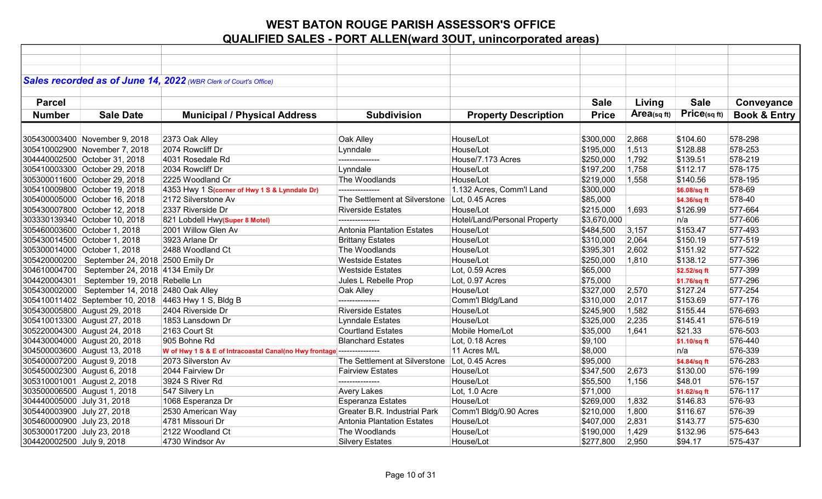|                             |                                                   | Sales recorded as of June 14, 2022 (WBR Clerk of Court's Office) |                                               |                              |              |             |              |                         |
|-----------------------------|---------------------------------------------------|------------------------------------------------------------------|-----------------------------------------------|------------------------------|--------------|-------------|--------------|-------------------------|
|                             |                                                   |                                                                  |                                               |                              |              |             |              |                         |
| <b>Parcel</b>               |                                                   |                                                                  |                                               |                              | <b>Sale</b>  | Living      | <b>Sale</b>  | Conveyance              |
|                             |                                                   |                                                                  |                                               |                              |              | Area(sq ft) | Price(sq ft) |                         |
| <b>Number</b>               | <b>Sale Date</b>                                  | <b>Municipal / Physical Address</b>                              | <b>Subdivision</b>                            | <b>Property Description</b>  | <b>Price</b> |             |              | <b>Book &amp; Entry</b> |
|                             |                                                   |                                                                  |                                               |                              |              |             |              |                         |
|                             | 305430003400 November 9, 2018                     | 2373 Oak Alley                                                   | Oak Alley                                     | House/Lot                    | \$300,000    | 2,868       | \$104.60     | 578-298                 |
|                             | 305410002900 November 7, 2018                     | 2074 Rowcliff Dr                                                 | Lynndale                                      | House/Lot                    | \$195,000    | 1,513       | \$128.88     | 578-253                 |
|                             | 304440002500 October 31, 2018                     | 4031 Rosedale Rd                                                 | ---------------                               | House/7.173 Acres            | \$250,000    | 1,792       | \$139.51     | 578-219                 |
|                             | 305410003300 October 29, 2018                     | 2034 Rowcliff Dr                                                 | Lynndale                                      | House/Lot                    | \$197,200    | 1,758       | \$112.17     | 578-175                 |
|                             | 305300011600 October 29, 2018                     | 2225 Woodland Cr                                                 | The Woodlands                                 | House/Lot                    | \$219,000    | 1,558       | \$140.56     | 578-195                 |
|                             | 305410009800 October 19, 2018                     | 4353 Hwy 1 S(corner of Hwy 1 S & Lynndale Dr)                    |                                               | 1.132 Acres, Comm'l Land     | \$300,000    |             | \$6.08/sq ft | 578-69                  |
|                             | 305400005000 October 16, 2018                     | 2172 Silverstone Av                                              | The Settlement at Silverstone Lot, 0.45 Acres |                              | \$85,000     |             | \$4.36/sq ft | 578-40                  |
|                             | 305430007800 October 12, 2018                     | 2337 Riverside Dr                                                | <b>Riverside Estates</b>                      | House/Lot                    | \$215,000    | 1.693       | \$126.99     | 577-664                 |
|                             | 303330139340 October 10, 2018                     | 821 Lobdell Hwy(Super 8 Motel)                                   | ---------------                               | Hotel/Land/Personal Property | \$3,670,000  |             | n/a          | 577-606                 |
|                             | 305460003600 October 1, 2018                      | 2001 Willow Glen Av                                              | Antonia Plantation Estates                    | House/Lot                    | \$484,500    | 3,157       | \$153.47     | 577-493                 |
|                             | 305430014500 October 1, 2018                      | 3923 Arlane Dr                                                   | <b>Brittany Estates</b>                       | House/Lot                    | \$310,000    | 2,064       | \$150.19     | 577-519                 |
|                             | 305300014000 October 1, 2018                      | 2488 Woodland Ct                                                 | The Woodlands                                 | House/Lot                    | \$395,301    | 2,602       | \$151.92     | 577-522                 |
|                             | 305420000200   September 24, 2018   2500 Emily Dr |                                                                  | <b>Westside Estates</b>                       | House/Lot                    | \$250,000    | 1,810       | \$138.12     | 577-396                 |
|                             | 304610004700   September 24, 2018   4134 Emily Dr |                                                                  | <b>Westside Estates</b>                       | Lot, 0.59 Acres              | \$65,000     |             | \$2.52/sq ft | 577-399                 |
|                             | 304420004301   September 19, 2018   Rebelle Ln    |                                                                  | Jules L Rebelle Prop                          | Lot, 0.97 Acres              | \$75,000     |             | \$1.76/sq ft | 577-296                 |
|                             | 305430002000   September 14, 2018 2480 Oak Alley  |                                                                  | Oak Alley                                     | House/Lot                    | \$327,000    | 2,570       | \$127.24     | 577-254                 |
|                             |                                                   | 305410011402 September 10, 2018 4463 Hwy 1 S, Bldg B             | ---------------                               | Comm'l Bldg/Land             | \$310,000    | 2,017       | \$153.69     | 577-176                 |
|                             | 305430005800 August 29, 2018                      | 2404 Riverside Dr                                                | <b>Riverside Estates</b>                      | House/Lot                    | \$245,900    | 1,582       | \$155.44     | 576-693                 |
|                             | 305410013300 August 27, 2018                      | 1853 Lansdown Dr                                                 | <b>Lynndale Estates</b>                       | House/Lot                    | \$325,000    | 2,235       | \$145.41     | 576-519                 |
|                             | 305220004300 August 24, 2018                      | 2163 Court St                                                    | <b>Courtland Estates</b>                      | Mobile Home/Lot              | \$35,000     | 1,641       | \$21.33      | 576-503                 |
|                             | 304430004000 August 20, 2018                      | 905 Bohne Rd                                                     | <b>Blanchard Estates</b>                      | Lot, 0.18 Acres              | \$9,100      |             | \$1.10/sq ft | 576-440                 |
|                             | 304500003600 August 13, 2018                      | W of Hwy 1 S & E of Intracoastal Canal(no Hwy frontage)          | ---------------                               | 11 Acres M/L                 | \$8,000      |             | n/a          | 576-339                 |
| 305400007200 August 9, 2018 |                                                   | 2073 Silverston Av                                               | The Settlement at Silverstone Lot, 0.45 Acres |                              | \$95,000     |             | \$4.84/sq ft | 576-283                 |
| 305450002300 August 6, 2018 |                                                   | 2044 Fairview Dr                                                 | <b>Fairview Estates</b>                       | House/Lot                    | \$347,500    | 2,673       | \$130.00     | 576-199                 |
| 305310001001 August 2, 2018 |                                                   | 3924 S River Rd                                                  | ---------------                               | House/Lot                    | \$55,500     | 1,156       | \$48.01      | 576-157                 |
| 303500006500 August 1, 2018 |                                                   | 547 Silvery Ln                                                   | <b>Avery Lakes</b>                            | Lot, 1.0 Acre                | \$71,000     |             | \$1.62/sq ft | 576-117                 |
| 304440005000 July 31, 2018  |                                                   | 1068 Esperanza Dr                                                | <b>Esperanza Estates</b>                      | House/Lot                    | \$269,000    | 1,832       | \$146.83     | 576-93                  |
| 305440003900 July 27, 2018  |                                                   | 2530 American Way                                                | Greater B.R. Industrial Park                  | Comm'l Bldg/0.90 Acres       | \$210,000    | 1,800       | \$116.67     | 576-39                  |
| 305460000900 July 23, 2018  |                                                   | 4781 Missouri Dr                                                 | Antonia Plantation Estates                    | House/Lot                    | \$407,000    | 2,831       | \$143.77     | 575-630                 |
| 305300017200 July 23, 2018  |                                                   | 2122 Woodland Ct                                                 | The Woodlands                                 | House/Lot                    | \$190,000    | 1,429       | \$132.96     | 575-643                 |
| 304420002500 July 9, 2018   |                                                   | 4730 Windsor Av                                                  | <b>Silvery Estates</b>                        | House/Lot                    | \$277,800    | 2,950       | \$94.17      | 575-437                 |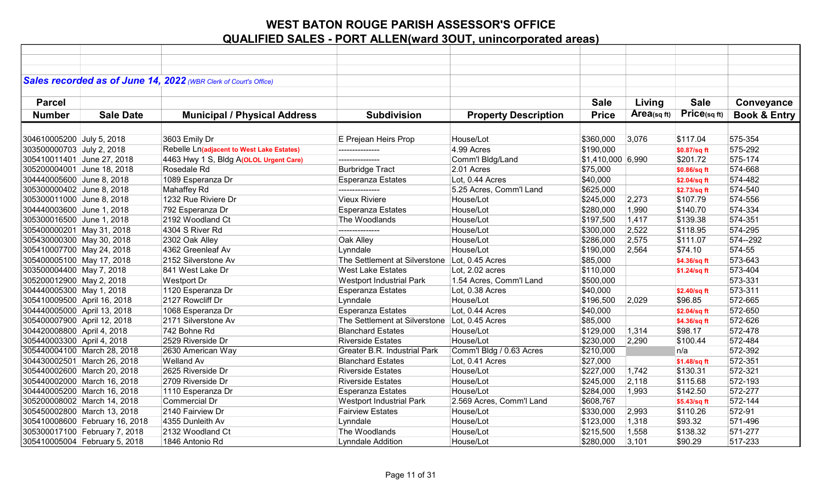|                             |                                | Sales recorded as of June 14, 2022 (WBR Clerk of Court's Office) |                                               |                             |                   |             |              |                         |
|-----------------------------|--------------------------------|------------------------------------------------------------------|-----------------------------------------------|-----------------------------|-------------------|-------------|--------------|-------------------------|
|                             |                                |                                                                  |                                               |                             |                   |             |              |                         |
| <b>Parcel</b>               |                                |                                                                  |                                               |                             | <b>Sale</b>       | Living      | <b>Sale</b>  | Conveyance              |
| <b>Number</b>               | <b>Sale Date</b>               | <b>Municipal / Physical Address</b>                              | <b>Subdivision</b>                            | <b>Property Description</b> | <b>Price</b>      | Area(sq ft) | Price(sqft)  | <b>Book &amp; Entry</b> |
|                             |                                |                                                                  |                                               |                             |                   |             |              |                         |
| 304610005200 July 5, 2018   |                                | 3603 Emily Dr                                                    | E Prejean Heirs Prop                          | House/Lot                   | \$360,000         | 3,076       | \$117.04     | 575-354                 |
| 303500000703 July 2, 2018   |                                | Rebelle Ln(adjacent to West Lake Estates)                        | ---------------                               | 4.99 Acres                  | \$190,000         |             | \$0.87/sq ft | 575-292                 |
| 305410011401 June 27, 2018  |                                | 4463 Hwy 1 S, Bldg A(OLOL Urgent Care)                           | ---------------                               | Comm'l Bldg/Land            | \$1,410,000 6,990 |             | \$201.72     | 575-174                 |
| 305200004001 June 18, 2018  |                                | Rosedale Rd                                                      | <b>Burbridge Tract</b>                        | 2.01 Acres                  | \$75,000          |             | \$0.86/sq ft | 574-668                 |
| 304440005600 June 8, 2018   |                                | 1089 Esperanza Dr                                                | <b>Esperanza Estates</b>                      | Lot, 0.44 Acres             | \$40,000          |             | \$2.04/sq ft | 574-482                 |
| 305300000402 June 8, 2018   |                                | <b>Mahaffey Rd</b>                                               | ---------------                               | 5.25 Acres, Comm'l Land     | \$625,000         |             | \$2.73/sq ft | 574-540                 |
| 305300011000 June 8, 2018   |                                | 1232 Rue Riviere Dr                                              | <b>Vieux Riviere</b>                          | House/Lot                   | \$245,000         | 2,273       | \$107.79     | 574-556                 |
| 304440003600 June 1, 2018   |                                | 792 Esperanza Dr                                                 | <b>Esperanza Estates</b>                      | House/Lot                   | \$280,000         | 1,990       | \$140.70     | 574-334                 |
| 305300016500 June 1, 2018   |                                | 2192 Woodland Ct                                                 | The Woodlands                                 | House/Lot                   | \$197,500         | 1,417       | \$139.38     | 574-351                 |
| 305400000201 May 31, 2018   |                                | 4304 S River Rd                                                  | ---------------                               | House/Lot                   | \$300,000         | 2,522       | \$118.95     | 574-295                 |
| 305430000300 May 30, 2018   |                                | 2302 Oak Alley                                                   | Oak Alley                                     | House/Lot                   | \$286,000         | 2,575       | \$111.07     | 574 -- 292              |
| 305410007700 May 24, 2018   |                                | 4362 Greenleaf Av                                                | Lynndale                                      | House/Lot                   | \$190,000         | 2,564       | \$74.10      | 574-55                  |
| 305400005100 May 17, 2018   |                                | 2152 Silverstone Av                                              | The Settlement at Silverstone Lot, 0.45 Acres |                             | \$85,000          |             | \$4.36/sq ft | 573-643                 |
| 303500004400 May 7, 2018    |                                | 841 West Lake Dr                                                 | <b>West Lake Estates</b>                      | Lot, 2.02 acres             | \$110,000         |             | \$1.24/sq ft | 573-404                 |
| 305200012900 May 2, 2018    |                                | <b>Westport Dr</b>                                               | <b>Westport Industrial Park</b>               | 1.54 Acres, Comm'l Land     | \$500,000         |             |              | 573-331                 |
| 304440005300 May 1, 2018    |                                | 1120 Esperanza Dr                                                | <b>Esperanza Estates</b>                      | Lot, 0.38 Acres             | \$40,000          |             | \$2.40/sq ft | 573-311                 |
| 305410009500 April 16, 2018 |                                | 2127 Rowcliff Dr                                                 | Lynndale                                      | House/Lot                   | \$196,500         | 2,029       | \$96.85      | 572-665                 |
| 304440005000 April 13, 2018 |                                | 1068 Esperanza Dr                                                | <b>Esperanza Estates</b>                      | Lot, 0.44 Acres             | \$40,000          |             | \$2.04/sq ft | 572-650                 |
| 305400007900 April 12, 2018 |                                | 2171 Silverstone Av                                              | The Settlement at Silverstone Lot, 0.45 Acres |                             | \$85,000          |             | \$4.36/sq ft | 572-626                 |
| 304420008800 April 4, 2018  |                                | 742 Bohne Rd                                                     | <b>Blanchard Estates</b>                      | House/Lot                   | \$129,000         | 1,314       | \$98.17      | 572-478                 |
| 305440003300 April 4, 2018  |                                | 2529 Riverside Dr                                                | <b>Riverside Estates</b>                      | House/Lot                   | \$230,000         | 2,290       | \$100.44     | 572-484                 |
|                             | 305440004100 March 28, 2018    | 2630 American Way                                                | <b>Greater B.R. Industrial Park</b>           | Comm'l Bldg / 0.63 Acres    | \$210,000         |             | n/a          | 572-392                 |
|                             | 304430002501 March 26, 2018    | <b>Welland Av</b>                                                | <b>Blanchard Estates</b>                      | Lot, 0.41 Acres             | \$27,000          |             | \$1.48/sq ft | 572-351                 |
|                             | 305440002600 March 20, 2018    | 2625 Riverside Dr                                                | <b>Riverside Estates</b>                      | House/Lot                   | \$227,000         | 1,742       | \$130.31     | 572-321                 |
|                             | 305440002000 March 16, 2018    | 2709 Riverside Dr                                                | <b>Riverside Estates</b>                      | House/Lot                   | \$245,000         | 2,118       | \$115.68     | 572-193                 |
|                             | 304440005200 March 16, 2018    | 1110 Esperanza Dr                                                | <b>Esperanza Estates</b>                      | House/Lot                   | \$284,000         | 1,993       | \$142.50     | 572-277                 |
|                             | 305200008002 March 14, 2018    | Commercial Dr                                                    | <b>Westport Industrial Park</b>               | 2.569 Acres, Comm'l Land    | \$608,767         |             | \$5.43/sq ft | 572-144                 |
|                             | 305450002800 March 13, 2018    | 2140 Fairview Dr                                                 | <b>Fairview Estates</b>                       | House/Lot                   | \$330,000         | 2,993       | \$110.26     | 572-91                  |
|                             | 305410008600 February 16, 2018 | 4355 Dunleith Av                                                 | Lynndale                                      | House/Lot                   | \$123,000         | 1,318       | \$93.32      | 571-496                 |
|                             | 305300017100 February 7, 2018  | 2132 Woodland Ct                                                 | The Woodlands                                 | House/Lot                   | \$215,500         | 1,558       | \$138.32     | 571-277                 |
|                             | 305410005004 February 5, 2018  | 1846 Antonio Rd                                                  | <b>Lynndale Addition</b>                      | House/Lot                   | \$280,000         | 3,101       | \$90.29      | 517-233                 |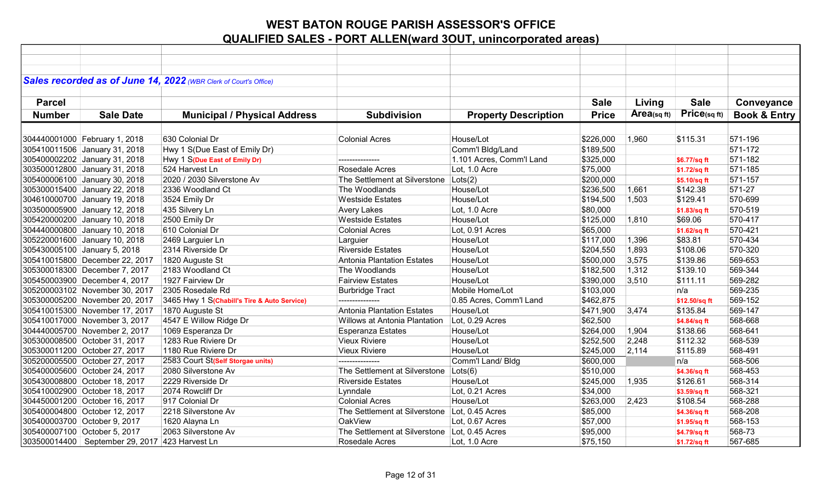|               |                                                    | Sales recorded as of June 14, 2022 (WBR Clerk of Court's Office) |                                               |                             |              |             |               |                         |
|---------------|----------------------------------------------------|------------------------------------------------------------------|-----------------------------------------------|-----------------------------|--------------|-------------|---------------|-------------------------|
|               |                                                    |                                                                  |                                               |                             |              |             | <b>Sale</b>   |                         |
| <b>Parcel</b> |                                                    |                                                                  |                                               |                             | <b>Sale</b>  | Living      |               | Conveyance              |
| <b>Number</b> | <b>Sale Date</b>                                   | <b>Municipal / Physical Address</b>                              | <b>Subdivision</b>                            | <b>Property Description</b> | <b>Price</b> | Area(sq ft) | Price(sq ft)  | <b>Book &amp; Entry</b> |
|               |                                                    |                                                                  |                                               |                             |              |             |               |                         |
|               | 304440001000 February 1, 2018                      | 630 Colonial Dr                                                  | <b>Colonial Acres</b>                         | House/Lot                   | \$226,000    | 1,960       | \$115.31      | 571-196                 |
|               | 305410011506 January 31, 2018                      | Hwy 1 S(Due East of Emily Dr)                                    |                                               | Comm'l Bldg/Land            | \$189,500    |             |               | 571-172                 |
|               | 305400002202 January 31, 2018                      | Hwy 1 S(Due East of Emily Dr)                                    | ---------------                               | 1.101 Acres, Comm'l Land    | \$325,000    |             | \$6.77/sq ft  | 571-182                 |
|               | 303500012800 January 31, 2018                      | 524 Harvest Ln                                                   | Rosedale Acres                                | Lot, 1.0 Acre               | \$75,000     |             | \$1.72/sq ft  | 571-185                 |
|               | 305400006100 January 30, 2018                      | 2020 / 2030 Silverstone Av                                       | The Settlement at Silverstone                 | Lots(2)                     | \$200,000    |             | \$5.10/sq ft  | 571-157                 |
|               | 305300015400 January 22, 2018                      | 2336 Woodland Ct                                                 | The Woodlands                                 | House/Lot                   | \$236,500    | 1,661       | \$142.38      | 571-27                  |
|               | 304610000700 January 19, 2018                      | 3524 Emily Dr                                                    | <b>Westside Estates</b>                       | House/Lot                   | \$194,500    | 1,503       | \$129.41      | 570-699                 |
|               | 303500005900 January 12, 2018                      | 435 Silvery Ln                                                   | <b>Avery Lakes</b>                            | Lot, 1.0 Acre               | \$80,000     |             | \$1.83/sq ft  | 570-519                 |
|               | 305420000200 January 10, 2018                      | 2500 Emily Dr                                                    | <b>Westside Estates</b>                       | House/Lot                   | \$125,000    | 1,810       | \$69.06       | 570-417                 |
|               | 304440000800 January 10, 2018                      | 610 Colonial Dr                                                  | <b>Colonial Acres</b>                         | Lot, 0.91 Acres             | \$65,000     |             | \$1.62/sq ft  | 570-421                 |
|               | 305220001600 January 10, 2018                      | 2469 Larguier Ln                                                 | Larguier                                      | House/Lot                   | \$117,000    | 1,396       | \$83.81       | 570-434                 |
|               | 305430005100 January 5, 2018                       | 2314 Riverside Dr                                                | <b>Riverside Estates</b>                      | House/Lot                   | \$204,550    | 1,893       | \$108.06      | 570-320                 |
|               | 305410015800 December 22, 2017                     | 1820 Auguste St                                                  | Antonia Plantation Estates                    | House/Lot                   | \$500,000    | 3,575       | \$139.86      | 569-653                 |
|               | 305300018300 December 7, 2017                      | 2183 Woodland Ct                                                 | The Woodlands                                 | House/Lot                   | \$182,500    | 1,312       | \$139.10      | 569-344                 |
|               | 305450003900 December 4, 2017                      | 1927 Fairview Dr                                                 | <b>Fairview Estates</b>                       | House/Lot                   | \$390,000    | 3,510       | \$111.11      | 569-282                 |
|               | 305200003102 November 30, 2017                     | 2305 Rosedale Rd                                                 | <b>Burbridge Tract</b>                        | Mobile Home/Lot             | \$103,000    |             | n/a           | 569-235                 |
|               | 305300005200 November 20, 2017                     | 3465 Hwy 1 S(Chabill's Tire & Auto Service)                      | ---------------                               | 0.85 Acres, Comm'l Land     | \$462,875    |             | \$12.50/sq ft | 569-152                 |
|               | 305410015300 November 17, 2017                     | 1870 Auguste St                                                  | Antonia Plantation Estates                    | House/Lot                   | \$471,900    | 3,474       | \$135.84      | 569-147                 |
|               | 305410017000 November 3, 2017                      | 4547 E Willow Ridge Dr                                           | <b>Willows at Antonia Plantation</b>          | Lot, 0.29 Acres             | \$62,500     |             | \$4.84/sq ft  | 568-668                 |
|               | 304440005700 November 2, 2017                      | 1069 Esperanza Dr                                                | <b>Esperanza Estates</b>                      | House/Lot                   | \$264,000    | 1,904       | \$138.66      | 568-641                 |
|               | 305300008500 October 31, 2017                      | 1283 Rue Riviere Dr                                              | <b>Vieux Riviere</b>                          | House/Lot                   | \$252,500    | 2,248       | \$112.32      | 568-539                 |
|               | 305300011200 October 27, 2017                      | 1180 Rue Riviere Dr                                              | <b>Vieux Riviere</b>                          | House/Lot                   | \$245,000    | 2,114       | \$115.89      | 568-491                 |
|               | 305200005500 October 27, 2017                      | 2583 Court St(Self Storgae units)                                | ---------------                               | Comm'l Land/ Bldg           | \$600,000    |             | n/a           | 568-506                 |
|               | 305400005600 October 24, 2017                      | 2080 Silverstone Av                                              | The Settlement at Silverstone                 | Lots(6)                     | \$510,000    |             | \$4.36/sq ft  | 568-453                 |
|               | 305430008800 October 18, 2017                      | 2229 Riverside Dr                                                | <b>Riverside Estates</b>                      | House/Lot                   | \$245,000    | 1,935       | \$126.61      | 568-314                 |
|               | 305410002900 October 18, 2017                      | 2074 Rowcliff Dr                                                 | Lynndale                                      | Lot, 0.21 Acres             | \$34,000     |             | \$3.59/sq ft  | 568-321                 |
|               | 304450001200 October 16, 2017                      | 917 Colonial Dr                                                  | <b>Colonial Acres</b>                         | House/Lot                   | \$263,000    | 2,423       | \$108.54      | 568-288                 |
|               | 305400004800 October 12, 2017                      | 2218 Silverstone Av                                              | The Settlement at Silverstone                 | Lot, 0.45 Acres             | \$85,000     |             | \$4.36/sq ft  | 568-208                 |
|               | 305400003700 October 9, 2017                       | 1620 Alayna Ln                                                   | <b>OakView</b>                                | Lot, 0.67 Acres             | \$57,000     |             | \$1.95/sq ft  | 568-153                 |
|               | 305400007100 October 5, 2017                       | 2063 Silverstone Av                                              | The Settlement at Silverstone Lot, 0.45 Acres |                             | \$95,000     |             | \$4.79/sq ft  | 568-73                  |
|               | 303500014400   September 29, 2017   423 Harvest Ln |                                                                  | Rosedale Acres                                | Lot, 1.0 Acre               | \$75,150     |             | \$1.72/sq ft  | 567-685                 |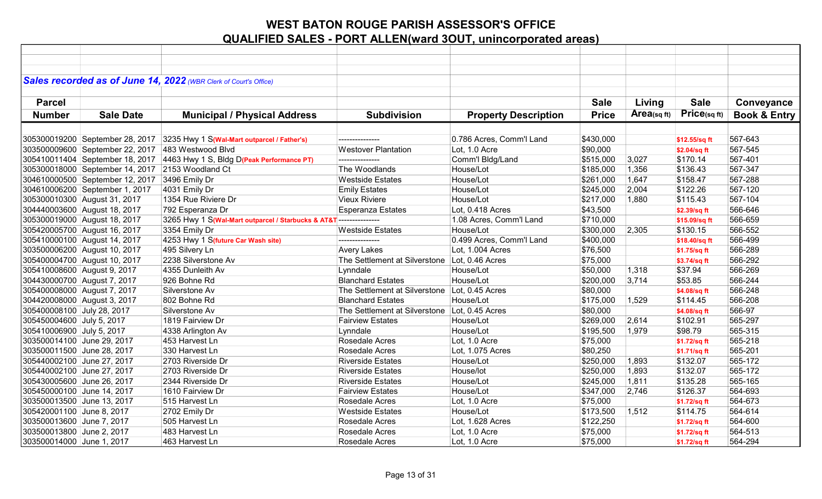|                             |                                                   | Sales recorded as of June 14, 2022 (WBR Clerk of Court's Office)            |                                               |                             |              |            |               |                         |
|-----------------------------|---------------------------------------------------|-----------------------------------------------------------------------------|-----------------------------------------------|-----------------------------|--------------|------------|---------------|-------------------------|
|                             |                                                   |                                                                             |                                               |                             |              |            |               |                         |
| <b>Parcel</b>               |                                                   |                                                                             |                                               |                             | <b>Sale</b>  | Living     | <b>Sale</b>   | Conveyance              |
| <b>Number</b>               | <b>Sale Date</b>                                  | <b>Municipal / Physical Address</b>                                         | <b>Subdivision</b>                            | <b>Property Description</b> | <b>Price</b> | Area(sqft) | Price(sq ft)  | <b>Book &amp; Entry</b> |
|                             |                                                   |                                                                             |                                               |                             |              |            |               |                         |
|                             |                                                   | 305300019200 September 28, 2017 3235 Hwy 1 S(Wal-Mart outparcel / Father's) | ---------------                               | 0.786 Acres, Comm'l Land    | \$430,000    |            | \$12.55/sq ft | 567-643                 |
|                             | 303500009600 September 22, 2017 483 Westwood Blvd |                                                                             | <b>Westover Plantation</b>                    | Lot, 1.0 Acre               | \$90,000     |            | \$2.04/sq ft  | 567-545                 |
|                             |                                                   | 305410011404 September 18, 2017 4463 Hwy 1 S, Bldg D(Peak Performance PT)   | ---------------                               | Comm'l Bldg/Land            | \$515,000    | 3,027      | \$170.14      | 567-401                 |
|                             | 305300018000 September 14, 2017 2153 Woodland Ct  |                                                                             | The Woodlands                                 | House/Lot                   | \$185,000    | 1,356      | \$136.43      | 567-347                 |
|                             | 304610000500 September 12, 2017                   | 3496 Emily Dr                                                               | <b>Westside Estates</b>                       | House/Lot                   | \$261,000    | 1,647      | \$158.47      | 567-288                 |
|                             | 304610006200 September 1, 2017                    | 4031 Emily Dr                                                               | <b>Emily Estates</b>                          | House/Lot                   | \$245,000    | 2,004      | \$122.26      | 567-120                 |
|                             | 305300010300 August 31, 2017                      | 1354 Rue Riviere Dr                                                         | <b>Vieux Riviere</b>                          | House/Lot                   | \$217,000    | 1,880      | \$115.43      | 567-104                 |
|                             | 304440003600 August 18, 2017                      | 792 Esperanza Dr                                                            | <b>Esperanza Estates</b>                      | Lot, 0.418 Acres            | \$43,500     |            | \$2.39/sq ft  | 566-646                 |
|                             | 305300019000 August 18, 2017                      | 3265 Hwy 1 S(Wal-Mart outparcel / Starbucks & AT&T ---------------          |                                               | 1.08 Acres, Comm'l Land     | \$710,000    |            | \$15.09/sq ft | 566-659                 |
|                             | 305420005700 August 16, 2017                      | 3354 Emily Dr                                                               | <b>Westside Estates</b>                       | House/Lot                   | \$300,000    | 2,305      | \$130.15      | 566-552                 |
|                             | 305410000100 August 14, 2017                      | 4253 Hwy 1 S(future Car Wash site)                                          | ---------------                               | 0.499 Acres, Comm'l Land    | \$400,000    |            | \$18.40/sq ft | 566-499                 |
|                             | 303500006200 August 10, 2017                      | 495 Silvery Ln                                                              | <b>Avery Lakes</b>                            | Lot, 1.004 Acres            | \$76,500     |            | \$1.75/sq ft  | 566-289                 |
|                             | 305400004700 August 10, 2017                      | 2238 Silverstone Av                                                         | The Settlement at Silverstone                 | Lot, 0.46 Acres             | \$75,000     |            | \$3.74/sq ft  | 566-292                 |
|                             | 305410008600 August 9, 2017                       | 4355 Dunleith Av                                                            | Lynndale                                      | House/Lot                   | \$50,000     | 1,318      | \$37.94       | 566-269                 |
|                             | 304430000700 August 7, 2017                       | 926 Bohne Rd                                                                | <b>Blanchard Estates</b>                      | House/Lot                   | \$200,000    | 3,714      | \$53.85       | 566-244                 |
| 305400008000 August 7, 2017 |                                                   | Silverstone Av                                                              | The Settlement at Silverstone Lot, 0.45 Acres |                             | \$80,000     |            | \$4.08/sq ft  | 566-248                 |
|                             | 304420008000 August 3, 2017                       | 802 Bohne Rd                                                                | <b>Blanchard Estates</b>                      | House/Lot                   | \$175,000    | 1,529      | \$114.45      | 566-208                 |
| 305400008100 July 28, 2017  |                                                   | Silverstone Av                                                              | The Settlement at Silverstone Lot, 0.45 Acres |                             | \$80,000     |            | \$4.08/sq ft  | 566-97                  |
| 305450004600 July 5, 2017   |                                                   | 1819 Fairview Dr                                                            | <b>Fairview Estates</b>                       | House/Lot                   | \$269,000    | 2,614      | \$102.91      | 565-297                 |
| 305410006900 July 5, 2017   |                                                   | 4338 Arlington Av                                                           | Lynndale                                      | House/Lot                   | \$195,500    | 1,979      | \$98.79       | 565-315                 |
| 303500014100 June 29, 2017  |                                                   | 453 Harvest Ln                                                              | Rosedale Acres                                | Lot, 1.0 Acre               | \$75,000     |            | \$1.72/sq ft  | 565-218                 |
| 303500011500 June 28, 2017  |                                                   | 330 Harvest Ln                                                              | Rosedale Acres                                | Lot, 1.075 Acres            | \$80,250     |            | \$1.71/sq ft  | 565-201                 |
| 305440002100 June 27, 2017  |                                                   | 2703 Riverside Dr                                                           | <b>Riverside Estates</b>                      | House/Lot                   | \$250,000    | 1,893      | \$132.07      | 565-172                 |
| 305440002100 June 27, 2017  |                                                   | 2703 Riverside Dr                                                           | <b>Riverside Estates</b>                      | House/lot                   | \$250,000    | 1,893      | \$132.07      | 565-172                 |
| 305430005600 June 26, 2017  |                                                   | 2344 Riverside Dr                                                           | <b>Riverside Estates</b>                      | House/Lot                   | \$245,000    | 1,811      | \$135.28      | 565-165                 |
| 305450000100 June 14, 2017  |                                                   | 1610 Fairview Dr                                                            | <b>Fairview Estates</b>                       | House/Lot                   | \$347,000    | 2,746      | \$126.37      | 564-693                 |
| 303500013500 June 13, 2017  |                                                   | 515 Harvest Ln                                                              | Rosedale Acres                                | Lot, 1.0 Acre               | \$75,000     |            | \$1.72/sq ft  | 564-673                 |
| 305420001100 June 8, 2017   |                                                   | 2702 Emily Dr                                                               | <b>Westside Estates</b>                       | House/Lot                   | \$173,500    | 1,512      | \$114.75      | 564-614                 |
| 303500013600 June 7, 2017   |                                                   | 505 Harvest Ln                                                              | Rosedale Acres                                | Lot, 1.628 Acres            | \$122,250    |            | \$1.72/sq ft  | 564-600                 |
| 303500013800 June 2, 2017   |                                                   | 483 Harvest Ln                                                              | Rosedale Acres                                | Lot, 1.0 Acre               | \$75,000     |            | \$1.72/sq ft  | 564-513                 |
| 303500014000 June 1, 2017   |                                                   | 463 Harvest Ln                                                              | Rosedale Acres                                | Lot, 1.0 Acre               | \$75,000     |            | \$1.72/sq ft  | 564-294                 |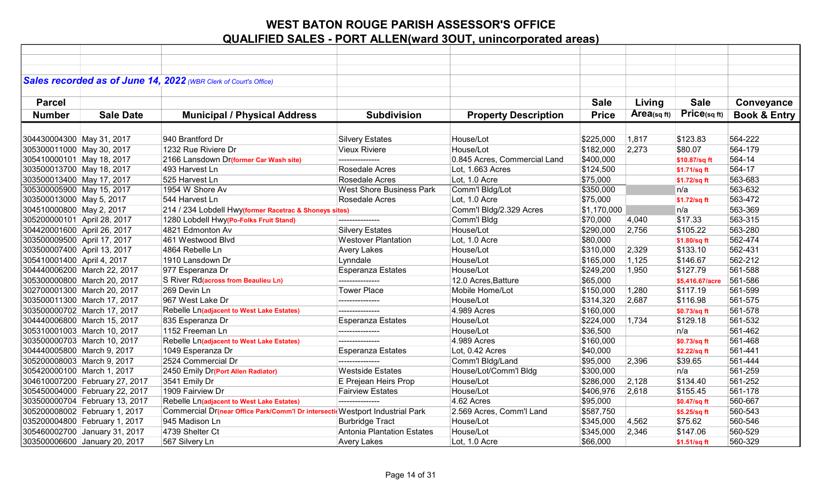|                             |                                | Sales recorded as of June 14, 2022 (WBR Clerk of Court's Office)             |                                   |                              |              |                |                 |                         |
|-----------------------------|--------------------------------|------------------------------------------------------------------------------|-----------------------------------|------------------------------|--------------|----------------|-----------------|-------------------------|
|                             |                                |                                                                              |                                   |                              |              |                |                 |                         |
| <b>Parcel</b>               |                                |                                                                              |                                   |                              | <b>Sale</b>  | Living         | <b>Sale</b>     | Conveyance              |
| <b>Number</b>               | <b>Sale Date</b>               | <b>Municipal / Physical Address</b>                                          | <b>Subdivision</b>                | <b>Property Description</b>  | <b>Price</b> | Area(sq $ft$ ) | Price(sqft)     | <b>Book &amp; Entry</b> |
|                             |                                |                                                                              |                                   |                              |              |                |                 |                         |
| 304430004300 May 31, 2017   |                                | 940 Brantford Dr                                                             | <b>Silvery Estates</b>            | House/Lot                    | \$225,000    | 1,817          | \$123.83        | 564-222                 |
| 305300011000 May 30, 2017   |                                | 1232 Rue Riviere Dr                                                          | <b>Vieux Riviere</b>              | House/Lot                    | \$182,000    | 2,273          | \$80.07         | 564-179                 |
| 305410000101 May 18, 2017   |                                | 2166 Lansdown Dr(former Car Wash site)                                       | --------------                    | 0.845 Acres, Commercial Land | \$400,000    |                | \$10.87/sq ft   | 564-14                  |
| 303500013700 May 18, 2017   |                                | 493 Harvest Ln                                                               | Rosedale Acres                    | Lot, 1.663 Acres             | \$124,500    |                | \$1.71/sq ft    | 564-17                  |
| 303500013400 May 17, 2017   |                                | 525 Harvest Ln                                                               | Rosedale Acres                    | Lot, 1.0 Acre                | \$75,000     |                | \$1.72/sq ft    | 563-683                 |
| 305300005900 May 15, 2017   |                                | 1954 W Shore Av                                                              | <b>West Shore Business Park</b>   | Comm'l Bldg/Lot              | \$350,000    |                | n/a             | 563-632                 |
| 303500013000 May 5, 2017    |                                | 544 Harvest Ln                                                               | Rosedale Acres                    | Lot, 1.0 Acre                | \$75,000     |                | \$1.72/sq ft    | 563-472                 |
| 304510000800 May 2, 2017    |                                | 214 / 234 Lobdell Hwy(former Racetrac & Shoneys sites)                       |                                   | Comm'l Bldg/2.329 Acres      | \$1,170,000  |                | n/a             | 563-369                 |
| 305200000101 April 28, 2017 |                                | 1280 Lobdell Hwy(Po-Folks Fruit Stand)                                       |                                   | Comm'l Bldg                  | \$70,000     | 4,040          | \$17.33         | 563-315                 |
| 304420001600 April 26, 2017 |                                | 4821 Edmonton Av                                                             | <b>Silvery Estates</b>            | House/Lot                    | \$290,000    | 2,756          | \$105.22        | 563-280                 |
| 303500009500 April 17, 2017 |                                | 461 Westwood Blvd                                                            | <b>Westover Plantation</b>        | Lot, 1.0 Acre                | \$80,000     |                | \$1.80/sq ft    | 562-474                 |
| 303500007400 April 13, 2017 |                                | 4864 Rebelle Ln                                                              | <b>Avery Lakes</b>                | House/Lot                    | \$310,000    | 2,329          | \$133.10        | 562-431                 |
| 305410001400 April 4, 2017  |                                | 1910 Lansdown Dr                                                             | Lynndale                          | House/Lot                    | \$165,000    | 1,125          | \$146.67        | 562-212                 |
|                             | 304440006200 March 22, 2017    | 977 Esperanza Dr                                                             | <b>Esperanza Estates</b>          | House/Lot                    | \$249,200    | 1,950          | \$127.79        | 561-588                 |
|                             | 305300000800 March 20, 2017    | S River Rd(across from Beaulieu Ln)                                          | ---------------                   | 12.0 Acres, Batture          | \$65,000     |                | \$5,416.67/acre | 561-586                 |
|                             | 302700001300 March 20, 2017    | 269 Devin Ln                                                                 | <b>Tower Place</b>                | Mobile Home/Lot              | \$150,000    | 1,280          | \$117.19        | 561-599                 |
|                             | 303500011300 March 17, 2017    | 967 West Lake Dr                                                             | ---------------                   | House/Lot                    | \$314,320    | 2,687          | \$116.98        | 561-575                 |
|                             | 303500000702 March 17, 2017    | Rebelle Ln(adjacent to West Lake Estates)                                    | ---------------                   | 4.989 Acres                  | \$160,000    |                | \$0.73/sq ft    | 561-578                 |
|                             | 304440006800 March 15, 2017    | 835 Esperanza Dr                                                             | <b>Esperanza Estates</b>          | House/Lot                    | \$224,000    | 1,734          | \$129.18        | 561-532                 |
|                             | 305310001003 March 10, 2017    | 1152 Freeman Ln                                                              | ---------------                   | House/Lot                    | \$36,500     |                | n/a             | 561-462                 |
|                             | 303500000703 March 10, 2017    | Rebelle Ln(adjacent to West Lake Estates)                                    | ---------------                   | 4.989 Acres                  | \$160,000    |                | \$0.73/sq ft    | 561-468                 |
| 304440005800 March 9, 2017  |                                | 1049 Esperanza Dr                                                            | <b>Esperanza Estates</b>          | Lot, 0.42 Acres              | \$40,000     |                | \$2.22/sq ft    | 561-441                 |
| 305200008003 March 9, 2017  |                                | 2524 Commercial Dr                                                           | ---------------                   | Comm'l Bldg/Land             | \$95,000     | 2,396          | \$39.65         | 561-444                 |
| 305420000100 March 1, 2017  |                                | 2450 Emily Dr(Port Allen Radiator)                                           | <b>Westside Estates</b>           | House/Lot/Comm'l Bldg        | \$300,000    |                | n/a             | 561-259                 |
|                             | 304610007200 February 27, 2017 | 3541 Emily Dr                                                                | E Prejean Heirs Prop              | House/Lot                    | \$286,000    | 2,128          | \$134.40        | 561-252                 |
|                             | 305450004000 February 22, 2017 | 1909 Fairview Dr                                                             | <b>Fairview Estates</b>           | House/Lot                    | \$406,976    | 2,618          | \$155.45        | 561-178                 |
|                             | 303500000704 February 13, 2017 | Rebelle Ln(adjacent to West Lake Estates)                                    | ---------------                   | 4.62 Acres                   | \$95,000     |                | \$0.47/sq ft    | 560-667                 |
|                             | 305200008002 February 1, 2017  | Commercial Dr(near Office Park/Comm'l Dr intersecti Westport Industrial Park |                                   | 2.569 Acres, Comm'l Land     | \$587,750    |                | \$5.25/sq ft    | 560-543                 |
|                             | 035200004800 February 1, 2017  | 945 Madison Ln                                                               | <b>Burbridge Tract</b>            | House/Lot                    | \$345,000    | 4,562          | \$75.62         | 560-546                 |
|                             | 305460002700 January 31, 2017  | 4739 Shelter Ct                                                              | <b>Antonia Plantation Estates</b> | House/Lot                    | \$345,000    | 2,346          | \$147.06        | 560-529                 |
|                             | 303500006600 January 20, 2017  | 567 Silvery Ln                                                               | <b>Avery Lakes</b>                | Lot, 1.0 Acre                | \$66,000     |                | \$1.51/sq ft    | 560-329                 |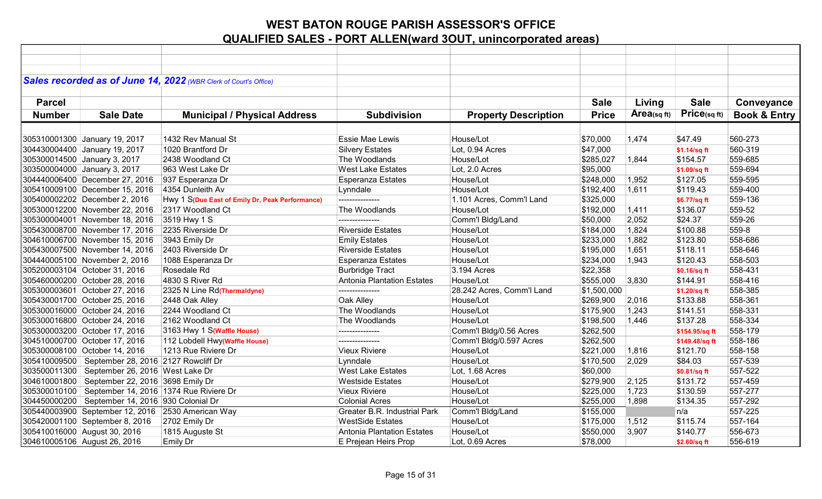|               |                                                         | Sales recorded as of June 14, 2022 (WBR Clerk of Court's Office) |                                     |                             |              |            |                |                         |
|---------------|---------------------------------------------------------|------------------------------------------------------------------|-------------------------------------|-----------------------------|--------------|------------|----------------|-------------------------|
|               |                                                         |                                                                  |                                     |                             |              |            |                |                         |
| <b>Parcel</b> |                                                         |                                                                  |                                     |                             | <b>Sale</b>  | Living     | <b>Sale</b>    | Conveyance              |
| <b>Number</b> | <b>Sale Date</b>                                        | <b>Municipal / Physical Address</b>                              | <b>Subdivision</b>                  | <b>Property Description</b> | <b>Price</b> | Area(sqft) | Price(sq ft)   | <b>Book &amp; Entry</b> |
|               |                                                         |                                                                  |                                     |                             |              |            |                |                         |
|               | 305310001300 January 19, 2017                           | 1432 Rev Manual St                                               | Essie Mae Lewis                     | House/Lot                   | \$70,000     | 1,474      | \$47.49        | 560-273                 |
|               | 304430004400 January 19, 2017                           | 1020 Brantford Dr                                                | <b>Silvery Estates</b>              | Lot, 0.94 Acres             | \$47,000     |            | \$1.14/sq ft   | 560-319                 |
|               | 305300014500 January 3, 2017                            | 2438 Woodland Ct                                                 | The Woodlands                       | House/Lot                   | \$285,027    | 1,844      | \$154.57       | 559-685                 |
|               | 303500004000 January 3, 2017                            | 963 West Lake Dr                                                 | <b>West Lake Estates</b>            | Lot, 2.0 Acres              | \$95,000     |            | \$1.09/sq ft   | 559-694                 |
|               | 304440006400 December 27, 2016                          | 937 Esperanza Dr                                                 | Esperanza Estates                   | House/Lot                   | \$248,000    | 1,952      | \$127.05       | 559-595                 |
|               | 305410009100 December 15, 2016                          | 4354 Dunleith Av                                                 | Lynndale                            | House/Lot                   | \$192,400    | 1,611      | \$119.43       | 559-400                 |
|               | 305400002202 December 2, 2016                           | Hwy 1 S(Due East of Emily Dr, Peak Performance)                  |                                     | 1.101 Acres, Comm'l Land    | \$325,000    |            | \$6.77/sq ft   | 559-136                 |
|               | 305300012200 November 22, 2016                          | 2317 Woodland Ct                                                 | The Woodlands                       | House/Lot                   | \$192,000    | 1,411      | \$136.07       | 559-52                  |
|               | 305300004001 November 18, 2016                          | 3519 Hwy 1 S                                                     | ---------------                     | Comm'l Bldg/Land            | \$50,000     | 2,052      | \$24.37        | 559-26                  |
|               | 305430008700 November 17, 2016                          | 2235 Riverside Dr                                                | <b>Riverside Estates</b>            | House/Lot                   | \$184,000    | 1,824      | \$100.88       | 559-8                   |
|               | 304610006700 November 15, 2016                          | 3943 Emily Dr                                                    | <b>Emily Estates</b>                | House/Lot                   | \$233,000    | 1,882      | \$123.80       | 558-686                 |
|               | 305430007500 November 14, 2016                          | 2403 Riverside Dr                                                | <b>Riverside Estates</b>            | House/Lot                   | \$195,000    | 1,651      | \$118.11       | 558-646                 |
|               | 304440005100 November 2, 2016                           | 1088 Esperanza Dr                                                | <b>Esperanza Estates</b>            | House/Lot                   | \$234,000    | 1,943      | \$120.43       | 558-503                 |
|               | 305200003104 October 31, 2016                           | Rosedale Rd                                                      | <b>Burbridge Tract</b>              | 3.194 Acres                 | \$22,358     |            | \$0.16/sq ft   | 558-431                 |
|               | 305460000200 October 28, 2016                           | 4830 S River Rd                                                  | <b>Antonia Plantation Estates</b>   | House/Lot                   | \$555,000    | 3,830      | \$144.91       | 558-416                 |
|               | 305300003601 October 27, 2016                           | 2325 N Line Rd(Thermaldyne)                                      | ----------------                    | 28.242 Acres, Comm'l Land   | \$1,500,000  |            | \$1.20/sq ft   | 558-385                 |
|               | 305430001700 October 25, 2016                           | 2448 Oak Alley                                                   | Oak Alley                           | House/Lot                   | \$269,900    | 2,016      | \$133.88       | 558-361                 |
|               | 305300016000 October 24, 2016                           | 2244 Woodland Ct                                                 | The Woodlands                       | House/Lot                   | \$175,900    | 1,243      | \$141.51       | 558-331                 |
|               | 305300016800 October 24, 2016                           | 2162 Woodland Ct                                                 | The Woodlands                       | House/Lot                   | \$198,500    | 1,446      | \$137.28       | 558-334                 |
|               | 305300003200 October 17, 2016                           | 3163 Hwy 1 S(Waffle House)                                       | ---------------                     | Comm'l Bldg/0.56 Acres      | \$262,500    |            | \$154.95/sq ft | 558-179                 |
|               | 304510000700 October 17, 2016                           | 112 Lobdell Hwy(Waffle House)                                    | ---------------                     | Comm'l Bldg/0.597 Acres     | \$262,500    |            | \$149.48/sq ft | 558-186                 |
|               | 305300008100 October 14, 2016                           | 1213 Rue Riviere Dr                                              | <b>Vieux Riviere</b>                | House/Lot                   | \$221,000    | 1,816      | \$121.70       | 558-158                 |
|               | 305410009500   September 28, 2016 2127 Rowcliff Dr      |                                                                  | Lynndale                            | House/Lot                   | \$170,500    | 2,029      | \$84.03        | 557-539                 |
|               | 303500011300   September 26, 2016   West Lake Dr        |                                                                  | <b>West Lake Estates</b>            | Lot, 1.68 Acres             | \$60,000     |            | \$0.81/sq ft   | 557-522                 |
|               | 304610001800   September 22, 2016 3698 Emily Dr         |                                                                  | <b>Westside Estates</b>             | House/Lot                   | \$279,900    | 2,125      | \$131.72       | 557-459                 |
|               | 305300010100   September 14, 2016   1374 Rue Riviere Dr |                                                                  | <b>Vieux Riviere</b>                | House/Lot                   | \$225,000    | 1,723      | \$130.59       | 557-277                 |
|               | 304450000200 September 14, 2016 930 Colonial Dr         |                                                                  | <b>Colonial Acres</b>               | House/Lot                   | \$255,000    | 1,898      | \$134.35       | 557-292                 |
|               | 305440003900 September 12, 2016 2530 American Way       |                                                                  | <b>Greater B.R. Industrial Park</b> | Comm'l Bldg/Land            | \$155,000    |            | n/a            | 557-225                 |
|               | 305420001100 September 8, 2016                          | 2702 Emily Dr                                                    | <b>WestSide Estates</b>             | House/Lot                   | \$175,000    | 1,512      | \$115.74       | 557-164                 |
|               | 305410016000 August 30, 2016                            | 1815 Auguste St                                                  | Antonia Plantation Estates          | House/Lot                   | \$550,000    | 3,907      | \$140.77       | 556-673                 |
|               | 304610005106 August 26, 2016                            | Emily Dr                                                         | E Prejean Heirs Prop                | Lot, 0.69 Acres             | \$78,000     |            | \$2.60/sq ft   | 556-619                 |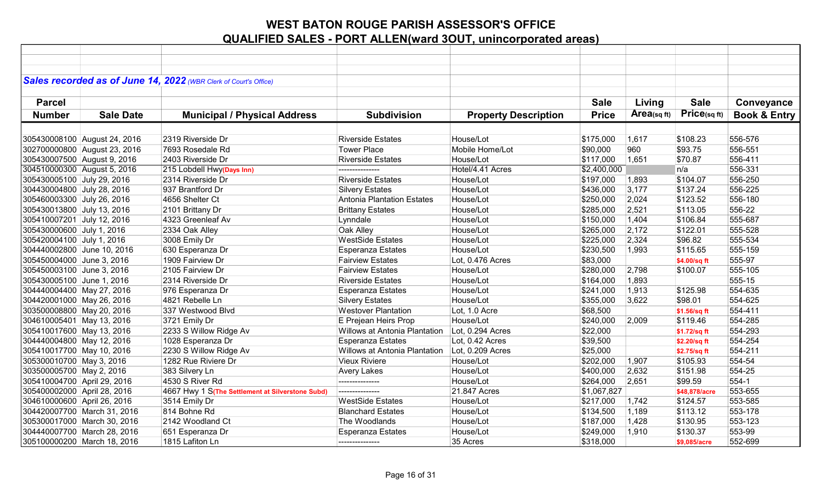|                             |                              | Sales recorded as of June 14, 2022 (WBR Clerk of Court's Office) |                                   |                             |              |            |               |                         |
|-----------------------------|------------------------------|------------------------------------------------------------------|-----------------------------------|-----------------------------|--------------|------------|---------------|-------------------------|
|                             |                              |                                                                  |                                   |                             |              |            |               |                         |
|                             |                              |                                                                  |                                   |                             |              |            |               |                         |
| <b>Parcel</b>               |                              |                                                                  |                                   |                             | <b>Sale</b>  | Living     | <b>Sale</b>   | Conveyance              |
| <b>Number</b>               | <b>Sale Date</b>             | <b>Municipal / Physical Address</b>                              | <b>Subdivision</b>                | <b>Property Description</b> | <b>Price</b> | Area(sqft) | Price(sq ft)  | <b>Book &amp; Entry</b> |
|                             |                              |                                                                  |                                   |                             |              |            |               |                         |
|                             | 305430008100 August 24, 2016 | 2319 Riverside Dr                                                | <b>Riverside Estates</b>          | House/Lot                   | \$175,000    | 1,617      | \$108.23      | 556-576                 |
|                             | 302700000800 August 23, 2016 | 7693 Rosedale Rd                                                 | Tower Place                       | Mobile Home/Lot             | \$90,000     | 960        | \$93.75       | 556-551                 |
| 305430007500 August 9, 2016 |                              | 2403 Riverside Dr                                                | <b>Riverside Estates</b>          | House/Lot                   | \$117,000    | 1,651      | \$70.87       | 556-411                 |
| 304510000300 August 5, 2016 |                              | 215 Lobdell Hwy(Days Inn)                                        | ---------------                   | Hotel/4.41 Acres            | \$2,400,000  |            | n/a           | 556-331                 |
| 305430005100 July 29, 2016  |                              | 2314 Riverside Dr                                                | <b>Riverside Estates</b>          | House/Lot                   | \$197,000    | 1,893      | \$104.07      | 556-250                 |
| 304430004800 July 28, 2016  |                              | 937 Brantford Dr                                                 | <b>Silvery Estates</b>            | House/Lot                   | \$436,000    | 3,177      | \$137.24      | 556-225                 |
| 305460003300 July 26, 2016  |                              | 4656 Shelter Ct                                                  | <b>Antonia Plantation Estates</b> | House/Lot                   | \$250,000    | 2,024      | \$123.52      | 556-180                 |
| 305430013800 July 13, 2016  |                              | 2101 Brittany Dr                                                 | <b>Brittany Estates</b>           | House/Lot                   | \$285,000    | 2,521      | \$113.05      | 556-22                  |
| 305410007201 July 12, 2016  |                              | 4323 Greenleaf Av                                                | Lynndale                          | House/Lot                   | \$150,000    | 1,404      | \$106.84      | 555-687                 |
| 305430000600 July 1, 2016   |                              | 2334 Oak Alley                                                   | Oak Alley                         | House/Lot                   | \$265,000    | 2,172      | \$122.01      | 555-528                 |
| 305420004100 July 1, 2016   |                              | 3008 Emily Dr                                                    | <b>WestSide Estates</b>           | House/Lot                   | \$225,000    | 2,324      | \$96.82       | 555-534                 |
| 304440002800 June 10, 2016  |                              | 630 Esperanza Dr                                                 | <b>Esperanza Estates</b>          | House/Lot                   | \$230,500    | 1,993      | \$115.65      | 555-159                 |
| 305450004000 June 3, 2016   |                              | 1909 Fairview Dr                                                 | <b>Fairview Estates</b>           | Lot, 0.476 Acres            | \$83,000     |            | \$4.00/sq ft  | 555-97                  |
| 305450003100 June 3, 2016   |                              | 2105 Fairview Dr                                                 | <b>Fairview Estates</b>           | House/Lot                   | \$280,000    | 2,798      | \$100.07      | 555-105                 |
| 305430005100 June 1, 2016   |                              | 2314 Riverside Dr                                                | <b>Riverside Estates</b>          | House/Lot                   | \$164,000    | 1,893      |               | 555-15                  |
| 304440004400 May 27, 2016   |                              | 976 Esperanza Dr                                                 | <b>Esperanza Estates</b>          | House/Lot                   | \$241,000    | 1,913      | \$125.98      | 554-635                 |
| 304420001000 May 26, 2016   |                              | 4821 Rebelle Ln                                                  | <b>Silvery Estates</b>            | House/Lot                   | \$355,000    | 3,622      | \$98.01       | 554-625                 |
| 303500008800 May 20, 2016   |                              | 337 Westwood Blvd                                                | <b>Westover Plantation</b>        | Lot, 1.0 Acre               | \$68,500     |            | \$1.56/sq ft  | 554-411                 |
| 304610005401 May 13, 2016   |                              | 3721 Emily Dr                                                    | E Prejean Heirs Prop              | House/Lot                   | \$240,000    | 2,009      | \$119.46      | 554-285                 |
| 305410017600 May 13, 2016   |                              | 2233 S Willow Ridge Av                                           | Willows at Antonia Plantation     | Lot, 0.294 Acres            | \$22,000     |            | \$1.72/sq ft  | 554-293                 |
| 304440004800 May 12, 2016   |                              | 1028 Esperanza Dr                                                | <b>Esperanza Estates</b>          | Lot, 0.42 Acres             | \$39,500     |            | \$2.20/sq ft  | 554-254                 |
| 305410017700 May 10, 2016   |                              | 2230 S Willow Ridge Av                                           | Willows at Antonia Plantation     | Lot, 0.209 Acres            | \$25,000     |            | \$2.75/sq ft  | 554-211                 |
| 305300010700 May 3, 2016    |                              | 1282 Rue Riviere Dr                                              | <b>Vieux Riviere</b>              | House/Lot                   | \$202,000    | 1,907      | \$105.93      | 554-54                  |
| 303500005700 May 2, 2016    |                              | 383 Silvery Ln                                                   | <b>Avery Lakes</b>                | House/Lot                   | \$400,000    | 2,632      | \$151.98      | 554-25                  |
| 305410004700 April 29, 2016 |                              | 4530 S River Rd                                                  | ---------------                   | House/Lot                   | \$264,000    | 2,651      | \$99.59       | 554-1                   |
| 305400002000 April 28, 2016 |                              | 4667 Hwy 1 S(The Settlement at Silverstone Subd)                 | ---------------                   | 21.847 Acres                | \$1,067,827  |            | \$48,878/acre | 553-655                 |
| 304610000600 April 26, 2016 |                              | 3514 Emily Dr                                                    | <b>WestSide Estates</b>           | House/Lot                   | \$217,000    | 1,742      | \$124.57      | 553-585                 |
|                             | 304420007700 March 31, 2016  | 814 Bohne Rd                                                     | <b>Blanchard Estates</b>          | House/Lot                   | \$134,500    | 1,189      | \$113.12      | 553-178                 |
|                             | 305300017000 March 30, 2016  | 2142 Woodland Ct                                                 | The Woodlands                     | House/Lot                   | \$187,000    | 1,428      | \$130.95      | 553-123                 |
|                             | 304440007700 March 28, 2016  | 651 Esperanza Dr                                                 | <b>Esperanza Estates</b>          | House/Lot                   | \$249,000    | 1,910      | \$130.37      | 553-99                  |
|                             | 305100000200 March 18, 2016  | 1815 Lafiton Ln                                                  | ---------------                   | 35 Acres                    | \$318,000    |            | \$9,085/acre  | 552-699                 |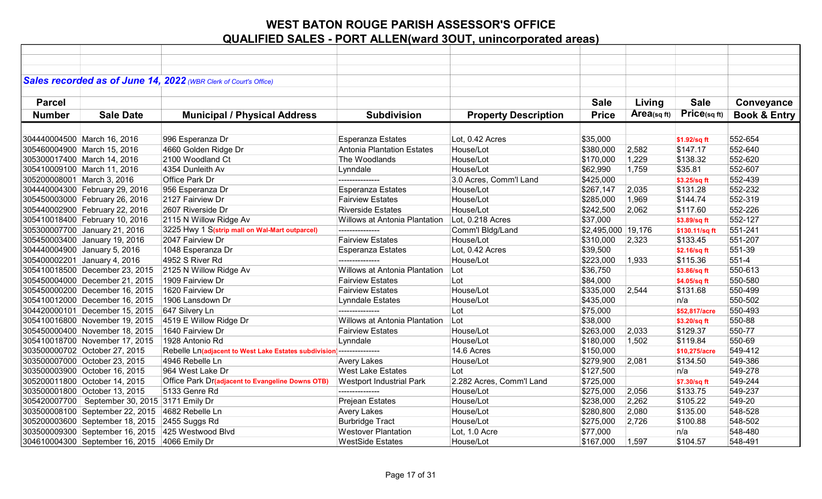|                            |                                                   | Sales recorded as of June 14, 2022 (WBR Clerk of Court's Office) |                                 |                             |                    |            |                |                         |
|----------------------------|---------------------------------------------------|------------------------------------------------------------------|---------------------------------|-----------------------------|--------------------|------------|----------------|-------------------------|
|                            |                                                   |                                                                  |                                 |                             |                    |            |                |                         |
| <b>Parcel</b>              |                                                   |                                                                  |                                 |                             | <b>Sale</b>        | Living     | <b>Sale</b>    | Conveyance              |
| <b>Number</b>              | <b>Sale Date</b>                                  | <b>Municipal / Physical Address</b>                              | <b>Subdivision</b>              | <b>Property Description</b> | <b>Price</b>       | Area(sqft) | Price(sqft)    | <b>Book &amp; Entry</b> |
|                            |                                                   |                                                                  |                                 |                             |                    |            |                |                         |
|                            | 304440004500 March 16, 2016                       | 996 Esperanza Dr                                                 | <b>Esperanza Estates</b>        | Lot, 0.42 Acres             | \$35,000           |            | \$1.92/sq ft   | 552-654                 |
|                            | 305460004900 March 15, 2016                       | 4660 Golden Ridge Dr                                             | Antonia Plantation Estates      | House/Lot                   | \$380,000          | 2,582      | \$147.17       | 552-640                 |
|                            | 305300017400 March 14, 2016                       | 2100 Woodland Ct                                                 | The Woodlands                   | House/Lot                   | \$170,000          | 1,229      | \$138.32       | 552-620                 |
|                            | 305410009100 March 11, 2016                       | 4354 Dunleith Av                                                 | Lynndale                        | House/Lot                   | \$62,990           | 1,759      | \$35.81        | 552-607                 |
| 305200008001 March 3, 2016 |                                                   | Office Park Dr                                                   | ---------------                 | 3.0 Acres, Comm'l Land      | \$425,000          |            | \$3.25/sq ft   | 552-439                 |
|                            | 304440004300 February 29, 2016                    | 956 Esperanza Dr                                                 | <b>Esperanza Estates</b>        | House/Lot                   | \$267,147          | 2,035      | \$131.28       | 552-232                 |
|                            | 305450003000 February 26, 2016                    | 2127 Fairview Dr                                                 | <b>Fairview Estates</b>         | House/Lot                   | \$285,000          | 1,969      | \$144.74       | 552-319                 |
|                            | 305440002900 February 22, 2016                    | 2607 Riverside Dr                                                | <b>Riverside Estates</b>        | House/Lot                   | \$242,500          | 2,062      | \$117.60       | 552-226                 |
|                            | 305410018400 February 10, 2016                    | 2115 N Willow Ridge Av                                           | Willows at Antonia Plantation   | Lot, 0.218 Acres            | \$37,000           |            | \$3.89/sq ft   | 552-127                 |
|                            | 305300007700 January 21, 2016                     | 3225 Hwy 1 S(strip mall on Wal-Mart outparcel)                   | ---------------                 | Comm'l Bldg/Land            | \$2,495,000 19,176 |            | \$130.11/sq ft | 551-241                 |
|                            | 305450003400 January 19, 2016                     | 2047 Fairview Dr                                                 | <b>Fairview Estates</b>         | House/Lot                   | \$310,000          | 2,323      | \$133.45       | 551-207                 |
|                            | 304440004900 January 5, 2016                      | 1048 Esperanza Dr                                                | <b>Esperanza Estates</b>        | Lot, 0.42 Acres             | \$39,500           |            | \$2.16/sq ft   | 551-39                  |
|                            | 305400002201 January 4, 2016                      | 4952 S River Rd                                                  | ---------------                 | House/Lot                   | \$223,000          | 1,933      | \$115.36       | 551-4                   |
|                            | 305410018500 December 23, 2015                    | 2125 N Willow Ridge Av                                           | Willows at Antonia Plantation   | Lot                         | \$36,750           |            | \$3.86/sq ft   | 550-613                 |
|                            | 305450004000 December 21, 2015                    | 1909 Fairview Dr                                                 | <b>Fairview Estates</b>         | Lot                         | \$84,000           |            | \$4.05/sq ft   | 550-580                 |
|                            | 305450000200 December 16, 2015                    | 1620 Fairview Dr                                                 | <b>Fairview Estates</b>         | House/Lot                   | \$335,000          | 2,544      | \$131.68       | 550-499                 |
|                            | 305410012000 December 16, 2015                    | 1906 Lansdown Dr                                                 | <b>Lynndale Estates</b>         | House/Lot                   | \$435,000          |            | n/a            | 550-502                 |
|                            | 304420000101 December 15, 2015                    | 647 Silvery Ln                                                   | ---------------                 | Lot                         | \$75,000           |            | \$52,817/acre  | 550-493                 |
|                            | 305410016800 November 19, 2015                    | 4519 E Willow Ridge Dr                                           | Willows at Antonia Plantation   | Lot                         | \$38,000           |            | \$3.20/sq ft   | 550-88                  |
|                            | 305450000400 November 18, 2015                    | 1640 Fairview Dr                                                 | <b>Fairview Estates</b>         | House/Lot                   | \$263,000          | 2,033      | \$129.37       | 550-77                  |
|                            | 305410018700 November 17, 2015                    | 1928 Antonio Rd                                                  | Lynndale                        | House/Lot                   | \$180,000          | 1,502      | \$119.84       | 550-69                  |
|                            | 303500000702 October 27, 2015                     | Rebelle Ln(adjacent to West Lake Estates subdivision             | ---------------                 | 14.6 Acres                  | \$150,000          |            | \$10,275/acre  | 549-412                 |
|                            | 303500007000 October 23, 2015                     | 4946 Rebelle Ln                                                  | <b>Avery Lakes</b>              | House/Lot                   | \$279,900          | 2,081      | \$134.50       | 549-386                 |
|                            | 303500003900 October 16, 2015                     | 964 West Lake Dr                                                 | <b>West Lake Estates</b>        | Lot                         | \$127,500          |            | n/a            | 549-278                 |
|                            | 305200011800 October 14, 2015                     | Office Park Dr(adjacent to Evangeline Downs OTB)                 | <b>Westport Industrial Park</b> | 2.282 Acres, Comm'l Land    | \$725,000          |            | \$7.30/sq ft   | 549-244                 |
|                            | 303500001800 October 13, 2015                     | 5133 Genre Rd                                                    | ---------------                 | House/Lot                   | \$275,000          | 2,056      | \$133.75       | 549-237                 |
|                            | 305420007700   September 30, 2015   3171 Emily Dr |                                                                  | Prejean Estates                 | House/Lot                   | \$238,000          | 2,262      | \$105.22       | 549-20                  |
|                            | 303500008100 September 22, 2015 4682 Rebelle Ln   |                                                                  | <b>Avery Lakes</b>              | House/Lot                   | \$280,800          | 2,080      | \$135.00       | 548-528                 |
|                            | 305200003600 September 18, 2015 2455 Suggs Rd     |                                                                  | <b>Burbridge Tract</b>          | House/Lot                   | \$275,000          | 2,726      | \$100.88       | 548-502                 |
|                            | 303500009300 September 16, 2015 425 Westwood Blvd |                                                                  | <b>Westover Plantation</b>      | Lot, 1.0 Acre               | \$77,000           |            | n/a            | 548-480                 |
|                            | 304610004300 September 16, 2015 4066 Emily Dr     |                                                                  | <b>WestSide Estates</b>         | House/Lot                   | \$167,000          | 1,597      | \$104.57       | 548-491                 |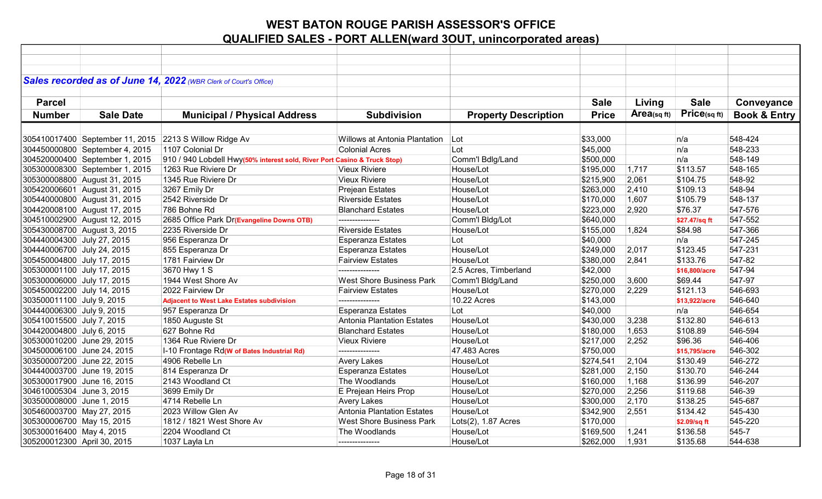| Sales recorded as of June 14, 2022 (WBR Clerk of Court's Office)<br><b>Sale</b><br><b>Sale</b><br><b>Parcel</b><br>Living<br>Conveyance<br>Price(sqft)<br>Area(sqft)<br><b>Book &amp; Entry</b><br><b>Number</b><br><b>Sale Date</b><br><b>Municipal / Physical Address</b><br><b>Subdivision</b><br><b>Property Description</b><br><b>Price</b><br>548-424<br>305410017400 September 11, 2015 2213 S Willow Ridge Av<br><b>Willows at Antonia Plantation</b><br>\$33,000<br>Lot<br>n/a<br>1107 Colonial Dr<br>548-233<br>304450000800 September 4, 2015<br><b>Colonial Acres</b><br>Lot<br>\$45,000<br>n/a<br>304520000400 September 1, 2015<br>Comm'l Bdlg/Land<br>548-149<br>910 / 940 Lobdell Hwy(50% interest sold, River Port Casino & Truck Stop)<br>\$500,000<br>n/a<br>1263 Rue Riviere Dr<br><b>Vieux Riviere</b><br>548-165<br>305300008300 September 1, 2015<br>House/Lot<br>\$195,000<br>1,717<br>\$113.57<br>305300008800 August 31, 2015<br>1345 Rue Riviere Dr<br><b>Vieux Riviere</b><br>2,061<br>548-92<br>House/Lot<br>\$215,900<br>\$104.75<br>548-94<br>305420006601 August 31, 2015<br>3267 Emily Dr<br>\$109.13<br>Prejean Estates<br>House/Lot<br>\$263,000<br>2,410<br>2542 Riverside Dr<br>\$105.79<br>548-137<br>305440000800 August 31, 2015<br><b>Riverside Estates</b><br>House/Lot<br>\$170,000<br>1,607<br>2,920<br>\$76.37<br>547-576<br>304420008100 August 17, 2015<br>786 Bohne Rd<br><b>Blanchard Estates</b><br>House/Lot<br>\$223,000<br>2685 Office Park Dr(Evangeline Downs OTB)<br>547-552<br>304510002900 August 12, 2015<br>Comm'l Bldg/Lot<br>\$640,000<br>---------------<br>\$27.47/sq ft<br>305430008700 August 3, 2015<br>547-366<br>2235 Riverside Dr<br><b>Riverside Estates</b><br>\$155,000<br>House/Lot<br>1,824<br>\$84.98<br>304440004300 July 27, 2015<br>956 Esperanza Dr<br>Lot<br>\$40,000<br>547-245<br><b>Esperanza Estates</b><br>n/a<br>547-231<br>304440006700 July 24, 2015<br>855 Esperanza Dr<br><b>Esperanza Estates</b><br>House/Lot<br>\$249,000<br>2,017<br>\$123.45<br>\$133.76<br>547-82<br>305450004800 July 17, 2015<br>1781 Fairview Dr<br><b>Fairview Estates</b><br>House/Lot<br>\$380,000<br>2,841<br>305300001100 July 17, 2015<br>3670 Hwy 1 S<br>2.5 Acres, Timberland<br>\$42,000<br>547-94<br>\$16,800/acre<br>---------------<br>1944 West Shore Av<br><b>West Shore Business Park</b><br>3,600<br>\$69.44<br>547-97<br>305300006000 July 17, 2015<br>Comm'l Bldg/Land<br>\$250,000<br>2022 Fairview Dr<br>\$270,000<br>546-693<br>305450002200 July 14, 2015<br><b>Fairview Estates</b><br>House/Lot<br>2,229<br>\$121.13<br>546-640<br>10.22 Acres<br>303500011100 July 9, 2015<br>\$143,000<br><b>Adjacent to West Lake Estates subdivision</b><br>---------------<br>\$13,922/acre<br>546-654<br>304440006300 July 9, 2015<br>957 Esperanza Dr<br><b>Esperanza Estates</b><br>Lot<br>\$40,000<br>n/a<br>Antonia Plantation Estates<br>546-613<br>305410015500 July 7, 2015<br>1850 Auguste St<br>House/Lot<br>3,238<br>\$132.80<br>\$430,000<br>627 Bohne Rd<br>304420004800 July 6, 2015<br><b>Blanchard Estates</b><br>\$180,000<br>1,653<br>\$108.89<br>546-594<br>House/Lot<br>305300010200 June 29, 2015<br>\$96.36<br>546-406<br>1364 Rue Riviere Dr<br><b>Vieux Riviere</b><br>House/Lot<br>\$217,000<br>2.252<br>304500006100 June 24, 2015<br>I-10 Frontage Rd(W of Bates Industrial Rd)<br>47.483 Acres<br>\$750,000<br>546-302<br>---------------<br>\$15,795/acre<br>4906 Rebelle Ln<br>546-272<br>2,104<br>\$130.49<br>303500007200 June 22, 2015<br><b>Avery Lakes</b><br>House/Lot<br>\$274,541<br>\$130.70<br>546-244<br>304440003700 June 19, 2015<br>814 Esperanza Dr<br><b>Esperanza Estates</b><br>House/Lot<br>\$281,000<br>2,150<br>1,168<br>546-207<br>305300017900 June 16, 2015<br>2143 Woodland Ct<br>The Woodlands<br>House/Lot<br>\$136.99<br>\$160,000<br>546-39<br>304610005304 June 3, 2015<br>3699 Emily Dr<br>E Prejean Heirs Prop<br>\$270,000<br>2,256<br>\$119.68<br>House/Lot<br>303500008000 June 1, 2015<br>4714 Rebelle Ln<br><b>Avery Lakes</b><br>House/Lot<br>2,170<br>\$138.25<br>545-687<br>\$300,000<br>305460003700 May 27, 2015<br>2023 Willow Glen Av<br>Antonia Plantation Estates<br>\$342,900<br>2,551<br>\$134.42<br>545-430<br>House/Lot<br>305300006700 May 15, 2015<br>545-220<br>1812 / 1821 West Shore Av<br><b>West Shore Business Park</b><br>$Lots(2), 1.87$ Acres<br>\$170,000<br>\$2.09/sq ft<br>305300016400 May 4, 2015<br>2204 Woodland Ct<br>\$136.58<br>545-7<br>The Woodlands<br>House/Lot<br>\$169,500<br>1,241<br>House/Lot<br>544-638<br>305200012300 April 30, 2015<br>1037 Layla Ln<br>\$262,000<br>1,931<br>\$135.68<br>--------------- |  |  |  |  |  |
|--------------------------------------------------------------------------------------------------------------------------------------------------------------------------------------------------------------------------------------------------------------------------------------------------------------------------------------------------------------------------------------------------------------------------------------------------------------------------------------------------------------------------------------------------------------------------------------------------------------------------------------------------------------------------------------------------------------------------------------------------------------------------------------------------------------------------------------------------------------------------------------------------------------------------------------------------------------------------------------------------------------------------------------------------------------------------------------------------------------------------------------------------------------------------------------------------------------------------------------------------------------------------------------------------------------------------------------------------------------------------------------------------------------------------------------------------------------------------------------------------------------------------------------------------------------------------------------------------------------------------------------------------------------------------------------------------------------------------------------------------------------------------------------------------------------------------------------------------------------------------------------------------------------------------------------------------------------------------------------------------------------------------------------------------------------------------------------------------------------------------------------------------------------------------------------------------------------------------------------------------------------------------------------------------------------------------------------------------------------------------------------------------------------------------------------------------------------------------------------------------------------------------------------------------------------------------------------------------------------------------------------------------------------------------------------------------------------------------------------------------------------------------------------------------------------------------------------------------------------------------------------------------------------------------------------------------------------------------------------------------------------------------------------------------------------------------------------------------------------------------------------------------------------------------------------------------------------------------------------------------------------------------------------------------------------------------------------------------------------------------------------------------------------------------------------------------------------------------------------------------------------------------------------------------------------------------------------------------------------------------------------------------------------------------------------------------------------------------------------------------------------------------------------------------------------------------------------------------------------------------------------------------------------------------------------------------------------------------------------------------------------------------------------------------------------------------------------------------------------------------------------------------------------------------------------------------------------------------------------------------------------------------------------------------------------------------------------------------------------------------------------------------------------------------------------------------------------------------------------------------------------------------------------------------------------------------------------------------------------------------------------------------------------------------------------------------------------|--|--|--|--|--|
|                                                                                                                                                                                                                                                                                                                                                                                                                                                                                                                                                                                                                                                                                                                                                                                                                                                                                                                                                                                                                                                                                                                                                                                                                                                                                                                                                                                                                                                                                                                                                                                                                                                                                                                                                                                                                                                                                                                                                                                                                                                                                                                                                                                                                                                                                                                                                                                                                                                                                                                                                                                                                                                                                                                                                                                                                                                                                                                                                                                                                                                                                                                                                                                                                                                                                                                                                                                                                                                                                                                                                                                                                                                                                                                                                                                                                                                                                                                                                                                                                                                                                                                                                                                                                                                                                                                                                                                                                                                                                                                                                                                                                                                                                                              |  |  |  |  |  |
|                                                                                                                                                                                                                                                                                                                                                                                                                                                                                                                                                                                                                                                                                                                                                                                                                                                                                                                                                                                                                                                                                                                                                                                                                                                                                                                                                                                                                                                                                                                                                                                                                                                                                                                                                                                                                                                                                                                                                                                                                                                                                                                                                                                                                                                                                                                                                                                                                                                                                                                                                                                                                                                                                                                                                                                                                                                                                                                                                                                                                                                                                                                                                                                                                                                                                                                                                                                                                                                                                                                                                                                                                                                                                                                                                                                                                                                                                                                                                                                                                                                                                                                                                                                                                                                                                                                                                                                                                                                                                                                                                                                                                                                                                                              |  |  |  |  |  |
|                                                                                                                                                                                                                                                                                                                                                                                                                                                                                                                                                                                                                                                                                                                                                                                                                                                                                                                                                                                                                                                                                                                                                                                                                                                                                                                                                                                                                                                                                                                                                                                                                                                                                                                                                                                                                                                                                                                                                                                                                                                                                                                                                                                                                                                                                                                                                                                                                                                                                                                                                                                                                                                                                                                                                                                                                                                                                                                                                                                                                                                                                                                                                                                                                                                                                                                                                                                                                                                                                                                                                                                                                                                                                                                                                                                                                                                                                                                                                                                                                                                                                                                                                                                                                                                                                                                                                                                                                                                                                                                                                                                                                                                                                                              |  |  |  |  |  |
|                                                                                                                                                                                                                                                                                                                                                                                                                                                                                                                                                                                                                                                                                                                                                                                                                                                                                                                                                                                                                                                                                                                                                                                                                                                                                                                                                                                                                                                                                                                                                                                                                                                                                                                                                                                                                                                                                                                                                                                                                                                                                                                                                                                                                                                                                                                                                                                                                                                                                                                                                                                                                                                                                                                                                                                                                                                                                                                                                                                                                                                                                                                                                                                                                                                                                                                                                                                                                                                                                                                                                                                                                                                                                                                                                                                                                                                                                                                                                                                                                                                                                                                                                                                                                                                                                                                                                                                                                                                                                                                                                                                                                                                                                                              |  |  |  |  |  |
|                                                                                                                                                                                                                                                                                                                                                                                                                                                                                                                                                                                                                                                                                                                                                                                                                                                                                                                                                                                                                                                                                                                                                                                                                                                                                                                                                                                                                                                                                                                                                                                                                                                                                                                                                                                                                                                                                                                                                                                                                                                                                                                                                                                                                                                                                                                                                                                                                                                                                                                                                                                                                                                                                                                                                                                                                                                                                                                                                                                                                                                                                                                                                                                                                                                                                                                                                                                                                                                                                                                                                                                                                                                                                                                                                                                                                                                                                                                                                                                                                                                                                                                                                                                                                                                                                                                                                                                                                                                                                                                                                                                                                                                                                                              |  |  |  |  |  |
|                                                                                                                                                                                                                                                                                                                                                                                                                                                                                                                                                                                                                                                                                                                                                                                                                                                                                                                                                                                                                                                                                                                                                                                                                                                                                                                                                                                                                                                                                                                                                                                                                                                                                                                                                                                                                                                                                                                                                                                                                                                                                                                                                                                                                                                                                                                                                                                                                                                                                                                                                                                                                                                                                                                                                                                                                                                                                                                                                                                                                                                                                                                                                                                                                                                                                                                                                                                                                                                                                                                                                                                                                                                                                                                                                                                                                                                                                                                                                                                                                                                                                                                                                                                                                                                                                                                                                                                                                                                                                                                                                                                                                                                                                                              |  |  |  |  |  |
|                                                                                                                                                                                                                                                                                                                                                                                                                                                                                                                                                                                                                                                                                                                                                                                                                                                                                                                                                                                                                                                                                                                                                                                                                                                                                                                                                                                                                                                                                                                                                                                                                                                                                                                                                                                                                                                                                                                                                                                                                                                                                                                                                                                                                                                                                                                                                                                                                                                                                                                                                                                                                                                                                                                                                                                                                                                                                                                                                                                                                                                                                                                                                                                                                                                                                                                                                                                                                                                                                                                                                                                                                                                                                                                                                                                                                                                                                                                                                                                                                                                                                                                                                                                                                                                                                                                                                                                                                                                                                                                                                                                                                                                                                                              |  |  |  |  |  |
|                                                                                                                                                                                                                                                                                                                                                                                                                                                                                                                                                                                                                                                                                                                                                                                                                                                                                                                                                                                                                                                                                                                                                                                                                                                                                                                                                                                                                                                                                                                                                                                                                                                                                                                                                                                                                                                                                                                                                                                                                                                                                                                                                                                                                                                                                                                                                                                                                                                                                                                                                                                                                                                                                                                                                                                                                                                                                                                                                                                                                                                                                                                                                                                                                                                                                                                                                                                                                                                                                                                                                                                                                                                                                                                                                                                                                                                                                                                                                                                                                                                                                                                                                                                                                                                                                                                                                                                                                                                                                                                                                                                                                                                                                                              |  |  |  |  |  |
|                                                                                                                                                                                                                                                                                                                                                                                                                                                                                                                                                                                                                                                                                                                                                                                                                                                                                                                                                                                                                                                                                                                                                                                                                                                                                                                                                                                                                                                                                                                                                                                                                                                                                                                                                                                                                                                                                                                                                                                                                                                                                                                                                                                                                                                                                                                                                                                                                                                                                                                                                                                                                                                                                                                                                                                                                                                                                                                                                                                                                                                                                                                                                                                                                                                                                                                                                                                                                                                                                                                                                                                                                                                                                                                                                                                                                                                                                                                                                                                                                                                                                                                                                                                                                                                                                                                                                                                                                                                                                                                                                                                                                                                                                                              |  |  |  |  |  |
|                                                                                                                                                                                                                                                                                                                                                                                                                                                                                                                                                                                                                                                                                                                                                                                                                                                                                                                                                                                                                                                                                                                                                                                                                                                                                                                                                                                                                                                                                                                                                                                                                                                                                                                                                                                                                                                                                                                                                                                                                                                                                                                                                                                                                                                                                                                                                                                                                                                                                                                                                                                                                                                                                                                                                                                                                                                                                                                                                                                                                                                                                                                                                                                                                                                                                                                                                                                                                                                                                                                                                                                                                                                                                                                                                                                                                                                                                                                                                                                                                                                                                                                                                                                                                                                                                                                                                                                                                                                                                                                                                                                                                                                                                                              |  |  |  |  |  |
|                                                                                                                                                                                                                                                                                                                                                                                                                                                                                                                                                                                                                                                                                                                                                                                                                                                                                                                                                                                                                                                                                                                                                                                                                                                                                                                                                                                                                                                                                                                                                                                                                                                                                                                                                                                                                                                                                                                                                                                                                                                                                                                                                                                                                                                                                                                                                                                                                                                                                                                                                                                                                                                                                                                                                                                                                                                                                                                                                                                                                                                                                                                                                                                                                                                                                                                                                                                                                                                                                                                                                                                                                                                                                                                                                                                                                                                                                                                                                                                                                                                                                                                                                                                                                                                                                                                                                                                                                                                                                                                                                                                                                                                                                                              |  |  |  |  |  |
|                                                                                                                                                                                                                                                                                                                                                                                                                                                                                                                                                                                                                                                                                                                                                                                                                                                                                                                                                                                                                                                                                                                                                                                                                                                                                                                                                                                                                                                                                                                                                                                                                                                                                                                                                                                                                                                                                                                                                                                                                                                                                                                                                                                                                                                                                                                                                                                                                                                                                                                                                                                                                                                                                                                                                                                                                                                                                                                                                                                                                                                                                                                                                                                                                                                                                                                                                                                                                                                                                                                                                                                                                                                                                                                                                                                                                                                                                                                                                                                                                                                                                                                                                                                                                                                                                                                                                                                                                                                                                                                                                                                                                                                                                                              |  |  |  |  |  |
|                                                                                                                                                                                                                                                                                                                                                                                                                                                                                                                                                                                                                                                                                                                                                                                                                                                                                                                                                                                                                                                                                                                                                                                                                                                                                                                                                                                                                                                                                                                                                                                                                                                                                                                                                                                                                                                                                                                                                                                                                                                                                                                                                                                                                                                                                                                                                                                                                                                                                                                                                                                                                                                                                                                                                                                                                                                                                                                                                                                                                                                                                                                                                                                                                                                                                                                                                                                                                                                                                                                                                                                                                                                                                                                                                                                                                                                                                                                                                                                                                                                                                                                                                                                                                                                                                                                                                                                                                                                                                                                                                                                                                                                                                                              |  |  |  |  |  |
|                                                                                                                                                                                                                                                                                                                                                                                                                                                                                                                                                                                                                                                                                                                                                                                                                                                                                                                                                                                                                                                                                                                                                                                                                                                                                                                                                                                                                                                                                                                                                                                                                                                                                                                                                                                                                                                                                                                                                                                                                                                                                                                                                                                                                                                                                                                                                                                                                                                                                                                                                                                                                                                                                                                                                                                                                                                                                                                                                                                                                                                                                                                                                                                                                                                                                                                                                                                                                                                                                                                                                                                                                                                                                                                                                                                                                                                                                                                                                                                                                                                                                                                                                                                                                                                                                                                                                                                                                                                                                                                                                                                                                                                                                                              |  |  |  |  |  |
|                                                                                                                                                                                                                                                                                                                                                                                                                                                                                                                                                                                                                                                                                                                                                                                                                                                                                                                                                                                                                                                                                                                                                                                                                                                                                                                                                                                                                                                                                                                                                                                                                                                                                                                                                                                                                                                                                                                                                                                                                                                                                                                                                                                                                                                                                                                                                                                                                                                                                                                                                                                                                                                                                                                                                                                                                                                                                                                                                                                                                                                                                                                                                                                                                                                                                                                                                                                                                                                                                                                                                                                                                                                                                                                                                                                                                                                                                                                                                                                                                                                                                                                                                                                                                                                                                                                                                                                                                                                                                                                                                                                                                                                                                                              |  |  |  |  |  |
|                                                                                                                                                                                                                                                                                                                                                                                                                                                                                                                                                                                                                                                                                                                                                                                                                                                                                                                                                                                                                                                                                                                                                                                                                                                                                                                                                                                                                                                                                                                                                                                                                                                                                                                                                                                                                                                                                                                                                                                                                                                                                                                                                                                                                                                                                                                                                                                                                                                                                                                                                                                                                                                                                                                                                                                                                                                                                                                                                                                                                                                                                                                                                                                                                                                                                                                                                                                                                                                                                                                                                                                                                                                                                                                                                                                                                                                                                                                                                                                                                                                                                                                                                                                                                                                                                                                                                                                                                                                                                                                                                                                                                                                                                                              |  |  |  |  |  |
|                                                                                                                                                                                                                                                                                                                                                                                                                                                                                                                                                                                                                                                                                                                                                                                                                                                                                                                                                                                                                                                                                                                                                                                                                                                                                                                                                                                                                                                                                                                                                                                                                                                                                                                                                                                                                                                                                                                                                                                                                                                                                                                                                                                                                                                                                                                                                                                                                                                                                                                                                                                                                                                                                                                                                                                                                                                                                                                                                                                                                                                                                                                                                                                                                                                                                                                                                                                                                                                                                                                                                                                                                                                                                                                                                                                                                                                                                                                                                                                                                                                                                                                                                                                                                                                                                                                                                                                                                                                                                                                                                                                                                                                                                                              |  |  |  |  |  |
|                                                                                                                                                                                                                                                                                                                                                                                                                                                                                                                                                                                                                                                                                                                                                                                                                                                                                                                                                                                                                                                                                                                                                                                                                                                                                                                                                                                                                                                                                                                                                                                                                                                                                                                                                                                                                                                                                                                                                                                                                                                                                                                                                                                                                                                                                                                                                                                                                                                                                                                                                                                                                                                                                                                                                                                                                                                                                                                                                                                                                                                                                                                                                                                                                                                                                                                                                                                                                                                                                                                                                                                                                                                                                                                                                                                                                                                                                                                                                                                                                                                                                                                                                                                                                                                                                                                                                                                                                                                                                                                                                                                                                                                                                                              |  |  |  |  |  |
|                                                                                                                                                                                                                                                                                                                                                                                                                                                                                                                                                                                                                                                                                                                                                                                                                                                                                                                                                                                                                                                                                                                                                                                                                                                                                                                                                                                                                                                                                                                                                                                                                                                                                                                                                                                                                                                                                                                                                                                                                                                                                                                                                                                                                                                                                                                                                                                                                                                                                                                                                                                                                                                                                                                                                                                                                                                                                                                                                                                                                                                                                                                                                                                                                                                                                                                                                                                                                                                                                                                                                                                                                                                                                                                                                                                                                                                                                                                                                                                                                                                                                                                                                                                                                                                                                                                                                                                                                                                                                                                                                                                                                                                                                                              |  |  |  |  |  |
|                                                                                                                                                                                                                                                                                                                                                                                                                                                                                                                                                                                                                                                                                                                                                                                                                                                                                                                                                                                                                                                                                                                                                                                                                                                                                                                                                                                                                                                                                                                                                                                                                                                                                                                                                                                                                                                                                                                                                                                                                                                                                                                                                                                                                                                                                                                                                                                                                                                                                                                                                                                                                                                                                                                                                                                                                                                                                                                                                                                                                                                                                                                                                                                                                                                                                                                                                                                                                                                                                                                                                                                                                                                                                                                                                                                                                                                                                                                                                                                                                                                                                                                                                                                                                                                                                                                                                                                                                                                                                                                                                                                                                                                                                                              |  |  |  |  |  |
|                                                                                                                                                                                                                                                                                                                                                                                                                                                                                                                                                                                                                                                                                                                                                                                                                                                                                                                                                                                                                                                                                                                                                                                                                                                                                                                                                                                                                                                                                                                                                                                                                                                                                                                                                                                                                                                                                                                                                                                                                                                                                                                                                                                                                                                                                                                                                                                                                                                                                                                                                                                                                                                                                                                                                                                                                                                                                                                                                                                                                                                                                                                                                                                                                                                                                                                                                                                                                                                                                                                                                                                                                                                                                                                                                                                                                                                                                                                                                                                                                                                                                                                                                                                                                                                                                                                                                                                                                                                                                                                                                                                                                                                                                                              |  |  |  |  |  |
|                                                                                                                                                                                                                                                                                                                                                                                                                                                                                                                                                                                                                                                                                                                                                                                                                                                                                                                                                                                                                                                                                                                                                                                                                                                                                                                                                                                                                                                                                                                                                                                                                                                                                                                                                                                                                                                                                                                                                                                                                                                                                                                                                                                                                                                                                                                                                                                                                                                                                                                                                                                                                                                                                                                                                                                                                                                                                                                                                                                                                                                                                                                                                                                                                                                                                                                                                                                                                                                                                                                                                                                                                                                                                                                                                                                                                                                                                                                                                                                                                                                                                                                                                                                                                                                                                                                                                                                                                                                                                                                                                                                                                                                                                                              |  |  |  |  |  |
|                                                                                                                                                                                                                                                                                                                                                                                                                                                                                                                                                                                                                                                                                                                                                                                                                                                                                                                                                                                                                                                                                                                                                                                                                                                                                                                                                                                                                                                                                                                                                                                                                                                                                                                                                                                                                                                                                                                                                                                                                                                                                                                                                                                                                                                                                                                                                                                                                                                                                                                                                                                                                                                                                                                                                                                                                                                                                                                                                                                                                                                                                                                                                                                                                                                                                                                                                                                                                                                                                                                                                                                                                                                                                                                                                                                                                                                                                                                                                                                                                                                                                                                                                                                                                                                                                                                                                                                                                                                                                                                                                                                                                                                                                                              |  |  |  |  |  |
|                                                                                                                                                                                                                                                                                                                                                                                                                                                                                                                                                                                                                                                                                                                                                                                                                                                                                                                                                                                                                                                                                                                                                                                                                                                                                                                                                                                                                                                                                                                                                                                                                                                                                                                                                                                                                                                                                                                                                                                                                                                                                                                                                                                                                                                                                                                                                                                                                                                                                                                                                                                                                                                                                                                                                                                                                                                                                                                                                                                                                                                                                                                                                                                                                                                                                                                                                                                                                                                                                                                                                                                                                                                                                                                                                                                                                                                                                                                                                                                                                                                                                                                                                                                                                                                                                                                                                                                                                                                                                                                                                                                                                                                                                                              |  |  |  |  |  |
|                                                                                                                                                                                                                                                                                                                                                                                                                                                                                                                                                                                                                                                                                                                                                                                                                                                                                                                                                                                                                                                                                                                                                                                                                                                                                                                                                                                                                                                                                                                                                                                                                                                                                                                                                                                                                                                                                                                                                                                                                                                                                                                                                                                                                                                                                                                                                                                                                                                                                                                                                                                                                                                                                                                                                                                                                                                                                                                                                                                                                                                                                                                                                                                                                                                                                                                                                                                                                                                                                                                                                                                                                                                                                                                                                                                                                                                                                                                                                                                                                                                                                                                                                                                                                                                                                                                                                                                                                                                                                                                                                                                                                                                                                                              |  |  |  |  |  |
|                                                                                                                                                                                                                                                                                                                                                                                                                                                                                                                                                                                                                                                                                                                                                                                                                                                                                                                                                                                                                                                                                                                                                                                                                                                                                                                                                                                                                                                                                                                                                                                                                                                                                                                                                                                                                                                                                                                                                                                                                                                                                                                                                                                                                                                                                                                                                                                                                                                                                                                                                                                                                                                                                                                                                                                                                                                                                                                                                                                                                                                                                                                                                                                                                                                                                                                                                                                                                                                                                                                                                                                                                                                                                                                                                                                                                                                                                                                                                                                                                                                                                                                                                                                                                                                                                                                                                                                                                                                                                                                                                                                                                                                                                                              |  |  |  |  |  |
|                                                                                                                                                                                                                                                                                                                                                                                                                                                                                                                                                                                                                                                                                                                                                                                                                                                                                                                                                                                                                                                                                                                                                                                                                                                                                                                                                                                                                                                                                                                                                                                                                                                                                                                                                                                                                                                                                                                                                                                                                                                                                                                                                                                                                                                                                                                                                                                                                                                                                                                                                                                                                                                                                                                                                                                                                                                                                                                                                                                                                                                                                                                                                                                                                                                                                                                                                                                                                                                                                                                                                                                                                                                                                                                                                                                                                                                                                                                                                                                                                                                                                                                                                                                                                                                                                                                                                                                                                                                                                                                                                                                                                                                                                                              |  |  |  |  |  |
|                                                                                                                                                                                                                                                                                                                                                                                                                                                                                                                                                                                                                                                                                                                                                                                                                                                                                                                                                                                                                                                                                                                                                                                                                                                                                                                                                                                                                                                                                                                                                                                                                                                                                                                                                                                                                                                                                                                                                                                                                                                                                                                                                                                                                                                                                                                                                                                                                                                                                                                                                                                                                                                                                                                                                                                                                                                                                                                                                                                                                                                                                                                                                                                                                                                                                                                                                                                                                                                                                                                                                                                                                                                                                                                                                                                                                                                                                                                                                                                                                                                                                                                                                                                                                                                                                                                                                                                                                                                                                                                                                                                                                                                                                                              |  |  |  |  |  |
|                                                                                                                                                                                                                                                                                                                                                                                                                                                                                                                                                                                                                                                                                                                                                                                                                                                                                                                                                                                                                                                                                                                                                                                                                                                                                                                                                                                                                                                                                                                                                                                                                                                                                                                                                                                                                                                                                                                                                                                                                                                                                                                                                                                                                                                                                                                                                                                                                                                                                                                                                                                                                                                                                                                                                                                                                                                                                                                                                                                                                                                                                                                                                                                                                                                                                                                                                                                                                                                                                                                                                                                                                                                                                                                                                                                                                                                                                                                                                                                                                                                                                                                                                                                                                                                                                                                                                                                                                                                                                                                                                                                                                                                                                                              |  |  |  |  |  |
|                                                                                                                                                                                                                                                                                                                                                                                                                                                                                                                                                                                                                                                                                                                                                                                                                                                                                                                                                                                                                                                                                                                                                                                                                                                                                                                                                                                                                                                                                                                                                                                                                                                                                                                                                                                                                                                                                                                                                                                                                                                                                                                                                                                                                                                                                                                                                                                                                                                                                                                                                                                                                                                                                                                                                                                                                                                                                                                                                                                                                                                                                                                                                                                                                                                                                                                                                                                                                                                                                                                                                                                                                                                                                                                                                                                                                                                                                                                                                                                                                                                                                                                                                                                                                                                                                                                                                                                                                                                                                                                                                                                                                                                                                                              |  |  |  |  |  |
|                                                                                                                                                                                                                                                                                                                                                                                                                                                                                                                                                                                                                                                                                                                                                                                                                                                                                                                                                                                                                                                                                                                                                                                                                                                                                                                                                                                                                                                                                                                                                                                                                                                                                                                                                                                                                                                                                                                                                                                                                                                                                                                                                                                                                                                                                                                                                                                                                                                                                                                                                                                                                                                                                                                                                                                                                                                                                                                                                                                                                                                                                                                                                                                                                                                                                                                                                                                                                                                                                                                                                                                                                                                                                                                                                                                                                                                                                                                                                                                                                                                                                                                                                                                                                                                                                                                                                                                                                                                                                                                                                                                                                                                                                                              |  |  |  |  |  |
|                                                                                                                                                                                                                                                                                                                                                                                                                                                                                                                                                                                                                                                                                                                                                                                                                                                                                                                                                                                                                                                                                                                                                                                                                                                                                                                                                                                                                                                                                                                                                                                                                                                                                                                                                                                                                                                                                                                                                                                                                                                                                                                                                                                                                                                                                                                                                                                                                                                                                                                                                                                                                                                                                                                                                                                                                                                                                                                                                                                                                                                                                                                                                                                                                                                                                                                                                                                                                                                                                                                                                                                                                                                                                                                                                                                                                                                                                                                                                                                                                                                                                                                                                                                                                                                                                                                                                                                                                                                                                                                                                                                                                                                                                                              |  |  |  |  |  |
|                                                                                                                                                                                                                                                                                                                                                                                                                                                                                                                                                                                                                                                                                                                                                                                                                                                                                                                                                                                                                                                                                                                                                                                                                                                                                                                                                                                                                                                                                                                                                                                                                                                                                                                                                                                                                                                                                                                                                                                                                                                                                                                                                                                                                                                                                                                                                                                                                                                                                                                                                                                                                                                                                                                                                                                                                                                                                                                                                                                                                                                                                                                                                                                                                                                                                                                                                                                                                                                                                                                                                                                                                                                                                                                                                                                                                                                                                                                                                                                                                                                                                                                                                                                                                                                                                                                                                                                                                                                                                                                                                                                                                                                                                                              |  |  |  |  |  |
|                                                                                                                                                                                                                                                                                                                                                                                                                                                                                                                                                                                                                                                                                                                                                                                                                                                                                                                                                                                                                                                                                                                                                                                                                                                                                                                                                                                                                                                                                                                                                                                                                                                                                                                                                                                                                                                                                                                                                                                                                                                                                                                                                                                                                                                                                                                                                                                                                                                                                                                                                                                                                                                                                                                                                                                                                                                                                                                                                                                                                                                                                                                                                                                                                                                                                                                                                                                                                                                                                                                                                                                                                                                                                                                                                                                                                                                                                                                                                                                                                                                                                                                                                                                                                                                                                                                                                                                                                                                                                                                                                                                                                                                                                                              |  |  |  |  |  |
|                                                                                                                                                                                                                                                                                                                                                                                                                                                                                                                                                                                                                                                                                                                                                                                                                                                                                                                                                                                                                                                                                                                                                                                                                                                                                                                                                                                                                                                                                                                                                                                                                                                                                                                                                                                                                                                                                                                                                                                                                                                                                                                                                                                                                                                                                                                                                                                                                                                                                                                                                                                                                                                                                                                                                                                                                                                                                                                                                                                                                                                                                                                                                                                                                                                                                                                                                                                                                                                                                                                                                                                                                                                                                                                                                                                                                                                                                                                                                                                                                                                                                                                                                                                                                                                                                                                                                                                                                                                                                                                                                                                                                                                                                                              |  |  |  |  |  |
|                                                                                                                                                                                                                                                                                                                                                                                                                                                                                                                                                                                                                                                                                                                                                                                                                                                                                                                                                                                                                                                                                                                                                                                                                                                                                                                                                                                                                                                                                                                                                                                                                                                                                                                                                                                                                                                                                                                                                                                                                                                                                                                                                                                                                                                                                                                                                                                                                                                                                                                                                                                                                                                                                                                                                                                                                                                                                                                                                                                                                                                                                                                                                                                                                                                                                                                                                                                                                                                                                                                                                                                                                                                                                                                                                                                                                                                                                                                                                                                                                                                                                                                                                                                                                                                                                                                                                                                                                                                                                                                                                                                                                                                                                                              |  |  |  |  |  |
|                                                                                                                                                                                                                                                                                                                                                                                                                                                                                                                                                                                                                                                                                                                                                                                                                                                                                                                                                                                                                                                                                                                                                                                                                                                                                                                                                                                                                                                                                                                                                                                                                                                                                                                                                                                                                                                                                                                                                                                                                                                                                                                                                                                                                                                                                                                                                                                                                                                                                                                                                                                                                                                                                                                                                                                                                                                                                                                                                                                                                                                                                                                                                                                                                                                                                                                                                                                                                                                                                                                                                                                                                                                                                                                                                                                                                                                                                                                                                                                                                                                                                                                                                                                                                                                                                                                                                                                                                                                                                                                                                                                                                                                                                                              |  |  |  |  |  |
|                                                                                                                                                                                                                                                                                                                                                                                                                                                                                                                                                                                                                                                                                                                                                                                                                                                                                                                                                                                                                                                                                                                                                                                                                                                                                                                                                                                                                                                                                                                                                                                                                                                                                                                                                                                                                                                                                                                                                                                                                                                                                                                                                                                                                                                                                                                                                                                                                                                                                                                                                                                                                                                                                                                                                                                                                                                                                                                                                                                                                                                                                                                                                                                                                                                                                                                                                                                                                                                                                                                                                                                                                                                                                                                                                                                                                                                                                                                                                                                                                                                                                                                                                                                                                                                                                                                                                                                                                                                                                                                                                                                                                                                                                                              |  |  |  |  |  |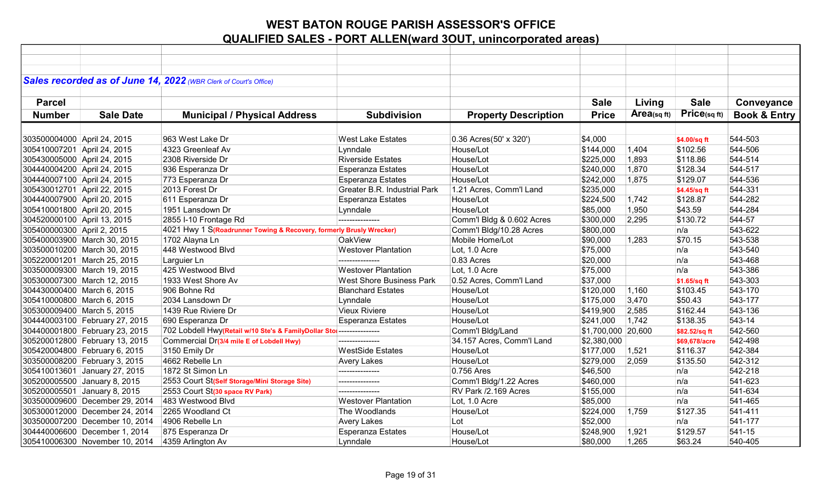|                             |                                | Sales recorded as of June 14, 2022 (WBR Clerk of Court's Office)      |                                     |                             |                    |             |               |                         |
|-----------------------------|--------------------------------|-----------------------------------------------------------------------|-------------------------------------|-----------------------------|--------------------|-------------|---------------|-------------------------|
|                             |                                |                                                                       |                                     |                             |                    |             |               |                         |
| <b>Parcel</b>               |                                |                                                                       |                                     |                             | <b>Sale</b>        | Living      | <b>Sale</b>   | Conveyance              |
| <b>Number</b>               | <b>Sale Date</b>               | <b>Municipal / Physical Address</b>                                   | <b>Subdivision</b>                  | <b>Property Description</b> | <b>Price</b>       | Area(sq ft) | Price(sq ft)  | <b>Book &amp; Entry</b> |
|                             |                                |                                                                       |                                     |                             |                    |             |               |                         |
|                             |                                |                                                                       |                                     |                             |                    |             |               |                         |
| 303500004000 April 24, 2015 |                                | 963 West Lake Dr                                                      | <b>West Lake Estates</b>            | 0.36 Acres(50' x 320')      | \$4,000            |             | \$4.00/sq ft  | 544-503                 |
| 305410007201 April 24, 2015 |                                | 4323 Greenleaf Av                                                     | Lynndale                            | House/Lot                   | \$144,000          | 1,404       | \$102.56      | 544-506                 |
| 305430005000 April 24, 2015 |                                | 2308 Riverside Dr                                                     | <b>Riverside Estates</b>            | House/Lot                   | \$225,000          | 1,893       | \$118.86      | 544-514                 |
| 304440004200 April 24, 2015 |                                | 936 Esperanza Dr                                                      | <b>Esperanza Estates</b>            | House/Lot                   | \$240,000          | 1,870       | \$128.34      | 544-517                 |
| 304440007100 April 24, 2015 |                                | 773 Esperanza Dr                                                      | <b>Esperanza Estates</b>            | House/Lot                   | \$242,000          | 1,875       | \$129.07      | 544-536                 |
| 305430012701 April 22, 2015 |                                | 2013 Forest Dr                                                        | <b>Greater B.R. Industrial Park</b> | 1.21 Acres, Comm'l Land     | \$235,000          |             | \$4.45/sq ft  | 544-331                 |
| 304440007900 April 20, 2015 |                                | 611 Esperanza Dr                                                      | <b>Esperanza Estates</b>            | House/Lot                   | \$224,500          | 1,742       | \$128.87      | 544-282                 |
| 305410001800 April 20, 2015 |                                | 1951 Lansdown Dr                                                      | Lynndale                            | House/Lot                   | \$85,000           | 1,950       | \$43.59       | 544-284                 |
| 304520000100 April 13, 2015 |                                | 2855 I-10 Frontage Rd                                                 | ---------------                     | Comm'l Bldg & 0.602 Acres   | \$300,000          | 2,295       | \$130.72      | 544-57                  |
| 305400000300 April 2, 2015  |                                | 4021 Hwy 1 S(Roadrunner Towing & Recovery, formerly Brusly Wrecker)   |                                     | Comm'l Bldg/10.28 Acres     | \$800,000          |             | n/a           | 543-622                 |
|                             | 305400003900 March 30, 2015    | 1702 Alayna Ln                                                        | <b>OakView</b>                      | Mobile Home/Lot             | \$90,000           | 1,283       | \$70.15       | 543-538                 |
|                             | 303500010200 March 30, 2015    | 448 Westwood Blvd                                                     | <b>Westover Plantation</b>          | Lot, 1.0 Acre               | \$75,000           |             | n/a           | 543-540                 |
|                             | 305220001201 March 25, 2015    | Larguier Ln                                                           | ---------------                     | 0.83 Acres                  | \$20,000           |             | n/a           | 543-468                 |
|                             | 303500009300 March 19, 2015    | 425 Westwood Blvd                                                     | <b>Westover Plantation</b>          | Lot, 1.0 Acre               | \$75,000           |             | n/a           | 543-386                 |
|                             | 305300007300 March 12, 2015    | 1933 West Shore Av                                                    | <b>West Shore Business Park</b>     | 0.52 Acres, Comm'l Land     | \$37,000           |             | \$1.65/sq ft  | 543-303                 |
| 304430000400 March 6, 2015  |                                | 906 Bohne Rd                                                          | <b>Blanchard Estates</b>            | House/Lot                   | \$120,000          | 1,160       | \$103.45      | 543-170                 |
| 305410000800 March 6, 2015  |                                | 2034 Lansdown Dr                                                      | Lynndale                            | House/Lot                   | \$175,000          | 3,470       | \$50.43       | 543-177                 |
| 305300009400 March 5, 2015  |                                | 1439 Rue Riviere Dr                                                   | <b>Vieux Riviere</b>                | House/Lot                   | \$419,900          | 2,585       | \$162.44      | 543-136                 |
|                             | 304440003100 February 27, 2015 | 690 Esperanza Dr                                                      | <b>Esperanza Estates</b>            | House/Lot                   | \$241,000          | 1,742       | \$138.35      | 543-14                  |
|                             | 304400001800 February 23, 2015 | 702 Lobdell Hwy(Retail w/10 Ste's & FamilyDollar Stol --------------- |                                     | Comm'l Bldg/Land            | \$1,700,000 20,600 |             | \$82.52/sq ft | 542-560                 |
|                             | 305200012800 February 13, 2015 | Commercial Dr(3/4 mile E of Lobdell Hwy)                              | ---------------                     | 34.157 Acres, Comm'l Land   | \$2,380,000        |             | \$69,678/acre | 542-498                 |
|                             | 305420004800 February 6, 2015  | 3150 Emily Dr                                                         | <b>WestSide Estates</b>             | House/Lot                   | \$177,000          | 1,521       | \$116.37      | 542-384                 |
|                             | 303500008200 February 3, 2015  | 4662 Rebelle Ln                                                       | <b>Avery Lakes</b>                  | House/Lot                   | \$279,000          | 2,059       | \$135.50      | 542-312                 |
|                             | 305410013601 January 27, 2015  | 1872 St Simon Ln                                                      | ---------------                     | 0.756 Ares                  | \$46,500           |             | n/a           | 542-218                 |
|                             | 305200005500 January 8, 2015   | 2553 Court St(Self Storage/Mini Storage Site)                         | ---------------                     | Comm'l Bldg/1.22 Acres      | \$460,000          |             | n/a           | 541-623                 |
|                             | 305200005501 January 8, 2015   | 2553 Court St(30 space RV Park)                                       | ---------------                     | RV Park /2.169 Acres        | \$155,000          |             | n/a           | 541-634                 |
|                             | 303500009600 December 29, 2014 | 483 Westwood Blvd                                                     | <b>Westover Plantation</b>          | Lot, 1.0 Acre               | \$85,000           |             | n/a           | 541-465                 |
|                             | 305300012000 December 24, 2014 | 2265 Woodland Ct                                                      | The Woodlands                       | House/Lot                   | \$224,000          | 1,759       | \$127.35      | 541-411                 |
|                             | 303500007200 December 10, 2014 | 4906 Rebelle Ln                                                       | <b>Avery Lakes</b>                  | Lot                         | \$52,000           |             | n/a           | 541-177                 |
|                             | 304440006600 December 1, 2014  | 875 Esperanza Dr                                                      | <b>Esperanza Estates</b>            | House/Lot                   | \$248,900          | 1,921       | \$129.57      | 541-15                  |
|                             | 305410006300 November 10, 2014 | 4359 Arlington Av                                                     | Lynndale                            | House/Lot                   | \$80,000           | 1,265       | \$63.24       | 540-405                 |
|                             |                                |                                                                       |                                     |                             |                    |             |               |                         |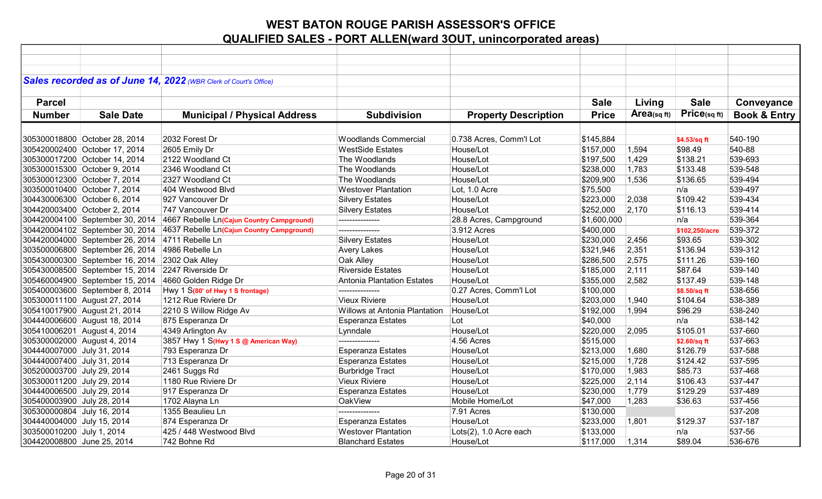|                              |                                                   | Sales recorded as of June 14, 2022 (WBR Clerk of Court's Office) |                                      |                             |              |             |                |                         |
|------------------------------|---------------------------------------------------|------------------------------------------------------------------|--------------------------------------|-----------------------------|--------------|-------------|----------------|-------------------------|
|                              |                                                   |                                                                  |                                      |                             |              |             |                |                         |
| <b>Parcel</b>                |                                                   |                                                                  |                                      |                             | <b>Sale</b>  | Living      | <b>Sale</b>    | Conveyance              |
| <b>Number</b>                | <b>Sale Date</b>                                  | <b>Municipal / Physical Address</b>                              | <b>Subdivision</b>                   | <b>Property Description</b> | <b>Price</b> | Area(sq ft) | Price(sq ft)   | <b>Book &amp; Entry</b> |
|                              |                                                   |                                                                  |                                      |                             |              |             |                |                         |
|                              |                                                   |                                                                  |                                      |                             |              |             |                |                         |
|                              | 305300018800 October 28, 2014                     | 2032 Forest Dr                                                   | <b>Woodlands Commercial</b>          | 0.738 Acres, Comm'l Lot     | \$145,884    |             | \$4.53/sq ft   | 540-190                 |
|                              | 305420002400 October 17, 2014                     | 2605 Emily Dr                                                    | <b>WestSide Estates</b>              | House/Lot                   | \$157,000    | 1,594       | \$98.49        | 540-88                  |
|                              | 305300017200 October 14, 2014                     | 2122 Woodland Ct                                                 | The Woodlands                        | House/Lot                   | \$197,500    | 1,429       | \$138.21       | 539-693                 |
| 305300015300 October 9, 2014 |                                                   | 2346 Woodland Ct                                                 | The Woodlands                        | House/Lot                   | \$238,000    | 1,783       | \$133.48       | 539-548                 |
| 305300012300 October 7, 2014 |                                                   | 2327 Woodland Ct                                                 | The Woodlands                        | House/Lot                   | \$209,900    | 1,536       | \$136.65       | 539-494                 |
|                              | 303500010400 October 7, 2014                      | 404 Westwood Blvd                                                | <b>Westover Plantation</b>           | Lot, 1.0 Acre               | \$75,500     |             | n/a            | 539-497                 |
|                              | 304430006300 October 6, 2014                      | 927 Vancouver Dr                                                 | <b>Silvery Estates</b>               | House/Lot                   | \$223,000    | 2,038       | \$109.42       | 539-434                 |
| 304420003400 October 2, 2014 |                                                   | 747 Vancouver Dr                                                 | <b>Silvery Estates</b>               | House/Lot                   | \$252,000    | 2,170       | \$116.13       | 539-414                 |
|                              | 304420004100 September 30, 2014                   | 4667 Rebelle Ln(Cajun Country Campground)                        | ---------------                      | 28.8 Acres, Campground      | \$1,600,000  |             | n/a            | 539-364                 |
|                              | 304420004102 September 30, 2014                   | 4637 Rebelle Ln(Cajun Country Campground)                        | ---------------                      | 3.912 Acres                 | \$400,000    |             | \$102,250/acre | 539-372                 |
|                              | 304420004000 September 26, 2014 4711 Rebelle Ln   |                                                                  | <b>Silvery Estates</b>               | House/Lot                   | \$230,000    | 2,456       | \$93.65        | 539-302                 |
|                              | 303500006800 September 26, 2014                   | 4986 Rebelle Ln                                                  | <b>Avery Lakes</b>                   | House/Lot                   | \$321,946    | 2,351       | \$136.94       | 539-312                 |
|                              | 305430000300 September 16, 2014 2302 Oak Alley    |                                                                  | Oak Alley                            | House/Lot                   | \$286,500    | 2,575       | \$111.26       | 539-160                 |
|                              | 305430008500 September 15, 2014 2247 Riverside Dr |                                                                  | <b>Riverside Estates</b>             | House/Lot                   | \$185,000    | 2,111       | \$87.64        | 539-140                 |
|                              | 305460004900 September 15, 2014                   | 4660 Golden Ridge Dr                                             | <b>Antonia Plantation Estates</b>    | House/Lot                   | \$355,000    | 2,582       | \$137.49       | 539-148                 |
|                              | 305400003600 September 8, 2014                    | Hwy 1 S(80' of Hwy 1 S frontage)                                 | ---------------                      | 0.27 Acres, Comm'l Lot      | \$100,000    |             | \$8.50/sq ft   | 538-656                 |
|                              | 305300011100 August 27, 2014                      | 1212 Rue Riviere Dr                                              | <b>Vieux Riviere</b>                 | House/Lot                   | \$203,000    | 1,940       | \$104.64       | 538-389                 |
|                              | 305410017900 August 21, 2014                      | 2210 S Willow Ridge Av                                           | <b>Willows at Antonia Plantation</b> | House/Lot                   | \$192,000    | 1,994       | \$96.29        | 538-240                 |
|                              | 304440006600 August 18, 2014                      | 875 Esperanza Dr                                                 | <b>Esperanza Estates</b>             | Lot                         | \$40,000     |             | n/a            | 538-142                 |
| 305410006201 August 4, 2014  |                                                   | 4349 Arlington Av                                                | Lynndale                             | House/Lot                   | \$220,000    | 2,095       | \$105.01       | 537-660                 |
| 305300002000 August 4, 2014  |                                                   | 3857 Hwy 1 S(Hwy 1 S @ American Way)                             | ---------------                      | 4.56 Acres                  | \$515,000    |             | \$2.60/sq ft   | 537-663                 |
| 304440007000 July 31, 2014   |                                                   | 793 Esperanza Dr                                                 | <b>Esperanza Estates</b>             | House/Lot                   | \$213,000    | 1,680       | \$126.79       | 537-588                 |
| 304440007400 July 31, 2014   |                                                   | 713 Esperanza Dr                                                 | Esperanza Estates                    | House/Lot                   | \$215,000    | 1,728       | \$124.42       | 537-595                 |
| 305200003700 July 29, 2014   |                                                   | 2461 Suggs Rd                                                    | <b>Burbridge Tract</b>               | House/Lot                   | \$170,000    | 1,983       | \$85.73        | 537-468                 |
| 305300011200 July 29, 2014   |                                                   | 1180 Rue Riviere Dr                                              | <b>Vieux Riviere</b>                 | House/Lot                   | \$225,000    | 2,114       | \$106.43       | 537-447                 |
| 304440006500 July 29, 2014   |                                                   | 917 Esperanza Dr                                                 | Esperanza Estates                    | House/Lot                   | \$230,000    | 1,779       | \$129.29       | 537-489                 |
| 305400003900 July 28, 2014   |                                                   | 1702 Alayna Ln                                                   | OakView                              | Mobile Home/Lot             | \$47,000     | 1,283       | \$36.63        | 537-456                 |
| 305300000804 July 16, 2014   |                                                   | 1355 Beaulieu Ln                                                 | ---------------                      | 7.91 Acres                  | \$130,000    |             |                | 537-208                 |
| 304440004000 July 15, 2014   |                                                   | 874 Esperanza Dr                                                 | <b>Esperanza Estates</b>             | House/Lot                   | \$233,000    | 1,801       | \$129.37       | 537-187                 |
| 303500010200 July 1, 2014    |                                                   | 425 / 448 Westwood Blvd                                          | <b>Westover Plantation</b>           | Lots(2), 1.0 Acre each      | \$133,000    |             | n/a            | 537-56                  |
| 304420008800 June 25, 2014   |                                                   | 742 Bohne Rd                                                     | <b>Blanchard Estates</b>             | House/Lot                   | \$117,000    | 1,314       | \$89.04        | 536-676                 |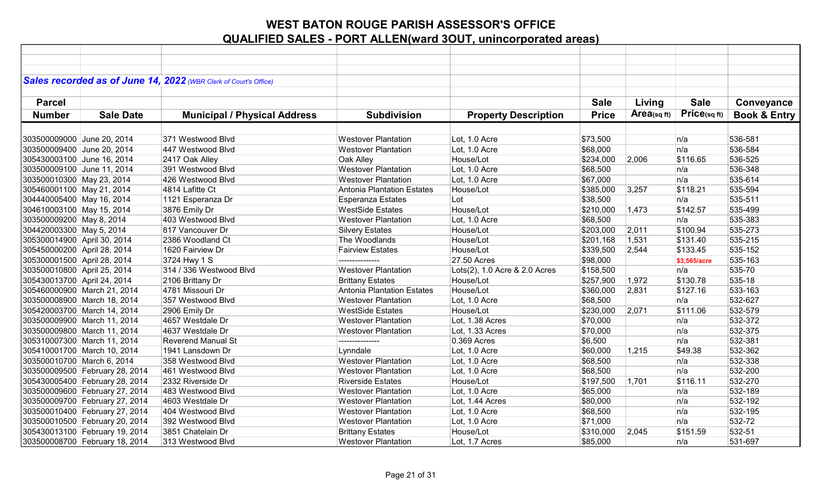|                             |                                | Sales recorded as of June 14, 2022 (WBR Clerk of Court's Office) |                                   |                               |              |             |              |                         |
|-----------------------------|--------------------------------|------------------------------------------------------------------|-----------------------------------|-------------------------------|--------------|-------------|--------------|-------------------------|
|                             |                                |                                                                  |                                   |                               |              |             |              |                         |
| <b>Parcel</b>               |                                |                                                                  |                                   |                               | <b>Sale</b>  | Living      | <b>Sale</b>  | Conveyance              |
| <b>Number</b>               | <b>Sale Date</b>               | <b>Municipal / Physical Address</b>                              | <b>Subdivision</b>                | <b>Property Description</b>   | <b>Price</b> | Area(sq ft) | Price(sqft)  | <b>Book &amp; Entry</b> |
|                             |                                |                                                                  |                                   |                               |              |             |              |                         |
|                             |                                |                                                                  |                                   |                               |              |             |              |                         |
| 303500009000 June 20, 2014  |                                | 371 Westwood Blvd                                                | <b>Westover Plantation</b>        | Lot, 1.0 Acre                 | \$73,500     |             | n/a          | 536-581                 |
| 303500009400 June 20, 2014  |                                | 447 Westwood Blvd                                                | <b>Westover Plantation</b>        | Lot, 1.0 Acre                 | \$68,000     |             | n/a          | 536-584                 |
|                             | 305430003100 June 16, 2014     | 2417 Oak Alley                                                   | Oak Alley                         | House/Lot                     | \$234,000    | 2,006       | \$116.65     | 536-525                 |
|                             | 303500009100 June 11, 2014     | 391 Westwood Blvd                                                | <b>Westover Plantation</b>        | Lot, 1.0 Acre                 | \$68,500     |             | n/a          | 536-348                 |
| 303500010300 May 23, 2014   |                                | 426 Westwood Blvd                                                | <b>Westover Plantation</b>        | Lot, 1.0 Acre                 | \$67,000     |             | n/a          | 535-614                 |
| 305460001100 May 21, 2014   |                                | 4814 Lafitte Ct                                                  | <b>Antonia Plantation Estates</b> | House/Lot                     | \$385,000    | 3,257       | \$118.21     | 535-594                 |
| 304440005400 May 16, 2014   |                                | 1121 Esperanza Dr                                                | <b>Esperanza Estates</b>          | Lot                           | \$38,500     |             | n/a          | 535-511                 |
| 304610003100 May 15, 2014   |                                | 3876 Emily Dr                                                    | <b>WestSide Estates</b>           | House/Lot                     | \$210,000    | 1,473       | \$142.57     | 535-499                 |
| 303500009200 May 8, 2014    |                                | 403 Westwood Blvd                                                | <b>Westover Plantation</b>        | Lot, 1.0 Acre                 | \$68,500     |             | n/a          | 535-383                 |
| 304420003300 May 5, 2014    |                                | 817 Vancouver Dr                                                 | <b>Silvery Estates</b>            | House/Lot                     | \$203,000    | 2,011       | \$100.94     | 535-273                 |
| 305300014900 April 30, 2014 |                                | 2386 Woodland Ct                                                 | The Woodlands                     | House/Lot                     | \$201,168    | 1,531       | \$131.40     | 535-215                 |
| 305450000200 April 28, 2014 |                                | 1620 Fairview Dr                                                 | <b>Fairview Estates</b>           | House/Lot                     | \$339,500    | 2,544       | \$133.45     | 535-152                 |
| 305300001500 April 28, 2014 |                                | 3724 Hwy 1 S                                                     | ---------------                   | 27.50 Acres                   | \$98,000     |             | \$3.565/acre | 535-163                 |
| 303500010800 April 25, 2014 |                                | 314 / 336 Westwood Blvd                                          | <b>Westover Plantation</b>        | Lots(2), 1.0 Acre & 2.0 Acres | \$158,500    |             | n/a          | 535-70                  |
| 305430013700 April 24, 2014 |                                | 2106 Brittany Dr                                                 | <b>Brittany Estates</b>           | House/Lot                     | \$257,900    | 1,972       | \$130.78     | 535-18                  |
|                             | 305460000900 March 21, 2014    | 4781 Missouri Dr                                                 | <b>Antonia Plantation Estates</b> | House/Lot                     | \$360,000    | 2,831       | \$127.16     | 533-163                 |
|                             | 303500008900 March 18, 2014    | 357 Westwood Blvd                                                | <b>Westover Plantation</b>        | Lot, 1.0 Acre                 | \$68,500     |             | n/a          | 532-627                 |
|                             | 305420003700 March 14, 2014    | 2906 Emily Dr                                                    | <b>WestSide Estates</b>           | House/Lot                     | \$230,000    | 2,071       | \$111.06     | 532-579                 |
|                             | 303500009900 March 11, 2014    | 4657 Westdale Dr                                                 | <b>Westover Plantation</b>        | Lot, 1.38 Acres               | \$70,000     |             | n/a          | 532-372                 |
|                             | 303500009800 March 11, 2014    | 4637 Westdale Dr                                                 | <b>Westover Plantation</b>        | Lot, 1.33 Acres               | \$70,000     |             | n/a          | 532-375                 |
|                             | 305310007300 March 11, 2014    | <b>Reverend Manual St</b>                                        | ---------------                   | 0.369 Acres                   | \$6,500      |             | n/a          | 532-381                 |
|                             | 305410001700 March 10, 2014    | 1941 Lansdown Dr                                                 | Lynndale                          | Lot, 1.0 Acre                 | \$60,000     | 1,215       | \$49.38      | 532-362                 |
|                             | 303500010700 March 6, 2014     | 358 Westwood Blvd                                                | <b>Westover Plantation</b>        | Lot, 1.0 Acre                 | \$68,500     |             | n/a          | 532-338                 |
|                             | 303500009500 February 28, 2014 | 461 Westwood Blvd                                                | <b>Westover Plantation</b>        | Lot, 1.0 Acre                 | \$68,500     |             | n/a          | 532-200                 |
|                             | 305430005400 February 28, 2014 | 2332 Riverside Dr                                                | <b>Riverside Estates</b>          | House/Lot                     | \$197,500    | 1,701       | \$116.11     | 532-270                 |
|                             | 303500009600 February 27, 2014 | 483 Westwood Blvd                                                | <b>Westover Plantation</b>        | Lot, 1.0 Acre                 | \$65,000     |             | n/a          | 532-189                 |
|                             | 303500009700 February 27, 2014 | 4603 Westdale Dr                                                 | <b>Westover Plantation</b>        | Lot, 1.44 Acres               | \$80,000     |             | n/a          | 532-192                 |
|                             | 303500010400 February 27, 2014 | 404 Westwood Blvd                                                | <b>Westover Plantation</b>        | Lot, 1.0 Acre                 | \$68,500     |             | n/a          | 532-195                 |
|                             | 303500010500 February 20, 2014 | 392 Westwood Blvd                                                | <b>Westover Plantation</b>        | Lot, 1.0 Acre                 | \$71,000     |             | n/a          | 532-72                  |
|                             | 305430013100 February 19, 2014 | 3851 Chatelain Dr                                                | <b>Brittany Estates</b>           | House/Lot                     | \$310,000    | 2,045       | \$151.59     | 532-51                  |
|                             | 303500008700 February 18, 2014 | 313 Westwood Blvd                                                | <b>Westover Plantation</b>        | Lot, 1.7 Acres                | \$85,000     |             | n/a          | 531-697                 |
|                             |                                |                                                                  |                                   |                               |              |             |              |                         |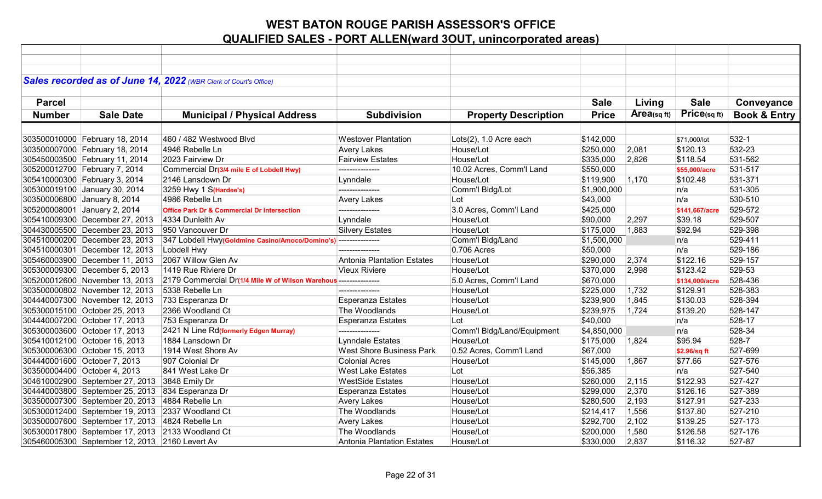|               |                                                                  | Sales recorded as of June 14, 2022 (WBR Clerk of Court's Office) |                                       |                                     |              |                |                          |                         |
|---------------|------------------------------------------------------------------|------------------------------------------------------------------|---------------------------------------|-------------------------------------|--------------|----------------|--------------------------|-------------------------|
|               |                                                                  |                                                                  |                                       |                                     |              |                |                          |                         |
| <b>Parcel</b> |                                                                  |                                                                  |                                       |                                     | <b>Sale</b>  | Living         | <b>Sale</b>              | Conveyance              |
| <b>Number</b> | <b>Sale Date</b>                                                 | <b>Municipal / Physical Address</b>                              | <b>Subdivision</b>                    | <b>Property Description</b>         | <b>Price</b> | Area(sq ft)    | Price(sqft)              | <b>Book &amp; Entry</b> |
|               |                                                                  |                                                                  |                                       |                                     |              |                |                          |                         |
|               |                                                                  | 460 / 482 Westwood Blvd                                          | <b>Westover Plantation</b>            |                                     | \$142,000    |                |                          | $532 - 1$               |
|               | 303500010000 February 18, 2014<br>303500007000 February 18, 2014 | 4946 Rebelle Ln                                                  | <b>Avery Lakes</b>                    | Lots(2), 1.0 Acre each<br>House/Lot | \$250,000    | 2,081          | \$71,000/lot<br>\$120.13 | 532-23                  |
|               | 305450003500 February 11, 2014                                   | 2023 Fairview Dr                                                 | <b>Fairview Estates</b>               | House/Lot                           | \$335,000    | 2,826          | \$118.54                 | 531-562                 |
|               |                                                                  |                                                                  | ---------------                       |                                     |              |                |                          | 531-517                 |
|               | 305200012700 February 7, 2014                                    | Commercial Dr(3/4 mile E of Lobdell Hwy)                         |                                       | 10.02 Acres, Comm'l Land            | \$550,000    |                | \$55,000/acre            | 531-371                 |
|               | 305410000300 February 3, 2014                                    | 2146 Lansdown Dr                                                 | Lynndale<br>---------------           | House/Lot                           | \$119,900    | 1,170          | \$102.48                 |                         |
|               | 305300019100 January 30, 2014                                    | 3259 Hwy 1 S(Hardee's)                                           |                                       | Comm'l Bldg/Lot                     | \$1,900,000  |                | n/a<br>n/a               | 531-305                 |
|               | 303500006800 January 8, 2014                                     | 4986 Rebelle Ln                                                  | <b>Avery Lakes</b><br>--------------- | Lot                                 | \$43,000     |                |                          | 530-510<br>529-572      |
|               | 305200008001 January 2, 2014                                     | <b>Office Park Dr &amp; Commercial Dr intersection</b>           |                                       | 3.0 Acres, Comm'l Land              | \$425,000    |                | \$141,667/acre           | 529-507                 |
|               | 305410009300 December 27, 2013                                   | 4334 Dunleith Av                                                 | Lynndale                              | House/Lot                           | \$90,000     | 2,297          | \$39.18                  |                         |
|               | 304430005500 December 23, 2013                                   | 950 Vancouver Dr                                                 | <b>Silvery Estates</b>                | House/Lot                           | \$175,000    | 1,883          | \$92.94                  | 529-398<br>529-411      |
|               | 304510000200 December 23, 2013                                   | 347 Lobdell Hwy(Goldmine Casino/Amoco/Domino's) ---------------  | ---------------                       | Comm'l Bldg/Land                    | \$1,500,000  |                | n/a                      |                         |
|               | 304510000301 December 12, 2013                                   | Lobdell Hwy<br>2067 Willow Glen Av                               | Antonia Plantation Estates            | 0.706 Acres<br>House/Lot            | \$50,000     |                | n/a<br>\$122.16          | 529-186<br>529-157      |
|               | 305460003900 December 11, 2013                                   |                                                                  | Vieux Riviere                         |                                     | \$290,000    | 2,374<br>2,998 |                          |                         |
|               | 305300009300 December 5, 2013                                    | 1419 Rue Riviere Dr                                              |                                       | House/Lot                           | \$370,000    |                | \$123.42                 | 529-53                  |
|               | 305200012600 November 13, 2013                                   | 2179 Commercial Dr(1/4 Mile W of Wilson Warehous --------------- | ---------------                       | 5.0 Acres, Comm'l Land              | \$670,000    |                | \$134,000/acre           | 528-436                 |
|               | 303500000802 November 12, 2013                                   | 5338 Rebelle Ln                                                  |                                       | House/Lot                           | \$225,000    | 1,732          | \$129.91                 | 528-383                 |
|               | 304440007300 November 12, 2013                                   | 733 Esperanza Dr                                                 | <b>Esperanza Estates</b>              | House/Lot                           | \$239,900    | 1,845          | \$130.03                 | 528-394                 |
|               | 305300015100 October 25, 2013                                    | 2366 Woodland Ct                                                 | The Woodlands                         | House/Lot                           | \$239,975    | 1,724          | \$139.20                 | 528-147                 |
|               | 304440007200 October 17, 2013                                    | 753 Esperanza Dr                                                 | <b>Esperanza Estates</b>              | Lot                                 | \$40,000     |                | n/a                      | 528-17                  |
|               | 305300003600 October 17, 2013                                    | 2421 N Line Rd(formerly Edgen Murray)                            | ---------------                       | Comm'l Bldg/Land/Equipment          | \$4,850,000  |                | n/a                      | 528-34                  |
|               | 305410012100 October 16, 2013                                    | 1884 Lansdown Dr                                                 | <b>Lynndale Estates</b>               | House/Lot                           | \$175,000    | 1,824          | \$95.94                  | 528-7                   |
|               | 305300006300 October 15, 2013                                    | 1914 West Shore Av                                               | <b>West Shore Business Park</b>       | 0.52 Acres, Comm'l Land             | \$67,000     |                | \$2.96/sq ft             | 527-699                 |
|               | 304440001600 October 7, 2013                                     | 907 Colonial Dr                                                  | <b>Colonial Acres</b>                 | House/Lot                           | \$145,000    | 1,867          | \$77.66                  | 527-576                 |
|               | 303500004400 October 4, 2013                                     | 841 West Lake Dr                                                 | <b>West Lake Estates</b>              | Lot                                 | \$56,385     |                | n/a                      | 527-540                 |
|               | 304610002900 September 27, 2013 3848 Emily Dr                    |                                                                  | <b>WestSide Estates</b>               | House/Lot                           | \$260,000    | 2,115          | \$122.93                 | 527-427                 |
|               | 304440003800 September 25, 2013 834 Esperanza Dr                 |                                                                  | <b>Esperanza Estates</b>              | House/Lot                           | \$299,000    | 2,370          | \$126.16                 | 527-389                 |
|               | 303500007300 September 20, 2013 4884 Rebelle Ln                  |                                                                  | <b>Avery Lakes</b>                    | House/Lot                           | \$280,500    | 2,193          | \$127.91                 | 527-233                 |
|               | 305300012400 September 19, 2013 2337 Woodland Ct                 |                                                                  | The Woodlands                         | House/Lot                           | \$214,417    | 1,556          | \$137.80                 | 527-210                 |
|               | 303500007600 September 17, 2013 4824 Rebelle Ln                  |                                                                  | <b>Avery Lakes</b>                    | House/Lot                           | \$292,700    | 2,102          | \$139.25                 | 527-173                 |
|               | 305300017800 September 17, 2013 2133 Woodland Ct                 |                                                                  | The Woodlands                         | House/Lot                           | \$200,000    | 1,580          | \$126.58                 | 527-176                 |
|               | 305460005300 September 12, 2013 2160 Levert Av                   |                                                                  | Antonia Plantation Estates            | House/Lot                           | \$330,000    | 2,837          | \$116.32                 | 527-87                  |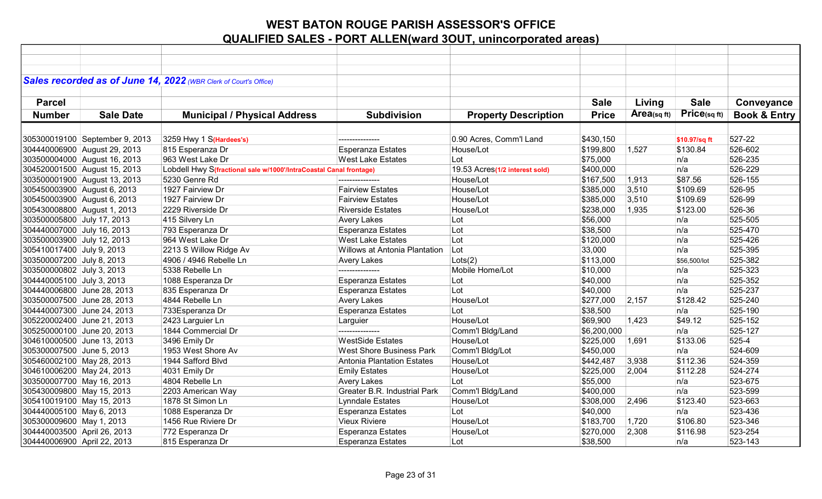|                             |                                | Sales recorded as of June 14, 2022 (WBR Clerk of Court's Office)   |                                      |                                |              |                |               |                         |
|-----------------------------|--------------------------------|--------------------------------------------------------------------|--------------------------------------|--------------------------------|--------------|----------------|---------------|-------------------------|
|                             |                                |                                                                    |                                      |                                |              |                |               |                         |
| <b>Parcel</b>               |                                |                                                                    |                                      |                                | <b>Sale</b>  | Living         | <b>Sale</b>   | Conveyance              |
| <b>Number</b>               | <b>Sale Date</b>               | <b>Municipal / Physical Address</b>                                | <b>Subdivision</b>                   | <b>Property Description</b>    | <b>Price</b> | Area(sqft)     | Price(sq ft)  | <b>Book &amp; Entry</b> |
|                             |                                |                                                                    |                                      |                                |              |                |               |                         |
|                             | 305300019100 September 9, 2013 | 3259 Hwy 1 S(Hardees's)                                            | ---------------                      | 0.90 Acres, Comm'l Land        | \$430,150    |                | \$10.97/sq ft | 527-22                  |
|                             | 304440006900 August 29, 2013   | 815 Esperanza Dr                                                   | <b>Esperanza Estates</b>             | House/Lot                      | \$199,800    | 1,527          | \$130.84      | 526-602                 |
|                             | 303500004000 August 16, 2013   | 963 West Lake Dr                                                   | <b>West Lake Estates</b>             | Lot                            | \$75,000     |                | n/a           | 526-235                 |
|                             |                                |                                                                    |                                      |                                |              |                |               | 526-229                 |
|                             | 304520001500 August 15, 2013   | Lobdell Hwy S(fractional sale w/1000'/IntraCoastal Canal frontage) |                                      | 19.53 Acres(1/2 interest sold) | \$400,000    |                | n/a           | 526-155                 |
|                             | 303500001900 August 13, 2013   | 5230 Genre Rd<br>1927 Fairview Dr                                  | <b>Fairview Estates</b>              | House/Lot                      | \$167,500    | 1,913<br>3,510 | \$87.56       | 526-95                  |
|                             | 305450003900 August 6, 2013    |                                                                    |                                      | House/Lot                      | \$385,000    |                | \$109.69      |                         |
|                             | 305450003900 August 6, 2013    | 1927 Fairview Dr                                                   | <b>Fairview Estates</b>              | House/Lot                      | \$385,000    | 3,510          | \$109.69      | 526-99                  |
|                             | 305430008800 August 1, 2013    | 2229 Riverside Dr                                                  | <b>Riverside Estates</b>             | House/Lot                      | \$238,000    | 1,935          | \$123.00      | 526-36                  |
| 303500005800 July 17, 2013  |                                | 415 Silvery Ln                                                     | <b>Avery Lakes</b>                   | Lot                            | \$56,000     |                | n/a           | 525-505                 |
| 304440007000 July 16, 2013  |                                | 793 Esperanza Dr                                                   | <b>Esperanza Estates</b>             | Lot                            | \$38,500     |                | n/a           | 525-470                 |
| 303500003900 July 12, 2013  |                                | 964 West Lake Dr                                                   | <b>West Lake Estates</b>             | Lot                            | \$120,000    |                | n/a           | 525-426                 |
| 305410017400 July 9, 2013   |                                | 2213 S Willow Ridge Av                                             | <b>Willows at Antonia Plantation</b> | Lot                            | 33,000       |                | n/a           | 525-395                 |
| 303500007200 July 8, 2013   |                                | 4906 / 4946 Rebelle Ln                                             | <b>Avery Lakes</b>                   | Lots(2)                        | \$113,000    |                | \$56,500/lot  | 525-382                 |
| 303500000802 July 3, 2013   |                                | 5338 Rebelle Ln                                                    | ---------------                      | Mobile Home/Lot                | \$10,000     |                | n/a           | 525-323                 |
| 304440005100 July 3, 2013   |                                | 1088 Esperanza Dr                                                  | <b>Esperanza Estates</b>             | Lot                            | \$40,000     |                | n/a           | 525-352                 |
| 304440006800 June 28, 2013  |                                | 835 Esperanza Dr                                                   | <b>Esperanza Estates</b>             | Lot                            | \$40,000     |                | n/a           | 525-237                 |
| 303500007500 June 28, 2013  |                                | 4844 Rebelle Ln                                                    | <b>Avery Lakes</b>                   | House/Lot                      | \$277,000    | 2,157          | \$128.42      | 525-240                 |
| 304440007300 June 24, 2013  |                                | 733Esperanza Dr                                                    | <b>Esperanza Estates</b>             | Lot                            | \$38,500     |                | n/a           | 525-190                 |
| 305220002400 June 21, 2013  |                                | 2423 Larguier Ln                                                   | Larguier                             | House/Lot                      | \$69,900     | 1,423          | \$49.12       | 525-152                 |
| 305250000100 June 20, 2013  |                                | 1844 Commercial Dr                                                 | ---------------                      | Comm'l Bldg/Land               | \$6,200,000  |                | n/a           | 525-127                 |
| 304610000500 June 13, 2013  |                                | 3496 Emily Dr                                                      | <b>WestSide Estates</b>              | House/Lot                      | \$225,000    | 1,691          | \$133.06      | 525-4                   |
| 305300007500 June 5, 2013   |                                | 1953 West Shore Av                                                 | <b>West Shore Business Park</b>      | Comm'l Bldg/Lot                | \$450,000    |                | n/a           | 524-609                 |
| 305460002100 May 28, 2013   |                                | 1944 Safford Blvd                                                  | <b>Antonia Plantation Estates</b>    | House/Lot                      | \$442,487    | 3,938          | \$112.36      | 524-359                 |
| 304610006200 May 24, 2013   |                                | 4031 Emily Dr                                                      | <b>Emily Estates</b>                 | House/Lot                      | \$225,000    | 2,004          | \$112.28      | 524-274                 |
| 303500007700 May 16, 2013   |                                | 4804 Rebelle Ln                                                    | <b>Avery Lakes</b>                   | Lot                            | \$55,000     |                | n/a           | 523-675                 |
| 305430009800 May 15, 2013   |                                | 2203 American Way                                                  | <b>Greater B.R. Industrial Park</b>  | Comm'l Bldg/Land               | \$400,000    |                | n/a           | 523-599                 |
| 305410019100 May 15, 2013   |                                | 1878 St Simon Ln                                                   | <b>Lynndale Estates</b>              | House/Lot                      | \$308,000    | 2,496          | \$123.40      | 523-663                 |
| 304440005100 May 6, 2013    |                                | 1088 Esperanza Dr                                                  | <b>Esperanza Estates</b>             | Lot                            | \$40,000     |                | n/a           | 523-436                 |
| 305300009600 May 1, 2013    |                                | 1456 Rue Riviere Dr                                                | <b>Vieux Riviere</b>                 | House/Lot                      | \$183,700    | 1,720          | \$106.80      | 523-346                 |
| 304440003500 April 26, 2013 |                                | 772 Esperanza Dr                                                   | <b>Esperanza Estates</b>             | House/Lot                      | \$270,000    | 2,308          | \$116.98      | 523-254                 |
| 304440006900 April 22, 2013 |                                | 815 Esperanza Dr                                                   | <b>Esperanza Estates</b>             | Lot                            | \$38,500     |                | n/a           | 523-143                 |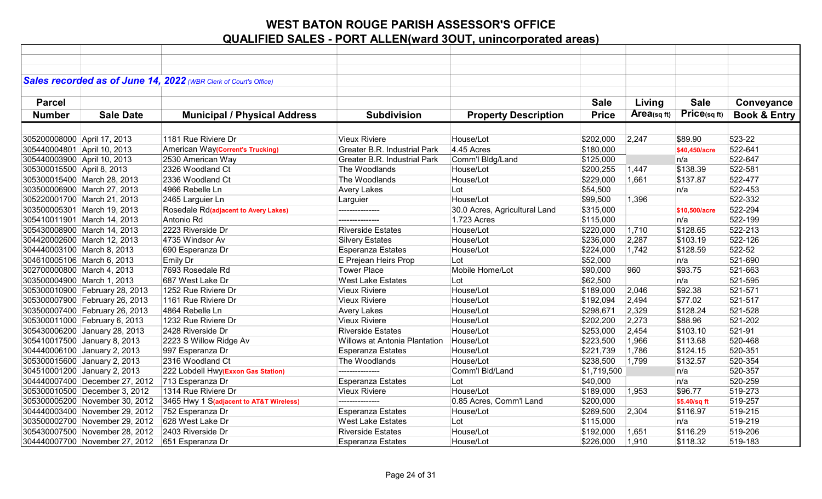|                             |                                | Sales recorded as of June 14, 2022 (WBR Clerk of Court's Office) |                                      |                               |              |             |                      |                         |
|-----------------------------|--------------------------------|------------------------------------------------------------------|--------------------------------------|-------------------------------|--------------|-------------|----------------------|-------------------------|
|                             |                                |                                                                  |                                      |                               |              |             |                      |                         |
| <b>Parcel</b>               |                                |                                                                  |                                      |                               | <b>Sale</b>  | Living      | <b>Sale</b>          | Conveyance              |
| <b>Number</b>               | <b>Sale Date</b>               | <b>Municipal / Physical Address</b>                              | <b>Subdivision</b>                   | <b>Property Description</b>   | <b>Price</b> | Area(sq ft) | Price(sq ft)         | <b>Book &amp; Entry</b> |
|                             |                                |                                                                  |                                      |                               |              |             |                      |                         |
| 305200008000 April 17, 2013 |                                | 1181 Rue Riviere Dr                                              | <b>Vieux Riviere</b>                 | House/Lot                     | \$202,000    | 2,247       | \$89.90              | 523-22                  |
| 305440004801 April 10, 2013 |                                |                                                                  | <b>Greater B.R. Industrial Park</b>  | 4.45 Acres                    | \$180,000    |             |                      | 522-641                 |
|                             |                                | American Way(Corrent's Trucking)<br>2530 American Way            | <b>Greater B.R. Industrial Park</b>  | Comm'l Bldg/Land              | \$125,000    |             | \$40.450/acre<br>n/a | 522-647                 |
| 305440003900 April 10, 2013 |                                |                                                                  |                                      |                               |              |             |                      |                         |
| 305300015500 April 8, 2013  |                                | 2326 Woodland Ct                                                 | The Woodlands                        | House/Lot                     | \$200,255    | 1,447       | \$138.39             | 522-581                 |
|                             | 305300015400 March 28, 2013    | 2336 Woodland Ct                                                 | The Woodlands                        | House/Lot                     | \$229,000    | 1,661       | \$137.87             | 522-477                 |
|                             | 303500006900 March 27, 2013    | 4966 Rebelle Ln                                                  | <b>Avery Lakes</b>                   | Lot                           | \$54,500     |             | n/a                  | 522-453                 |
|                             | 305220001700 March 21, 2013    | 2465 Larguier Ln                                                 | Larguier                             | House/Lot                     | \$99,500     | 1,396       |                      | 522-332                 |
|                             | 303500005301 March 19, 2013    | Rosedale Rd(adjacent to Avery Lakes)                             | ---------------                      | 30.0 Acres, Agricultural Land | \$315,000    |             | \$10,500/acre        | 522-294                 |
|                             | 305410011901 March 14, 2013    | Antonio Rd                                                       | ---------------                      | 1.723 Acres                   | \$115,000    |             | n/a                  | 522-199                 |
|                             | 305430008900 March 14, 2013    | 2223 Riverside Dr                                                | <b>Riverside Estates</b>             | House/Lot                     | \$220,000    | 1,710       | \$128.65             | 522-213                 |
|                             | 304420002600 March 12, 2013    | 4735 Windsor Av                                                  | <b>Silvery Estates</b>               | House/Lot                     | \$236,000    | 2,287       | \$103.19             | 522-126                 |
|                             | 304440003100 March 8, 2013     | 690 Esperanza Dr                                                 | <b>Esperanza Estates</b>             | House/Lot                     | \$224,000    | 1,742       | \$128.59             | 522-52                  |
|                             | 304610005106 March 6, 2013     | Emily Dr                                                         | E Prejean Heirs Prop                 | Lot                           | \$52,000     |             | n/a                  | 521-690                 |
|                             | 302700000800 March 4, 2013     | 7693 Rosedale Rd                                                 | <b>Tower Place</b>                   | Mobile Home/Lot               | \$90,000     | 960         | \$93.75              | 521-663                 |
|                             | 303500004900 March 1, 2013     | 687 West Lake Dr                                                 | <b>West Lake Estates</b>             | Lot                           | \$62,500     |             | n/a                  | 521-595                 |
|                             | 305300010900 February 28, 2013 | 1252 Rue Riviere Dr                                              | <b>Vieux Riviere</b>                 | House/Lot                     | \$189,000    | 2,046       | \$92.38              | 521-571                 |
|                             | 305300007900 February 26, 2013 | 1161 Rue Riviere Dr                                              | <b>Vieux Riviere</b>                 | House/Lot                     | \$192,094    | 2,494       | \$77.02              | 521-517                 |
|                             | 303500007400 February 26, 2013 | 4864 Rebelle Ln                                                  | <b>Avery Lakes</b>                   | House/Lot                     | \$298,671    | 2,329       | \$128.24             | 521-528                 |
|                             | 305300011000 February 6, 2013  | 1232 Rue Riviere Dr                                              | <b>Vieux Riviere</b>                 | House/Lot                     | \$202,200    | 2,273       | \$88.96              | 521-202                 |
|                             | 305430006200 January 28, 2013  | 2428 Riverside Dr                                                | <b>Riverside Estates</b>             | House/Lot                     | \$253,000    | 2,454       | \$103.10             | 521-91                  |
|                             | 305410017500 January 8, 2013   | 2223 S Willow Ridge Av                                           | <b>Willows at Antonia Plantation</b> | House/Lot                     | \$223,500    | 1,966       | \$113.68             | 520-468                 |
|                             | 304440006100 January 2, 2013   | 997 Esperanza Dr                                                 | <b>Esperanza Estates</b>             | House/Lot                     | \$221,739    | 1,786       | \$124.15             | 520-351                 |
|                             | 305300015600 January 2, 2013   | 2316 Woodland Ct                                                 | The Woodlands                        | House/Lot                     | \$238,500    | 1,799       | \$132.57             | 520-354                 |
|                             | 304510001200 January 2, 2013   | 222 Lobdell Hwy(Exxon Gas Station)                               | ---------------                      | Comm'l Bld/Land               | \$1,719,500  |             | n/a                  | 520-357                 |
|                             | 304440007400 December 27, 2012 | 713 Esperanza Dr                                                 | <b>Esperanza Estates</b>             | Lot                           | \$40,000     |             | n/a                  | 520-259                 |
|                             | 305300010500 December 3, 2012  | 1314 Rue Riviere Dr                                              | <b>Vieux Riviere</b>                 | House/Lot                     | \$189,000    | 1,953       | \$96.77              | 519-273                 |
|                             | 305300005200 November 30, 2012 | 3465 Hwy 1 S(adjacent to AT&T Wireless)                          | ---------------                      | 0.85 Acres, Comm'l Land       | \$200,000    |             | \$5.40/sq ft         | 519-257                 |
|                             | 304440003400 November 29, 2012 | 752 Esperanza Dr                                                 | <b>Esperanza Estates</b>             | House/Lot                     | \$269,500    | 2,304       | \$116.97             | 519-215                 |
|                             | 303500002700 November 29, 2012 | 628 West Lake Dr                                                 | <b>West Lake Estates</b>             | Lot                           | \$115,000    |             | n/a                  | 519-219                 |
|                             | 305430007500 November 28, 2012 | 2403 Riverside Dr                                                | <b>Riverside Estates</b>             | House/Lot                     | \$192,000    | 1,651       | \$116.29             | 519-206                 |
|                             | 304440007700 November 27, 2012 | 651 Esperanza Dr                                                 | <b>Esperanza Estates</b>             | House/Lot                     | \$226,000    | 1,910       | \$118.32             | 519-183                 |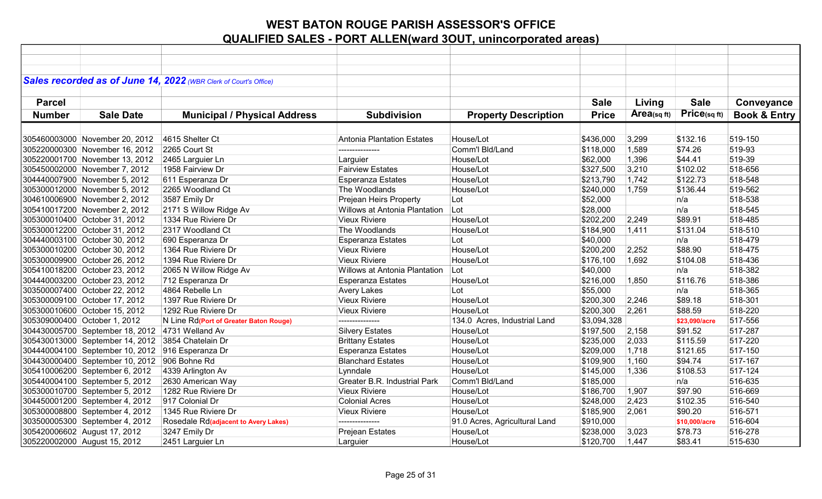|               |                                                   | Sales recorded as of June 14, 2022 (WBR Clerk of Court's Office) |                                     |                               |              |             |               |                         |
|---------------|---------------------------------------------------|------------------------------------------------------------------|-------------------------------------|-------------------------------|--------------|-------------|---------------|-------------------------|
|               |                                                   |                                                                  |                                     |                               |              |             |               |                         |
| <b>Parcel</b> |                                                   |                                                                  |                                     |                               | <b>Sale</b>  | Living      | <b>Sale</b>   | Conveyance              |
| <b>Number</b> | <b>Sale Date</b>                                  | <b>Municipal / Physical Address</b>                              | <b>Subdivision</b>                  | <b>Property Description</b>   | <b>Price</b> | Area(sq ft) | Price(sq ft)  | <b>Book &amp; Entry</b> |
|               |                                                   |                                                                  |                                     |                               |              |             |               |                         |
|               | 305460003000 November 20, 2012                    | 4615 Shelter Ct                                                  | Antonia Plantation Estates          | House/Lot                     | \$436,000    | 3,299       | \$132.16      | 519-150                 |
|               | 305220000300 November 16, 2012                    | 2265 Court St                                                    | ---------------                     | Comm'l Bld/Land               | \$118,000    | 1,589       | \$74.26       | 519-93                  |
|               | 305220001700 November 13, 2012                    | 2465 Larguier Ln                                                 | Larguier                            | House/Lot                     | \$62,000     | 1,396       | \$44.41       | 519-39                  |
|               | 305450002000 November 7, 2012                     | 1958 Fairview Dr                                                 | <b>Fairview Estates</b>             | House/Lot                     | \$327,500    | 3,210       | \$102.02      | 518-656                 |
|               | 304440007900 November 5, 2012                     | 611 Esperanza Dr                                                 | <b>Esperanza Estates</b>            | House/Lot                     | \$213,790    | 1,742       | \$122.73      | 518-548                 |
|               | 305300012000 November 5, 2012                     | 2265 Woodland Ct                                                 | The Woodlands                       | House/Lot                     | \$240,000    | 1,759       | \$136.44      | 519-562                 |
|               | 304610006900 November 2, 2012                     | 3587 Emily Dr                                                    | Prejean Heirs Property              | Lot                           | \$52,000     |             | n/a           | 518-538                 |
|               | 305410017200 November 2, 2012                     | 2171 S Willow Ridge Av                                           | Willows at Antonia Plantation       | Lot                           | \$28,000     |             | n/a           | 518-545                 |
|               | 305300010400 October 31, 2012                     | 1334 Rue Riviere Dr                                              | <b>Vieux Riviere</b>                | House/Lot                     | \$202,200    | 2,249       | \$89.91       | 518-485                 |
|               | 305300012200 October 31, 2012                     | 2317 Woodland Ct                                                 | The Woodlands                       | House/Lot                     | \$184,900    | 1,411       | \$131.04      | 518-510                 |
|               | 304440003100 October 30, 2012                     | 690 Esperanza Dr                                                 | Esperanza Estates                   | Lot                           | \$40,000     |             | n/a           | 518-479                 |
|               | 305300010200 October 30, 2012                     | 1364 Rue Riviere Dr                                              | <b>Vieux Riviere</b>                | House/Lot                     | \$200,200    | 2,252       | \$88.90       | 518-475                 |
|               | 305300009900 October 26, 2012                     | 1394 Rue Riviere Dr                                              | <b>Vieux Riviere</b>                | House/Lot                     | \$176,100    | 1,692       | \$104.08      | 518-436                 |
|               | 305410018200 October 23, 2012                     | 2065 N Willow Ridge Av                                           | Willows at Antonia Plantation       | Lot                           | \$40,000     |             | ∣n/a          | 518-382                 |
|               | 304440003200 October 23, 2012                     | 712 Esperanza Dr                                                 | <b>Esperanza Estates</b>            | House/Lot                     | \$216,000    | 1,850       | \$116.76      | 518-386                 |
|               | 303500007400 October 22, 2012                     | 4864 Rebelle Ln                                                  | <b>Avery Lakes</b>                  | Lot                           | \$55,000     |             | n/a           | 518-365                 |
|               | 305300009100 October 17, 2012                     | 1397 Rue Riviere Dr                                              | <b>Vieux Riviere</b>                | House/Lot                     | \$200,300    | 2,246       | \$89.18       | 518-301                 |
|               | 305300010600 October 15, 2012                     | 1292 Rue Riviere Dr                                              | <b>Vieux Riviere</b>                | House/Lot                     | \$200,300    | 2,261       | \$88.59       | 518-220                 |
|               | 305309000400 October 1, 2012                      | N Line Rd(Port of Greater Baton Rouge)                           | ---------------                     | 134.0 Acres, Industrial Land  | \$3,094,328  |             | \$23,090/acre | 517-556                 |
|               | 304430005700 September 18, 2012 4731 Welland Av   |                                                                  | <b>Silvery Estates</b>              | House/Lot                     | \$197,500    | 2,158       | \$91.52       | 517-287                 |
|               | 305430013000 September 14, 2012 3854 Chatelain Dr |                                                                  | <b>Brittany Estates</b>             | House/Lot                     | \$235,000    | 2,033       | \$115.59      | 517-220                 |
|               | 304440004100 September 10, 2012 916 Esperanza Dr  |                                                                  | <b>Esperanza Estates</b>            | House/Lot                     | \$209,000    | 1,718       | \$121.65      | 517-150                 |
|               | 304430000400 September 10, 2012 906 Bohne Rd      |                                                                  | <b>Blanchard Estates</b>            | House/Lot                     | \$109,900    | 1,160       | \$94.74       | 517-167                 |
|               | 305410006200 September 6, 2012                    | 4339 Arlington Av                                                | Lynndale                            | House/Lot                     | \$145,000    | 1,336       | \$108.53      | 517-124                 |
|               | 305440004100 September 5, 2012                    | 2630 American Way                                                | <b>Greater B.R. Industrial Park</b> | Comm'l Bld/Land               | \$185,000    |             | n/a           | 516-635                 |
|               | 305300010700 September 5, 2012                    | 1282 Rue Riviere Dr                                              | <b>Vieux Riviere</b>                | House/Lot                     | \$186,700    | 1,907       | \$97.90       | 516-669                 |
|               | 304450001200 September 4, 2012                    | 917 Colonial Dr                                                  | <b>Colonial Acres</b>               | House/Lot                     | \$248,000    | 2,423       | \$102.35      | 516-540                 |
|               | 305300008800 September 4, 2012                    | 1345 Rue Riviere Dr                                              | <b>Vieux Riviere</b>                | House/Lot                     | \$185,900    | 2,061       | \$90.20       | 516-571                 |
|               | 303500005300 September 4, 2012                    | Rosedale Rd(adjacent to Avery Lakes)                             | ---------------                     | 91.0 Acres, Agricultural Land | \$910,000    |             | \$10,000/acre | 516-604                 |
|               | 305420006602 August 17, 2012                      | 3247 Emily Dr                                                    | Prejean Estates                     | House/Lot                     | \$238,000    | 3,023       | \$78.73       | 516-278                 |
|               | 305220002000 August 15, 2012                      | 2451 Larguier Ln                                                 | Larguier                            | House/Lot                     | \$120,700    | 1,447       | \$83.41       | 515-630                 |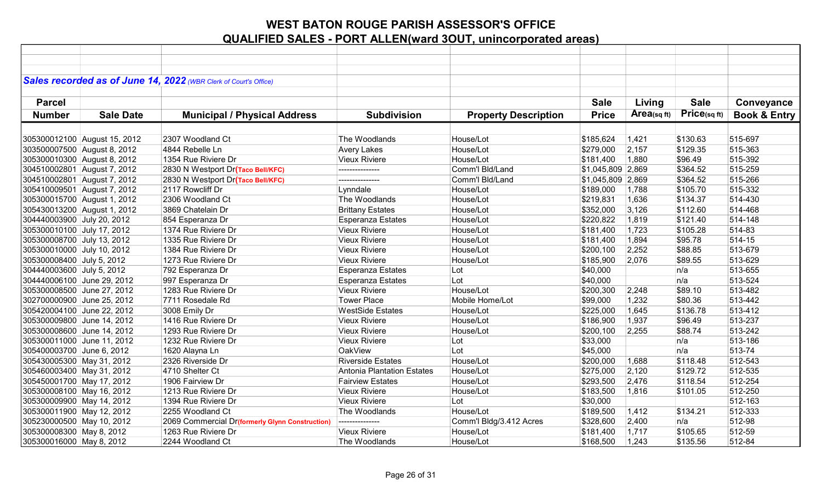|                            |                              | Sales recorded as of June 14, 2022 (WBR Clerk of Court's Office) |                                   |                             |                   |            |              |                         |
|----------------------------|------------------------------|------------------------------------------------------------------|-----------------------------------|-----------------------------|-------------------|------------|--------------|-------------------------|
|                            |                              |                                                                  |                                   |                             |                   |            |              |                         |
| <b>Parcel</b>              |                              |                                                                  |                                   |                             | <b>Sale</b>       | Living     | <b>Sale</b>  | Conveyance              |
|                            |                              |                                                                  |                                   |                             |                   |            |              |                         |
| <b>Number</b>              | <b>Sale Date</b>             | <b>Municipal / Physical Address</b>                              | <b>Subdivision</b>                | <b>Property Description</b> | <b>Price</b>      | Area(sqft) | Price(sq ft) | <b>Book &amp; Entry</b> |
|                            |                              |                                                                  |                                   |                             |                   |            |              |                         |
|                            | 305300012100 August 15, 2012 | 2307 Woodland Ct                                                 | The Woodlands                     | House/Lot                   | \$185,624         | 1,421      | \$130.63     | 515-697                 |
|                            | 303500007500 August 8, 2012  | 4844 Rebelle Ln                                                  | <b>Avery Lakes</b>                | House/Lot                   | \$279,000         | 2,157      | \$129.35     | 515-363                 |
|                            | 305300010300 August 8, 2012  | 1354 Rue Riviere Dr                                              | <b>Vieux Riviere</b>              | House/Lot                   | \$181,400         | 1,880      | \$96.49      | 515-392                 |
|                            | 304510002801 August 7, 2012  | 2830 N Westport Dr(Taco Bell/KFC)                                | ---------------                   | Comm'l Bld/Land             | \$1,045,809 2,869 |            | \$364.52     | 515-259                 |
|                            | 304510002801 August 7, 2012  | 2830 N Westport Dr(Taco Bell/KFC)                                | ---------------                   | Comm'l Bld/Land             | \$1,045,809 2,869 |            | \$364.52     | 515-266                 |
|                            | 305410009501 August 7, 2012  | 2117 Rowcliff Dr                                                 | Lynndale                          | House/Lot                   | \$189,000         | 1,788      | \$105.70     | 515-332                 |
|                            | 305300015700 August 1, 2012  | 2306 Woodland Ct                                                 | The Woodlands                     | House/Lot                   | \$219,831         | 1,636      | \$134.37     | 514-430                 |
|                            | 305430013200 August 1, 2012  | 3869 Chatelain Dr                                                | <b>Brittany Estates</b>           | House/Lot                   | \$352,000         | 3,126      | \$112.60     | 514-468                 |
| 304440003900 July 20, 2012 |                              | 854 Esperanza Dr                                                 | Esperanza Estates                 | House/Lot                   | \$220,822         | 1,819      | \$121.40     | 514-148                 |
| 305300010100 July 17, 2012 |                              | 1374 Rue Riviere Dr                                              | <b>Vieux Riviere</b>              | House/Lot                   | \$181,400         | 1,723      | \$105.28     | 514-83                  |
| 305300008700 July 13, 2012 |                              | 1335 Rue Riviere Dr                                              | <b>Vieux Riviere</b>              | House/Lot                   | \$181,400         | 1,894      | \$95.78      | 514-15                  |
| 305300010000 July 10, 2012 |                              | 1384 Rue Riviere Dr                                              | <b>Vieux Riviere</b>              | House/Lot                   | \$200,100         | 2,252      | \$88.85      | 513-679                 |
| 305300008400 July 5, 2012  |                              | 1273 Rue Riviere Dr                                              | <b>Vieux Riviere</b>              | House/Lot                   | \$185,900         | 2,076      | \$89.55      | 513-629                 |
| 304440003600 July 5, 2012  |                              | 792 Esperanza Dr                                                 | Esperanza Estates                 | Lot                         | \$40,000          |            | n/a          | 513-655                 |
| 304440006100 June 29, 2012 |                              | 997 Esperanza Dr                                                 | Esperanza Estates                 | Lot                         | \$40,000          |            | n/a          | 513-524                 |
| 305300008500 June 27, 2012 |                              | 1283 Rue Riviere Dr                                              | <b>Vieux Riviere</b>              | House/Lot                   | \$200,300         | 2,248      | \$89.10      | 513-482                 |
| 302700000900 June 25, 2012 |                              | 7711 Rosedale Rd                                                 | <b>Tower Place</b>                | Mobile Home/Lot             | \$99,000          | 1,232      | \$80.36      | 513-442                 |
| 305420004100 June 22, 2012 |                              | 3008 Emily Dr                                                    | <b>WestSide Estates</b>           | House/Lot                   | \$225,000         | 1,645      | \$136.78     | 513-412                 |
| 305300009800 June 14, 2012 |                              | 1416 Rue Riviere Dr                                              | <b>Vieux Riviere</b>              | House/Lot                   | \$186,900         | 1,937      | \$96.49      | 513-237                 |
| 305300008600 June 14, 2012 |                              | 1293 Rue Riviere Dr                                              | <b>Vieux Riviere</b>              | House/Lot                   | \$200,100         | 2,255      | \$88.74      | 513-242                 |
| 305300011000 June 11, 2012 |                              | 1232 Rue Riviere Dr                                              | <b>Vieux Riviere</b>              | Lot                         | \$33,000          |            | n/a          | 513-186                 |
| 305400003700 June 6, 2012  |                              | 1620 Alayna Ln                                                   | OakView                           | Lot                         | \$45,000          |            | n/a          | 513-74                  |
| 305430005300 May 31, 2012  |                              | 2326 Riverside Dr                                                | <b>Riverside Estates</b>          | House/Lot                   | \$200,000         | 1,688      | \$118.48     | 512-543                 |
| 305460003400 May 31, 2012  |                              | 4710 Shelter Ct                                                  | <b>Antonia Plantation Estates</b> | House/Lot                   | \$275,000         | 2,120      | \$129.72     | 512-535                 |
| 305450001700 May 17, 2012  |                              | 1906 Fairview Dr                                                 | <b>Fairview Estates</b>           | House/Lot                   | \$293,500         | 2,476      | \$118.54     | 512-254                 |
| 305300008100 May 16, 2012  |                              | 1213 Rue Riviere Dr                                              | <b>Vieux Riviere</b>              | House/Lot                   | \$183,500         | 1,816      | \$101.05     | 512-250                 |
| 305300009900 May 14, 2012  |                              | 1394 Rue Riviere Dr                                              | <b>Vieux Riviere</b>              | Lot                         | \$30,000          |            |              | 512-163                 |
| 305300011900 May 12, 2012  |                              | 2255 Woodland Ct                                                 | The Woodlands                     | House/Lot                   | \$189,500         | 1,412      | \$134.21     | 512-333                 |
| 305230000500 May 10, 2012  |                              | 2069 Commercial Dr(formerly Glynn Construction)                  | ---------------                   | Comm'l Bldg/3.412 Acres     | \$328,600         | 2,400      | n/a          | 512-98                  |
| 305300008300 May 8, 2012   |                              | 1263 Rue Riviere Dr                                              | <b>Vieux Riviere</b>              | House/Lot                   | \$181,400         | 1,717      | \$105.65     | 512-59                  |
| 305300016000 May 8, 2012   |                              | 2244 Woodland Ct                                                 | The Woodlands                     | House/Lot                   | \$168,500         | 1,243      | \$135.56     | 512-84                  |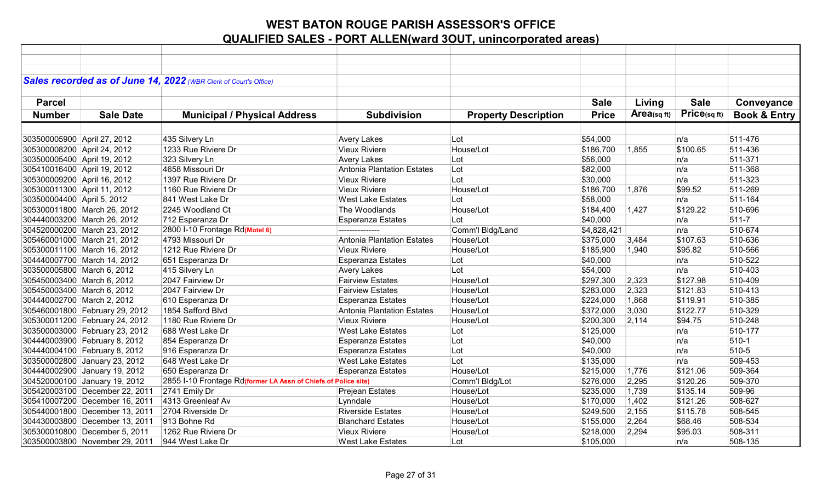| Sales recorded as of June 14, 2022 (WBR Clerk of Court's Office)                                                                                                |                         |
|-----------------------------------------------------------------------------------------------------------------------------------------------------------------|-------------------------|
|                                                                                                                                                                 |                         |
| <b>Sale</b><br><b>Parcel</b><br><b>Sale</b><br>Living                                                                                                           | Conveyance              |
| Price(sq ft)<br>Area(sqft)<br><b>Number</b><br><b>Sale Date</b><br><b>Subdivision</b><br><b>Price</b>                                                           | <b>Book &amp; Entry</b> |
| <b>Municipal / Physical Address</b><br><b>Property Description</b>                                                                                              |                         |
|                                                                                                                                                                 |                         |
| 303500005900 April 27, 2012<br>\$54,000<br>511-476<br>435 Silvery Ln<br><b>Avery Lakes</b><br>n/a<br>Lot                                                        |                         |
| 1233 Rue Riviere Dr<br><b>Vieux Riviere</b><br>House/Lot<br>\$186,700<br>\$100.65<br>511-436<br>305300008200 April 24, 2012<br>1,855                            |                         |
| 511-371<br>303500005400 April 19, 2012<br>323 Silvery Ln<br><b>Avery Lakes</b><br>Lot<br>\$56,000<br>n/a                                                        |                         |
| 4658 Missouri Dr<br><b>Antonia Plantation Estates</b><br>\$82,000<br>511-368<br>305410016400 April 19, 2012<br>Lot<br>n/a                                       |                         |
| 1397 Rue Riviere Dr<br><b>Vieux Riviere</b><br>\$30,000<br>511-323<br>305300009200 April 16, 2012<br>Lot<br>n/a                                                 |                         |
| 511-269<br>305300011300 April 11, 2012<br>1160 Rue Riviere Dr<br><b>Vieux Riviere</b><br>House/Lot<br>\$186,700<br>1,876<br>\$99.52                             |                         |
| 303500004400 April 5, 2012<br>841 West Lake Dr<br><b>West Lake Estates</b><br>\$58,000<br>511-164<br>Lot<br>n/a                                                 |                         |
| House/Lot<br>\$129.22<br>510-696<br>305300011800 March 26, 2012<br>2245 Woodland Ct<br>The Woodlands<br>\$184,400<br>1,427                                      |                         |
| 304440003200 March 26, 2012<br>\$40,000<br>$511 - 7$<br>712 Esperanza Dr<br><b>Esperanza Estates</b><br>Lot<br>n/a                                              |                         |
| 2800 I-10 Frontage Rd(Motel 6)<br>Comm'l Bldg/Land<br>510-674<br>304520000200 March 23, 2012<br>\$4,828,421<br>n/a<br>---------------                           |                         |
| Antonia Plantation Estates<br>510-636<br>305460001000 March 21, 2012<br>4793 Missouri Dr<br>House/Lot<br>\$375,000<br>\$107.63<br>3,484                         |                         |
| 305300011100 March 16, 2012<br>1212 Rue Riviere Dr<br><b>Vieux Riviere</b><br>House/Lot<br>\$185,900<br>\$95.82<br>510-566<br>1,940                             |                         |
| 510-522<br>304440007700 March 14, 2012<br><b>Esperanza Estates</b><br>\$40,000<br>651 Esperanza Dr<br>Lot<br>n/a                                                |                         |
| 510-403<br>303500005800 March 6, 2012<br>415 Silvery Ln<br><b>Avery Lakes</b><br>Lot<br>\$54,000<br>n/a                                                         |                         |
| 305450003400 March 6, 2012<br>2047 Fairview Dr<br><b>Fairview Estates</b><br>House/Lot<br>\$127.98<br>510-409<br>\$297,300<br>2,323                             |                         |
| 305450003400 March 6, 2012<br>2047 Fairview Dr<br><b>Fairview Estates</b><br>2,323<br>\$121.83<br>510-413<br>House/Lot<br>\$283,000                             |                         |
| 304440002700 March 2, 2012<br>610 Esperanza Dr<br><b>Esperanza Estates</b><br>House/Lot<br>\$224,000<br>1,868<br>\$119.91<br>510-385                            |                         |
| 3,030<br>\$122.77<br>510-329<br>305460001800 February 29, 2012<br>1854 Safford Blvd<br><b>Antonia Plantation Estates</b><br>\$372,000<br>House/Lot              |                         |
| 305300011200 February 24, 2012<br>1180 Rue Riviere Dr<br><b>Vieux Riviere</b><br>2,114<br>\$94.75<br>510-248<br>House/Lot<br>\$200,300                          |                         |
| 303500003000 February 23, 2012<br><b>West Lake Estates</b><br>\$125,000<br>510-177<br>688 West Lake Dr<br>Lot<br>n/a                                            |                         |
| $510-1$<br>304440003900 February 8, 2012<br>854 Esperanza Dr<br><b>Esperanza Estates</b><br>Lot<br>\$40,000<br>n/a                                              |                         |
| 510-5<br>304440004100 February 8, 2012<br>\$40,000<br>916 Esperanza Dr<br><b>Esperanza Estates</b><br>Lot<br>n/a                                                |                         |
| 648 West Lake Dr<br><b>West Lake Estates</b><br>509-453<br>303500002800 January 23, 2012<br>Lot<br>\$135,000<br>n/a                                             |                         |
| 509-364<br>304440002900 January 19, 2012<br>650 Esperanza Dr<br><b>Esperanza Estates</b><br>House/Lot<br>1,776<br>\$121.06<br>\$215,000                         |                         |
| 304520000100 January 19, 2012<br>2855 I-10 Frontage Rd(former LA Assn of Chiefs of Police site)<br>Comm'l Bldg/Lot<br>\$276,000<br>2,295<br>\$120.26<br>509-370 |                         |
| 305420003100 December 22, 2011<br>2741 Emily Dr<br>1,739<br>\$135.14<br>509-96<br><b>Prejean Estates</b><br>House/Lot<br>\$235,000                              |                         |
| 4313 Greenleaf Av<br>1,402<br>\$121.26<br>508-627<br>305410007200 December 16, 2011<br>Lynndale<br>House/Lot<br>\$170,000                                       |                         |
| 305440001800 December 13, 2011<br>2704 Riverside Dr<br><b>Riverside Estates</b><br>House/Lot<br>2,155<br>\$115.78<br>508-545<br>\$249,500                       |                         |
| 508-534<br>304430003800 December 13, 2011<br>913 Bohne Rd<br><b>Blanchard Estates</b><br>House/Lot<br>\$155,000<br>2,264<br>\$68.46                             |                         |
| 305300010800 December 5, 2011<br>1262 Rue Riviere Dr<br>2,294<br>508-311<br><b>Vieux Riviere</b><br>House/Lot<br>\$218,000<br>\$95.03                           |                         |
| 303500003800 November 29, 2011<br>\$105,000<br>508-135<br>944 West Lake Dr<br><b>West Lake Estates</b><br>Lot<br>n/a                                            |                         |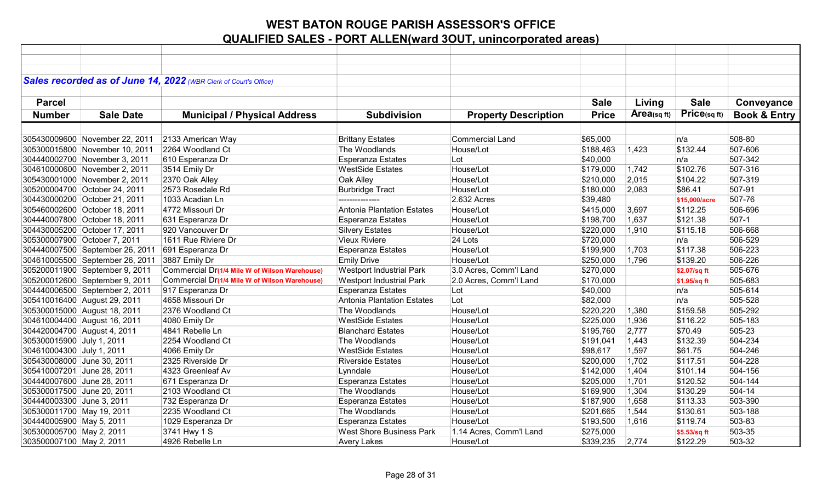|                             |                                 | Sales recorded as of June 14, 2022 (WBR Clerk of Court's Office) |                                   |                             |              |            |               |                         |
|-----------------------------|---------------------------------|------------------------------------------------------------------|-----------------------------------|-----------------------------|--------------|------------|---------------|-------------------------|
|                             |                                 |                                                                  |                                   |                             |              |            |               |                         |
| <b>Parcel</b>               |                                 |                                                                  |                                   |                             |              |            | <b>Sale</b>   |                         |
|                             |                                 |                                                                  |                                   |                             | <b>Sale</b>  | Living     |               | Conveyance              |
| <b>Number</b>               | <b>Sale Date</b>                | <b>Municipal / Physical Address</b>                              | <b>Subdivision</b>                | <b>Property Description</b> | <b>Price</b> | Area(sqft) | Price(sq ft)  | <b>Book &amp; Entry</b> |
|                             |                                 |                                                                  |                                   |                             |              |            |               |                         |
|                             | 305430009600 November 22, 2011  | 2133 American Way                                                | <b>Brittany Estates</b>           | <b>Commercial Land</b>      | \$65,000     |            | n/a           | 508-80                  |
|                             | 305300015800 November 10, 2011  | 2264 Woodland Ct                                                 | The Woodlands                     | House/Lot                   | \$188,463    | 1,423      | \$132.44      | 507-606                 |
|                             | 304440002700 November 3, 2011   | 610 Esperanza Dr                                                 | <b>Esperanza Estates</b>          | Lot                         | \$40,000     |            | n/a           | 507-342                 |
|                             | 304610000600 November 2, 2011   | 3514 Emily Dr                                                    | <b>WestSide Estates</b>           | House/Lot                   | \$179,000    | 1,742      | \$102.76      | 507-316                 |
|                             | 305430001000 November 2, 2011   | 2370 Oak Alley                                                   | Oak Alley                         | House/Lot                   | \$210,000    | 2,015      | \$104.22      | 507-319                 |
|                             | 305200004700 October 24, 2011   | 2573 Rosedale Rd                                                 | <b>Burbridge Tract</b>            | House/Lot                   | \$180,000    | 2,083      | \$86.41       | 507-91                  |
|                             | 304430000200 October 21, 2011   | 1033 Acadian Ln                                                  | ---------------                   | 2.632 Acres                 | \$39,480     |            | \$15,000/acre | 507-76                  |
|                             | 305460002600 October 18, 2011   | 4772 Missouri Dr                                                 | Antonia Plantation Estates        | House/Lot                   | \$415,000    | 3,697      | \$112.25      | 506-696                 |
|                             | 304440007800 October 18, 2011   | 631 Esperanza Dr                                                 | <b>Esperanza Estates</b>          | House/Lot                   | \$198,700    | 1,637      | \$121.38      | 507-1                   |
|                             | 304430005200 October 17, 2011   | 920 Vancouver Dr                                                 | <b>Silvery Estates</b>            | House/Lot                   | \$220,000    | 1,910      | \$115.18      | 506-668                 |
|                             | 305300007900 October 7, 2011    | 1611 Rue Riviere Dr                                              | <b>Vieux Riviere</b>              | 24 Lots                     | \$720,000    |            | n/a           | 506-529                 |
|                             | 304440007500 September 26, 2011 | 691 Esperanza Dr                                                 | <b>Esperanza Estates</b>          | House/Lot                   | \$199,900    | 1,703      | \$117.38      | 506-223                 |
|                             | 304610005500 September 26, 2011 | 3887 Emily Dr                                                    | <b>Emily Drive</b>                | House/Lot                   | \$250,000    | 1,796      | \$139.20      | 506-226                 |
|                             | 305200011900 September 9, 2011  | Commercial Dr(1/4 Mile W of Wilson Warehouse)                    | <b>Westport Industrial Park</b>   | 3.0 Acres, Comm'l Land      | \$270,000    |            | \$2.07/sq ft  | 505-676                 |
|                             | 305200012600 September 9, 2011  | Commercial Dr(1/4 Mile W of Wilson Warehouse)                    | <b>Westport Industrial Park</b>   | 2.0 Acres, Comm'l Land      | \$170,000    |            | \$1.95/sq ft  | 505-683                 |
|                             | 304440006500 September 2, 2011  | 917 Esperanza Dr                                                 | Esperanza Estates                 | Lot                         | \$40,000     |            | n/a           | 505-614                 |
|                             | 305410016400 August 29, 2011    | 4658 Missouri Dr                                                 | <b>Antonia Plantation Estates</b> | Lot                         | \$82,000     |            | n/a           | 505-528                 |
|                             | 305300015000 August 18, 2011    | 2376 Woodland Ct                                                 | The Woodlands                     | House/Lot                   | \$220,220    | 1,380      | \$159.58      | 505-292                 |
|                             | 304610004400 August 16, 2011    | 4080 Emily Dr                                                    | <b>WestSide Estates</b>           | House/Lot                   | \$225,000    | 1,936      | \$116.22      | 505-183                 |
| 304420004700 August 4, 2011 |                                 | 4841 Rebelle Ln                                                  | <b>Blanchard Estates</b>          | House/Lot                   | \$195,760    | 2,777      | \$70.49       | 505-23                  |
| 305300015900 July 1, 2011   |                                 | 2254 Woodland Ct                                                 | The Woodlands                     | House/Lot                   | \$191,041    | 1,443      | \$132.39      | 504-234                 |
| 304610004300 July 1, 2011   |                                 | 4066 Emily Dr                                                    | <b>WestSide Estates</b>           | House/Lot                   | \$98,617     | 1,597      | \$61.75       | 504-246                 |
| 305430008000 June 30, 2011  |                                 | 2325 Riverside Dr                                                | <b>Riverside Estates</b>          | House/Lot                   | \$200,000    | 1,702      | \$117.51      | 504-228                 |
| 305410007201 June 28, 2011  |                                 | 4323 Greenleaf Av                                                | Lynndale                          | House/Lot                   | \$142,000    | 1,404      | \$101.14      | 504-156                 |
| 304440007600 June 28, 2011  |                                 | 671 Esperanza Dr                                                 | <b>Esperanza Estates</b>          | House/Lot                   | \$205,000    | 1,701      | \$120.52      | 504-144                 |
| 305300017500 June 20, 2011  |                                 | 2103 Woodland Ct                                                 | The Woodlands                     | House/Lot                   | \$169,900    | 1,304      | \$130.29      | 504-14                  |
| 304440003300 June 3, 2011   |                                 | 732 Esperanza Dr                                                 | <b>Esperanza Estates</b>          | House/Lot                   | \$187,900    | 1,658      | \$113.33      | 503-390                 |
| 305300011700 May 19, 2011   |                                 | 2235 Woodland Ct                                                 | The Woodlands                     | House/Lot                   | \$201,665    | 1,544      | \$130.61      | 503-188                 |
| 304440005900 May 5, 2011    |                                 | 1029 Esperanza Dr                                                | <b>Esperanza Estates</b>          | House/Lot                   | \$193,500    | 1,616      | \$119.74      | 503-83                  |
| 305300005700 May 2, 2011    |                                 | 3741 Hwy 1 S                                                     | <b>West Shore Business Park</b>   | 1.14 Acres, Comm'l Land     | \$275,000    |            | \$5.53/sq ft  | 503-35                  |
| 303500007100 May 2, 2011    |                                 | 4926 Rebelle Ln                                                  | Avery Lakes                       | House/Lot                   | \$339,235    | 2,774      | \$122.29      | 503-32                  |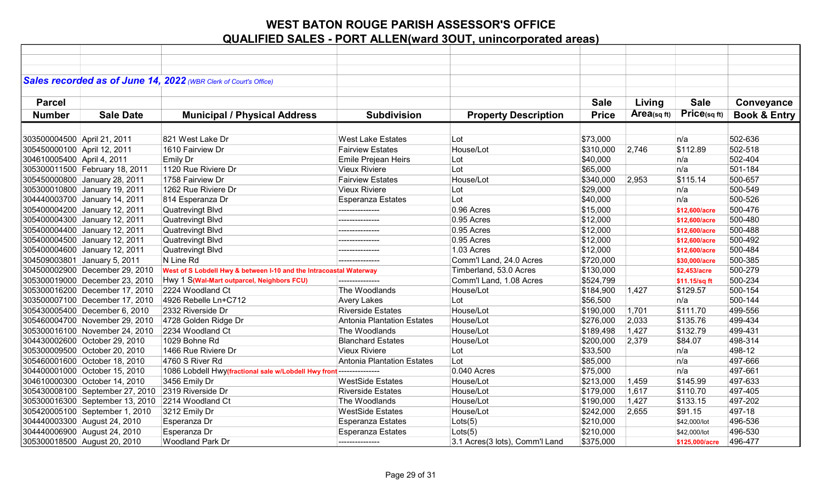|                             |                                                  | Sales recorded as of June 14, 2022 (WBR Clerk of Court's Office)   |                                   |                                |              |                |                |                         |
|-----------------------------|--------------------------------------------------|--------------------------------------------------------------------|-----------------------------------|--------------------------------|--------------|----------------|----------------|-------------------------|
|                             |                                                  |                                                                    |                                   |                                |              |                |                |                         |
| <b>Parcel</b>               |                                                  |                                                                    |                                   |                                | <b>Sale</b>  | Living         | <b>Sale</b>    | Conveyance              |
| <b>Number</b>               | <b>Sale Date</b>                                 | <b>Municipal / Physical Address</b>                                | <b>Subdivision</b>                | <b>Property Description</b>    | <b>Price</b> | Area(sq $ft$ ) | Price(sq ft)   | <b>Book &amp; Entry</b> |
|                             |                                                  |                                                                    |                                   |                                |              |                |                |                         |
| 303500004500 April 21, 2011 |                                                  | 821 West Lake Dr                                                   | <b>West Lake Estates</b>          | Lot                            | \$73,000     |                | n/a            | 502-636                 |
| 305450000100 April 12, 2011 |                                                  | 1610 Fairview Dr                                                   | <b>Fairview Estates</b>           | House/Lot                      | \$310,000    | 2,746          | \$112.89       | 502-518                 |
| 304610005400 April 4, 2011  |                                                  | Emily Dr                                                           | Emile Prejean Heirs               | Lot                            | \$40,000     |                | n/a            | 502-404                 |
|                             | 305300011500 February 18, 2011                   | 1120 Rue Riviere Dr                                                | <b>Vieux Riviere</b>              | Lot                            | \$65,000     |                | n/a            | 501-184                 |
|                             | 305450000800 January 28, 2011                    | 1758 Fairview Dr                                                   | <b>Fairview Estates</b>           | House/Lot                      | \$340,000    | 2,953          | \$115.14       | 500-657                 |
|                             | 305300010800 January 19, 2011                    | 1262 Rue Riviere Dr                                                | <b>Vieux Riviere</b>              | Lot                            | \$29,000     |                | n/a            | 500-549                 |
|                             | 304440003700 January 14, 2011                    | 814 Esperanza Dr                                                   | <b>Esperanza Estates</b>          | Lot                            | \$40,000     |                | n/a            | 500-526                 |
|                             | 305400004200 January 12, 2011                    | <b>Quatrevingt Blvd</b>                                            |                                   | 0.96 Acres                     | \$15,000     |                | \$12,600/acre  | 500-476                 |
|                             | 305400004300 January 12, 2011                    | <b>Quatrevingt Blvd</b>                                            | ---------------                   | 0.95 Acres                     | \$12,000     |                | \$12,600/acre  | 500-480                 |
|                             | 305400004400 January 12, 2011                    | <b>Quatrevingt Blvd</b>                                            | ---------------                   | 0.95 Acres                     | \$12,000     |                | \$12,600/acre  | 500-488                 |
|                             | 305400004500 January 12, 2011                    | <b>Quatrevingt Blvd</b>                                            | ---------------                   | 0.95 Acres                     | \$12,000     |                | \$12,600/acre  | 500-492                 |
|                             | 305400004600 January 12, 2011                    | Quatrevingt Blvd                                                   | ---------------                   | 1.03 Acres                     | \$12,000     |                | \$12,600/acre  | 500-484                 |
|                             | 304509003801 January 5, 2011                     | N Line Rd                                                          | ---------------                   | Comm'l Land, 24.0 Acres        | \$720,000    |                | \$30,000/acre  | 500-385                 |
|                             | 304500002900 December 29, 2010                   | West of S Lobdell Hwy & between I-10 and the Intracoastal Waterway |                                   | Timberland, 53.0 Acres         | \$130,000    |                | \$2,453/acre   | 500-279                 |
|                             | 305300019000 December 23, 2010                   | Hwy 1 S(Wal-Mart outparcel, Neighbors FCU)                         | ---------------                   | Comm'l Land, 1.08 Acres        | \$524,799    |                | \$11.15/sq ft  | 500-234                 |
|                             | 305300016200 December 17, 2010                   | 2224 Woodland Ct                                                   | The Woodlands                     | House/Lot                      | \$184,900    | 1,427          | \$129.57       | 500-154                 |
|                             | 303500007100 December 17, 2010                   | 4926 Rebelle Ln+C712                                               | <b>Avery Lakes</b>                | Lot                            | \$56,500     |                | n/a            | 500-144                 |
|                             | 305430005400 December 6, 2010                    | 2332 Riverside Dr                                                  | <b>Riverside Estates</b>          | House/Lot                      | \$190,000    | 1,701          | \$111.70       | 499-556                 |
|                             | 305460004700 November 29, 2010                   | 4728 Golden Ridge Dr                                               | <b>Antonia Plantation Estates</b> | House/Lot                      | \$276,000    | 2,033          | \$135.76       | 499-434                 |
|                             | 305300016100 November 24, 2010                   | 2234 Woodland Ct                                                   | The Woodlands                     | House/Lot                      | \$189,498    | 1,427          | \$132.79       | 499-431                 |
|                             | 304430002600 October 29, 2010                    | 1029 Bohne Rd                                                      | <b>Blanchard Estates</b>          | House/Lot                      | \$200,000    | 2,379          | \$84.07        | 498-314                 |
|                             | 305300009500 October 20, 2010                    | 1466 Rue Riviere Dr                                                | <b>Vieux Riviere</b>              | Lot                            | \$33,500     |                | n/a            | 498-12                  |
|                             | 305460001600 October 18, 2010                    | 4760 S River Rd                                                    | Antonia Plantation Estates        | Lot                            | \$85,000     |                | n/a            | 497-666                 |
|                             | 304400001000 October 15, 2010                    | 1086 Lobdell Hwy(fractional sale w/Lobdell Hwy front               | ---------------                   | 0.040 Acres                    | \$75,000     |                | n/a            | 497-661                 |
|                             | 304610000300 October 14, 2010                    | 3456 Emily Dr                                                      | <b>WestSide Estates</b>           | House/Lot                      | \$213,000    | 1,459          | \$145.99       | 497-633                 |
|                             | 305430008100 September 27, 2010                  | 2319 Riverside Dr                                                  | <b>Riverside Estates</b>          | House/Lot                      | \$179,000    | 1,617          | \$110.70       | 497-405                 |
|                             | 305300016300 September 13, 2010 2214 Woodland Ct |                                                                    | The Woodlands                     | House/Lot                      | \$190,000    | 1,427          | \$133.15       | 497-202                 |
|                             | 305420005100 September 1, 2010                   | 3212 Emily Dr                                                      | <b>WestSide Estates</b>           | House/Lot                      | \$242,000    | 2,655          | \$91.15        | 497-18                  |
|                             | 304440003300 August 24, 2010                     | Esperanza Dr                                                       | <b>Esperanza Estates</b>          | Lots(5)                        | \$210,000    |                | \$42,000/lot   | 496-536                 |
|                             | 304440006900 August 24, 2010                     | Esperanza Dr                                                       | <b>Esperanza Estates</b>          | Lots(5)                        | \$210,000    |                | \$42,000/lot   | 496-530                 |
|                             | 305300018500 August 20, 2010                     | <b>Woodland Park Dr</b>                                            | ---------------                   | 3.1 Acres(3 lots), Comm'l Land | \$375,000    |                | \$125,000/acre | 496-477                 |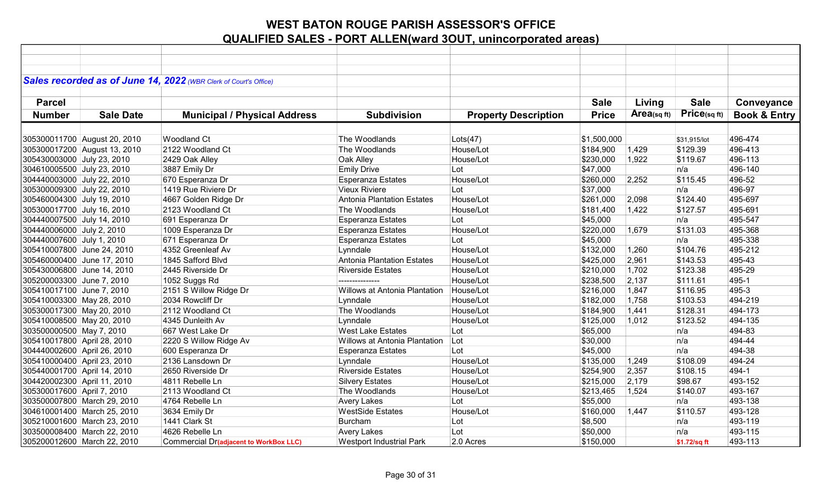| Sales recorded as of June 14, 2022 (WBR Clerk of Court's Office) |                                               |                                   |                             |              |            |              |                         |
|------------------------------------------------------------------|-----------------------------------------------|-----------------------------------|-----------------------------|--------------|------------|--------------|-------------------------|
|                                                                  |                                               |                                   |                             |              |            |              |                         |
| <b>Parcel</b>                                                    |                                               |                                   |                             | <b>Sale</b>  | Living     | <b>Sale</b>  | Conveyance              |
| <b>Number</b><br><b>Sale Date</b>                                | <b>Municipal / Physical Address</b>           | <b>Subdivision</b>                | <b>Property Description</b> | <b>Price</b> | Area(sqft) | Price(sq ft) | <b>Book &amp; Entry</b> |
|                                                                  |                                               |                                   |                             |              |            |              |                         |
|                                                                  | <b>Woodland Ct</b>                            | The Woodlands                     |                             |              |            |              | 496-474                 |
| 305300011700 August 20, 2010                                     |                                               |                                   | Lots(47)                    | \$1,500,000  |            | \$31.915/lot |                         |
| 305300017200 August 13, 2010                                     | 2122 Woodland Ct                              | The Woodlands                     | House/Lot                   | \$184,900    | 1,429      | \$129.39     | 496-413                 |
| 305430003000 July 23, 2010                                       | 2429 Oak Alley                                | Oak Alley                         | House/Lot                   | \$230,000    | 1,922      | \$119.67     | 496-113                 |
| 304610005500 July 23, 2010                                       | 3887 Emily Dr                                 | <b>Emily Drive</b>                | Lot                         | \$47,000     |            | n/a          | 496-140                 |
| 304440003000 July 22, 2010                                       | 670 Esperanza Dr                              | <b>Esperanza Estates</b>          | House/Lot                   | \$260,000    | 2,252      | \$115.45     | 496-52                  |
| 305300009300 July 22, 2010                                       | 1419 Rue Riviere Dr                           | <b>Vieux Riviere</b>              | Lot                         | \$37,000     |            | n/a          | 496-97                  |
| 305460004300 July 19, 2010                                       | 4667 Golden Ridge Dr                          | <b>Antonia Plantation Estates</b> | House/Lot                   | \$261,000    | 2,098      | \$124.40     | 495-697                 |
| 305300017700 July 16, 2010                                       | 2123 Woodland Ct                              | The Woodlands                     | House/Lot                   | \$181,400    | 1,422      | \$127.57     | 495-691                 |
| 304440007500 July 14, 2010                                       | 691 Esperanza Dr                              | Esperanza Estates                 | Lot                         | \$45,000     |            | n/a          | 495-547                 |
| 304440006000 July 2, 2010                                        | 1009 Esperanza Dr                             | <b>Esperanza Estates</b>          | House/Lot                   | \$220,000    | 1,679      | \$131.03     | 495-368                 |
| 304440007600 July 1, 2010                                        | 671 Esperanza Dr                              | <b>Esperanza Estates</b>          | Lot                         | \$45,000     |            | n/a          | 495-338                 |
| 305410007800 June 24, 2010                                       | 4352 Greenleaf Av                             | Lynndale                          | House/Lot                   | \$132,000    | 1,260      | \$104.76     | 495-212                 |
| 305460000400 June 17, 2010                                       | 1845 Safford Blvd                             | Antonia Plantation Estates        | House/Lot                   | \$425,000    | 2,961      | \$143.53     | 495-43                  |
| 305430006800 June 14, 2010                                       | 2445 Riverside Dr                             | <b>Riverside Estates</b>          | House/Lot                   | \$210,000    | 1,702      | \$123.38     | 495-29                  |
| 305200003300 June 7, 2010                                        | 1052 Suggs Rd                                 |                                   | House/Lot                   | \$238,500    | 2,137      | \$111.61     | 495-1                   |
| 305410017100 June 7, 2010                                        | 2151 S Willow Ridge Dr                        | Willows at Antonia Plantation     | House/Lot                   | \$216,000    | 1,847      | \$116.95     | 495-3                   |
| 305410003300 May 28, 2010                                        | 2034 Rowcliff Dr                              | Lynndale                          | House/Lot                   | \$182,000    | 1,758      | \$103.53     | 494-219                 |
| 305300017300 May 20, 2010                                        | 2112 Woodland Ct                              | The Woodlands                     | House/Lot                   | \$184,900    | 1,441      | \$128.31     | 494-173                 |
| 305410008500 May 20, 2010                                        | 4345 Dunleith Av                              | Lynndale                          | House/Lot                   | \$125,000    | 1,012      | \$123.52     | 494-135                 |
| 303500000500 May 7, 2010                                         | 667 West Lake Dr                              | <b>West Lake Estates</b>          | Lot                         | \$65,000     |            | n/a          | 494-83                  |
| 305410017800 April 28, 2010                                      | 2220 S Willow Ridge Av                        | Willows at Antonia Plantation     | Lot                         | \$30,000     |            | n/a          | 494-44                  |
| 304440002600 April 26, 2010                                      | 600 Esperanza Dr                              | Esperanza Estates                 | Lot                         | \$45,000     |            | n/a          | 494-38                  |
| 305410000400 April 23, 2010                                      | 2136 Lansdown Dr                              | Lynndale                          | House/Lot                   | \$135,000    | 1,249      | \$108.09     | 494-24                  |
| 305440001700 April 14, 2010                                      | 2650 Riverside Dr                             | <b>Riverside Estates</b>          | House/Lot                   | \$254,900    | 2,357      | \$108.15     | 494-1                   |
| 304420002300 April 11, 2010                                      | 4811 Rebelle Ln                               | <b>Silvery Estates</b>            | House/Lot                   | \$215,000    | 2,179      | \$98.67      | 493-152                 |
| 305300017600 April 7, 2010                                       | 2113 Woodland Ct                              | The Woodlands                     | House/Lot                   | \$213,465    | 1,524      | \$140.07     | 493-167                 |
| 303500007800 March 29, 2010                                      | 4764 Rebelle Ln                               | <b>Avery Lakes</b>                | Lot                         | \$55,000     |            | n/a          | 493-138                 |
| 304610001400 March 25, 2010                                      | 3634 Emily Dr                                 | <b>WestSide Estates</b>           | House/Lot                   | \$160,000    | 1,447      | \$110.57     | 493-128                 |
| 305210001600 March 23, 2010                                      | 1441 Clark St                                 | Burcham                           | Lot                         | \$8,500      |            | n/a          | 493-119                 |
| 303500008400 March 22, 2010                                      | 4626 Rebelle Ln                               | <b>Avery Lakes</b>                | Lot                         | \$50,000     |            | n/a          | 493-115                 |
| 305200012600 March 22, 2010                                      | <b>Commercial Dr(adjacent to WorkBox LLC)</b> | <b>Westport Industrial Park</b>   | 2.0 Acres                   | \$150,000    |            | \$1.72/sq ft | 493-113                 |